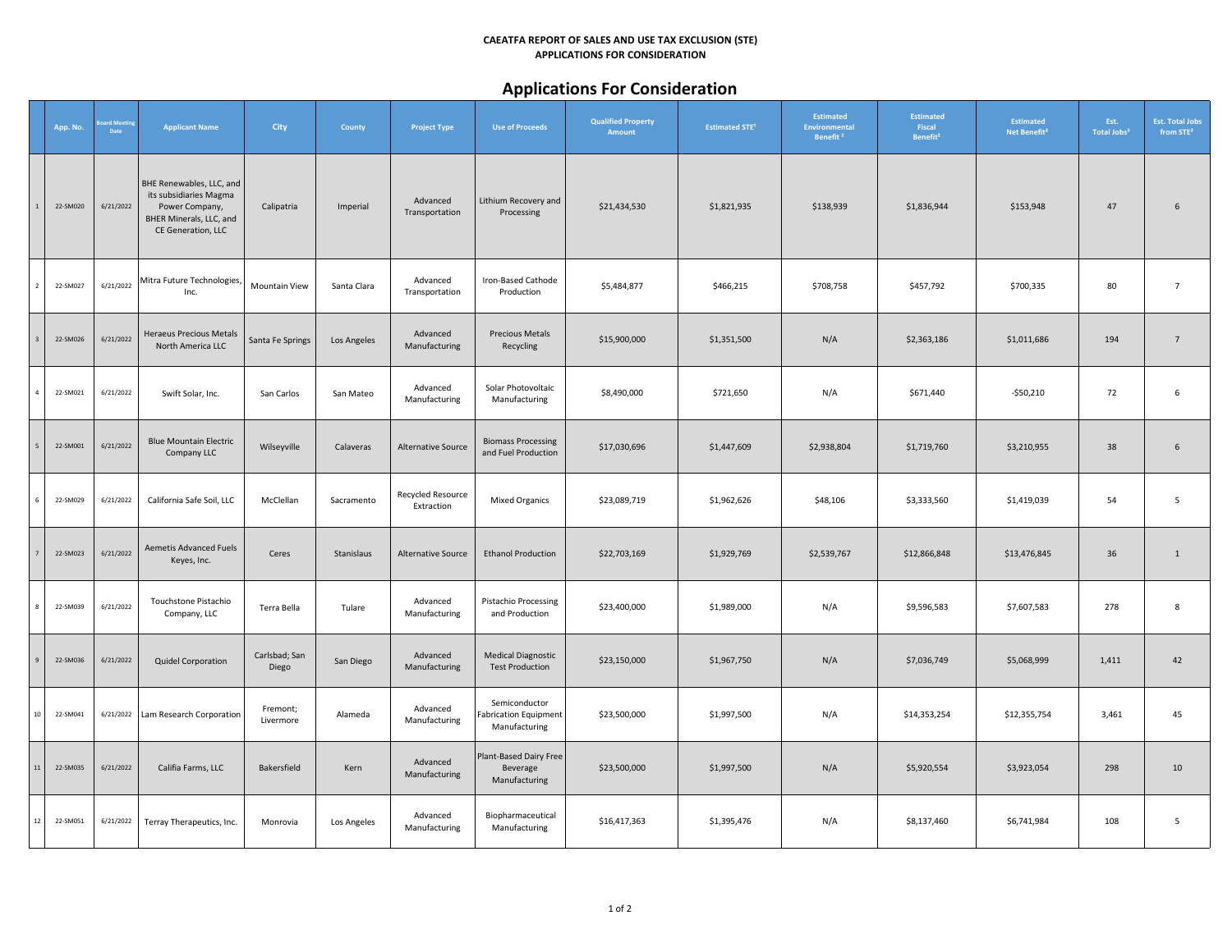#### **CAEATFA REPORT OF SALES AND USE TAX EXCLUSION (STE) APPLICATIONS FOR CONSIDERATION**

# **Applications For Consideration**

|                 | App. No. | pard Meetii<br>Date | <b>Applicant Name</b>                                                                                                 | City                   | County      | <b>Project Type</b>             | <b>Use of Proceeds</b>                                         | <b>Qualified Property</b><br><b>Amount</b> | <b>Estimated STE<sup>1</sup></b> | <b>Estimated</b><br><b>Environmental</b><br>Benefit <sup>2</sup> | Estimated<br>Fiscal<br>Benefit <sup>2</sup> | <b>Estimated</b><br>Net Benefit <sup>2</sup> | Est.<br>Total Jobs <sup>2</sup> | <b>Est. Total Jobs</b><br>from STE <sup>2</sup> |
|-----------------|----------|---------------------|-----------------------------------------------------------------------------------------------------------------------|------------------------|-------------|---------------------------------|----------------------------------------------------------------|--------------------------------------------|----------------------------------|------------------------------------------------------------------|---------------------------------------------|----------------------------------------------|---------------------------------|-------------------------------------------------|
|                 | 22-SM020 | 6/21/2022           | BHE Renewables, LLC, and<br>its subsidiaries Magma<br>Power Company,<br>BHER Minerals, LLC, and<br>CE Generation, LLC | Calipatria             | Imperial    | Advanced<br>Transportation      | Lithium Recovery and<br>Processing                             | \$21,434,530                               | \$1,821,935                      | \$138,939                                                        | \$1,836,944                                 | \$153,948                                    | 47                              | $6\phantom{1}$                                  |
|                 | 22-SM027 | 6/21/2022           | Mitra Future Technologies,<br>Inc.                                                                                    | <b>Mountain View</b>   | Santa Clara | Advanced<br>Transportation      | Iron-Based Cathode<br>Production                               | \$5,484,877                                | \$466,215                        | \$708,758                                                        | \$457,792                                   | \$700,335                                    | 80                              | $\overline{7}$                                  |
|                 | 22-SM026 | 6/21/2022           | <b>Heraeus Precious Metals</b><br>North America LLC                                                                   | Santa Fe Springs       | Los Angeles | Advanced<br>Manufacturing       | <b>Precious Metals</b><br>Recycling                            | \$15,900,000                               | \$1,351,500                      | N/A                                                              | \$2,363,186                                 | \$1,011,686                                  | 194                             | $7\overline{ }$                                 |
|                 | 22-SM021 | 6/21/2022           | Swift Solar, Inc.                                                                                                     | San Carlos             | San Mateo   | Advanced<br>Manufacturing       | Solar Photovoltaic<br>Manufacturing                            | \$8,490,000                                | \$721,650                        | N/A                                                              | \$671,440                                   | $-$50,210$                                   | 72                              | $\,$ 6                                          |
|                 | 22-SM001 | 6/21/2022           | <b>Blue Mountain Electric</b><br>Company LLC                                                                          | Wilseyville            | Calaveras   | <b>Alternative Source</b>       | <b>Biomass Processing</b><br>and Fuel Production               | \$17,030,696                               | \$1,447,609                      | \$2,938,804                                                      | \$1,719,760                                 | \$3,210,955                                  | 38                              | $6\phantom{1}$                                  |
| 6               | 22-SM029 | 6/21/2022           | California Safe Soil, LLC                                                                                             | McClellan              | Sacramento  | Recycled Resource<br>Extraction | <b>Mixed Organics</b>                                          | \$23,089,719                               | \$1,962,626                      | \$48,106                                                         | \$3,333,560                                 | \$1,419,039                                  | 54                              | 5                                               |
|                 | 22-SM023 | 6/21/2022           | <b>Aemetis Advanced Fuels</b><br>Keyes, Inc.                                                                          | Ceres                  | Stanislaus  | <b>Alternative Source</b>       | <b>Ethanol Production</b>                                      | \$22,703,169                               | \$1,929,769                      | \$2,539,767                                                      | \$12,866,848                                | \$13,476,845                                 | 36                              | $\mathbf{1}$                                    |
|                 | 22-SM039 | 6/21/2022           | Touchstone Pistachio<br>Company, LLC                                                                                  | Terra Bella            | Tulare      | Advanced<br>Manufacturing       | Pistachio Processing<br>and Production                         | \$23,400,000                               | \$1,989,000                      | N/A                                                              | \$9,596,583                                 | \$7,607,583                                  | 278                             | 8                                               |
|                 | 22-SM036 | 6/21/2022           | Quidel Corporation                                                                                                    | Carlsbad; San<br>Diego | San Diego   | Advanced<br>Manufacturing       | <b>Medical Diagnostic</b><br><b>Test Production</b>            | \$23,150,000                               | \$1,967,750                      | N/A                                                              | \$7,036,749                                 | \$5,068,999                                  | 1,411                           | 42                                              |
| 10 <sup>1</sup> | 22-SM041 | 6/21/2022           | Lam Research Corporation                                                                                              | Fremont;<br>Livermore  | Alameda     | Advanced<br>Manufacturing       | Semiconductor<br><b>Fabrication Equipment</b><br>Manufacturing | \$23,500,000                               | \$1,997,500                      | N/A                                                              | \$14,353,254                                | \$12,355,754                                 | 3,461                           | 45                                              |
| $11\,$          | 22-SM035 | 6/21/2022           | Califia Farms, LLC                                                                                                    | Bakersfield            | Kern        | Advanced<br>Manufacturing       | Plant-Based Dairy Free<br>Beverage<br>Manufacturing            | \$23,500,000                               | \$1,997,500                      | N/A                                                              | \$5,920,554                                 | \$3,923,054                                  | 298                             | 10                                              |
| 12              | 22-SM051 | 6/21/2022           | Terray Therapeutics, Inc.                                                                                             | Monrovia               | Los Angeles | Advanced<br>Manufacturing       | Biopharmaceutical<br>Manufacturing                             | \$16,417,363                               | \$1,395,476                      | N/A                                                              | \$8,137,460                                 | \$6,741,984                                  | 108                             | 5                                               |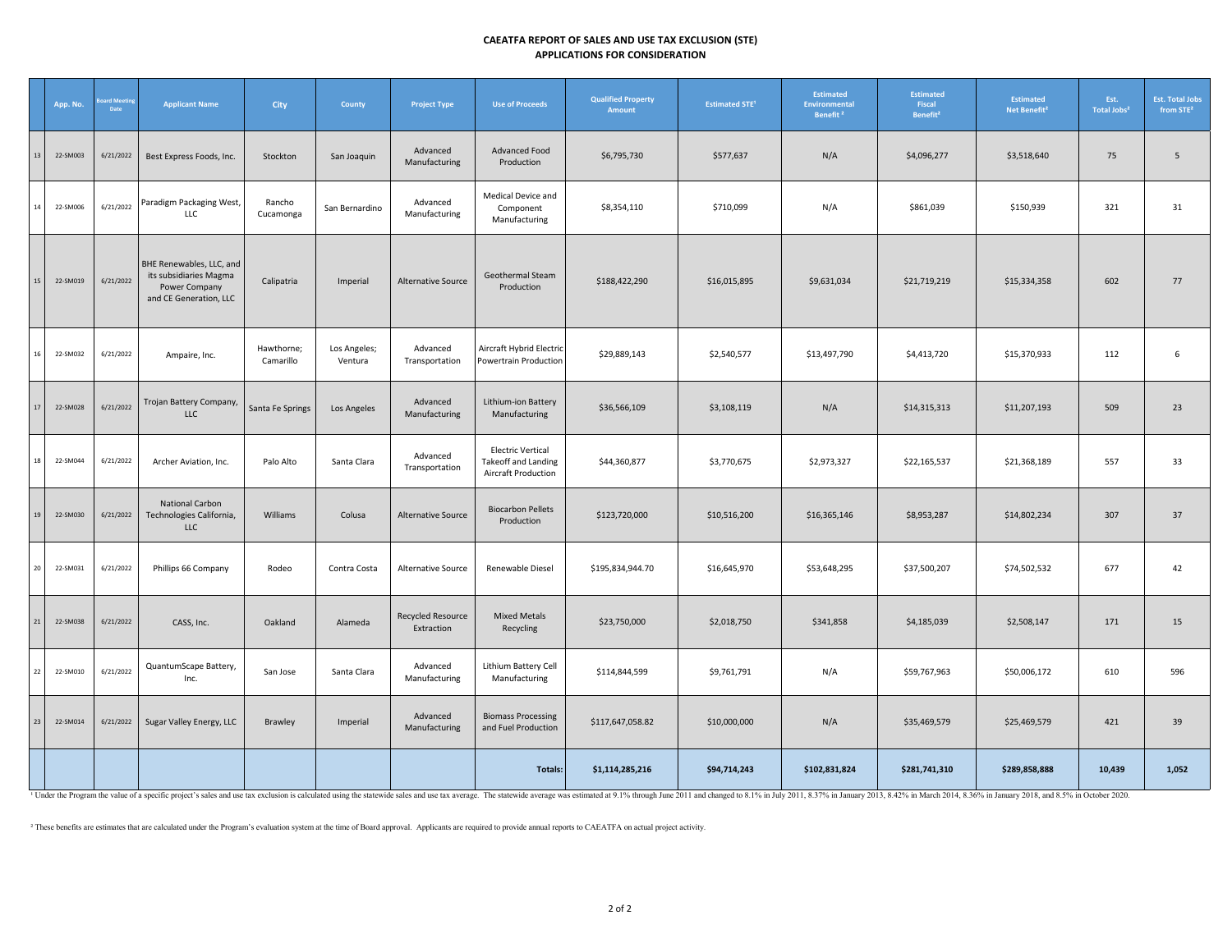### **CAEATFA REPORT OF SALES AND USE TAX EXCLUSION (STE) APPLICATIONS FOR CONSIDERATION**

|        | App. No. | ard Mee<br>Date | <b>Applicant Name</b>                                                                         | <b>City</b>             | County                  | <b>Project Type</b>                    | <b>Use of Proceeds</b>                                                 | <b>Qualified Property</b><br>Amount | <b>Estimated STE<sup>1</sup></b> | <b>Estimated</b><br><b>Environmental</b><br>Benefit <sup>2</sup> | Estimated<br>Fiscal<br>Benefit <sup>2</sup> | <b>Estimated</b><br>Net Benefit <sup>2</sup> | Est.<br>Total Jobs <sup>2</sup> | <b>Est. Total Jobs</b><br>from STE <sup>2</sup> |
|--------|----------|-----------------|-----------------------------------------------------------------------------------------------|-------------------------|-------------------------|----------------------------------------|------------------------------------------------------------------------|-------------------------------------|----------------------------------|------------------------------------------------------------------|---------------------------------------------|----------------------------------------------|---------------------------------|-------------------------------------------------|
| 13     | 22-SM003 | 6/21/2022       | Best Express Foods, Inc.                                                                      | Stockton                | San Joaquin             | Advanced<br>Manufacturing              | Advanced Food<br>Production                                            | \$6,795,730                         | \$577,637                        | N/A                                                              | \$4,096,277                                 | \$3,518,640                                  | 75                              | 5                                               |
| 14     | 22-SM006 | 6/21/2022       | Paradigm Packaging West,<br>LLC                                                               | Rancho<br>Cucamonga     | San Bernardino          | Advanced<br>Manufacturing              | Medical Device and<br>Component<br>Manufacturing                       | \$8,354,110                         | \$710,099                        | N/A                                                              | \$861,039                                   | \$150,939                                    | 321                             | 31                                              |
| 15     | 22-SM019 | 6/21/2022       | BHE Renewables, LLC, and<br>its subsidiaries Magma<br>Power Company<br>and CE Generation, LLC | Calipatria              | Imperial                | Alternative Source                     | Geothermal Steam<br>Production                                         | \$188,422,290                       | \$16,015,895                     | \$9,631,034                                                      | \$21,719,219                                | \$15,334,358                                 | 602                             | 77                                              |
| 16     | 22-SM032 | 6/21/2022       | Ampaire, Inc.                                                                                 | Hawthorne;<br>Camarillo | Los Angeles;<br>Ventura | Advanced<br>Transportation             | Aircraft Hybrid Electric<br>Powertrain Production                      | \$29,889,143                        | \$2,540,577                      | \$13,497,790                                                     | \$4,413,720                                 | \$15,370,933                                 | 112                             | 6                                               |
| 17     | 22-SM028 | 6/21/2022       | Trojan Battery Company,<br><b>LLC</b>                                                         | Santa Fe Springs        | Los Angeles             | Advanced<br>Manufacturing              | Lithium-ion Battery<br>Manufacturing                                   | \$36,566,109                        | \$3,108,119                      | N/A                                                              | \$14,315,313                                | \$11,207,193                                 | 509                             | 23                                              |
| 18     | 22-SM044 | 6/21/2022       | Archer Aviation, Inc.                                                                         | Palo Alto               | Santa Clara             | Advanced<br>Transportation             | <b>Electric Vertical</b><br>Takeoff and Landing<br>Aircraft Production | \$44,360,877                        | \$3,770,675                      | \$2,973,327                                                      | \$22,165,537                                | \$21,368,189                                 | 557                             | 33                                              |
| 19     | 22-SM030 | 6/21/2022       | <b>National Carbon</b><br>Technologies California,<br><b>LLC</b>                              | Williams                | Colusa                  | <b>Alternative Source</b>              | <b>Biocarbon Pellets</b><br>Production                                 | \$123,720,000                       | \$10,516,200                     | \$16,365,146                                                     | \$8,953,287                                 | \$14,802,234                                 | 307                             | 37                                              |
| 20     | 22-SM031 | 6/21/2022       | Phillips 66 Company                                                                           | Rodeo                   | Contra Costa            | Alternative Source                     | Renewable Diesel                                                       | \$195,834,944.70                    | \$16,645,970                     | \$53,648,295                                                     | \$37,500,207                                | \$74,502,532                                 | 677                             | 42                                              |
| $21\,$ | 22-SM038 | 6/21/2022       | CASS, Inc.                                                                                    | Oakland                 | Alameda                 | <b>Recycled Resource</b><br>Extraction | <b>Mixed Metals</b><br>Recycling                                       | \$23,750,000                        | \$2,018,750                      | \$341,858                                                        | \$4,185,039                                 | \$2,508,147                                  | 171                             | 15                                              |
| 22     | 22-SM010 | 6/21/2022       | QuantumScape Battery,<br>Inc.                                                                 | San Jose                | Santa Clara             | Advanced<br>Manufacturing              | Lithium Battery Cell<br>Manufacturing                                  | \$114,844,599                       | \$9,761,791                      | N/A                                                              | \$59,767,963                                | \$50,006,172                                 | 610                             | 596                                             |
| 23     | 22-SM014 | 6/21/2022       | Sugar Valley Energy, LLC                                                                      | Brawley                 | Imperial                | Advanced<br>Manufacturing              | <b>Biomass Processing</b><br>and Fuel Production                       | \$117,647,058.82                    | \$10,000,000                     | N/A                                                              | \$35,469,579                                | \$25,469,579                                 | 421                             | 39                                              |
|        |          |                 |                                                                                               |                         |                         |                                        | Totals:                                                                | \$1,114,285,216                     | \$94,714,243                     | \$102,831,824                                                    | \$281,741,310                               | \$289,858,888                                | 10,439                          | 1,052                                           |

<sup>1</sup> Under the Program the value of a specific project's sales and use tax exclusion is calculated using the statewide sales and use tax wereage. The statewide average was estimated at 9.1% through June 2011 and changed to

² These benefits are estimates that are calculated under the Program's evaluation system at the time of Board approval. Applicants are required to provide annual reports to CAEATFA on actual project activity.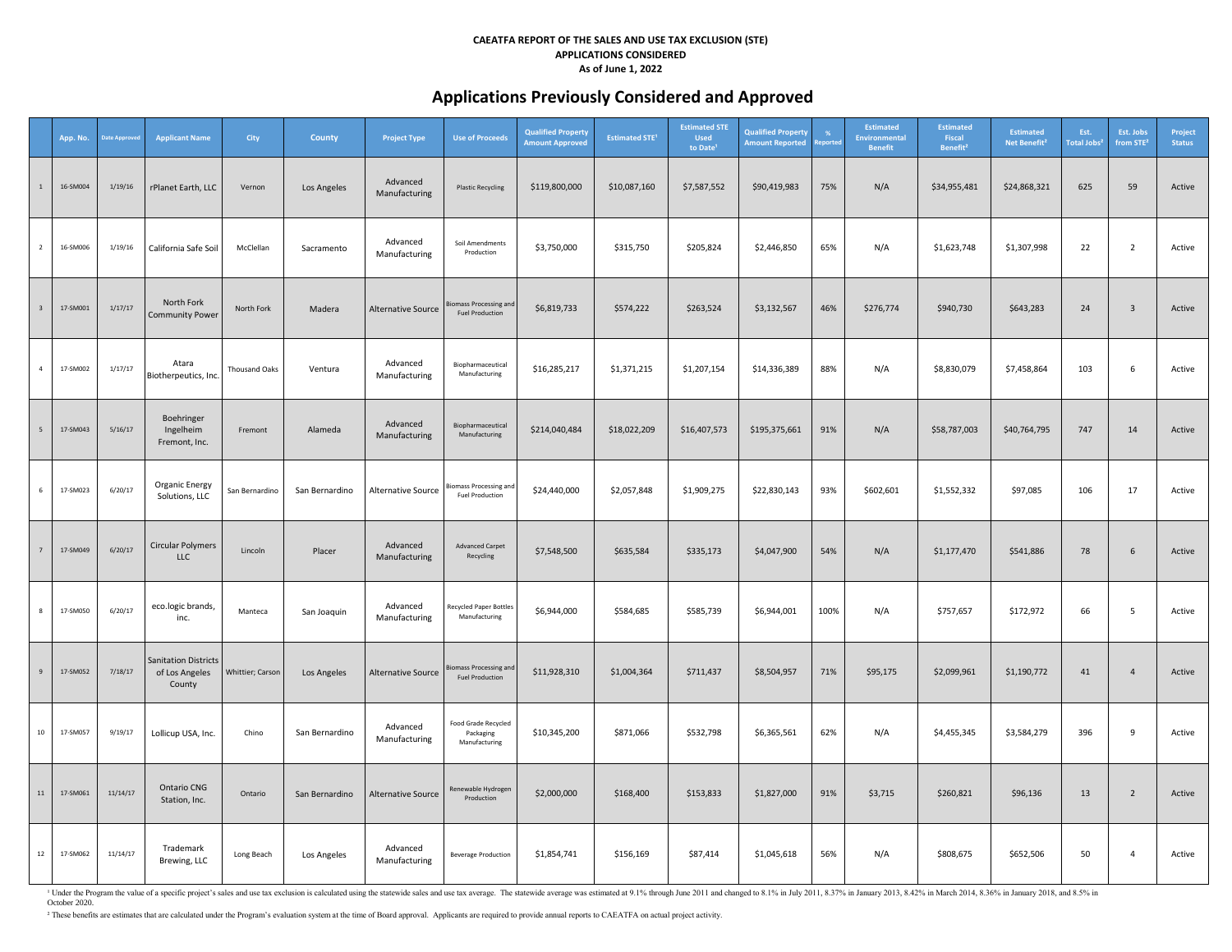# **Applications Previously Considered and Approved**

|                         | App. No. | <b>Date Approve</b> | <b>Applicant Name</b>                                   | City                 | <b>County</b>  | <b>Project Type</b>       | <b>Use of Proceeds</b>                                  | <b>Qualified Property</b><br><b>Amount Approved</b> | <b>Estimated STE<sup>1</sup></b> | <b>Estimated STE</b><br><b>Used</b><br>to Date | <b>Qualified Property</b><br><b>Amount Reported</b> | $\frac{9}{6}$<br>eporte | <b>Estimated</b><br><b>Environmental</b><br><b>Benefit</b> | <b>Estimated</b><br>Fiscal<br>Benefit <sup>2</sup> | <b>Estimated</b><br>Net Benefit <sup>2</sup> | Est.<br><b>Total Jobs<sup>2</sup></b> | Est. Jobs<br>from STE <sup>2</sup> | Project<br><b>Status</b> |
|-------------------------|----------|---------------------|---------------------------------------------------------|----------------------|----------------|---------------------------|---------------------------------------------------------|-----------------------------------------------------|----------------------------------|------------------------------------------------|-----------------------------------------------------|-------------------------|------------------------------------------------------------|----------------------------------------------------|----------------------------------------------|---------------------------------------|------------------------------------|--------------------------|
| $\mathbf{1}$            | 16-SM004 | 1/19/16             | rPlanet Earth, LLC                                      | Vernon               | Los Angeles    | Advanced<br>Manufacturing | <b>Plastic Recycling</b>                                | \$119,800,000                                       | \$10,087,160                     | \$7,587,552                                    | \$90,419,983                                        | 75%                     | N/A                                                        | \$34,955,481                                       | \$24,868,321                                 | 625                                   | 59                                 | Active                   |
| $\overline{2}$          | 16-SM006 | 1/19/16             | California Safe Soil                                    | McClellan            | Sacramento     | Advanced<br>Manufacturing | Soil Amendments<br>Production                           | \$3,750,000                                         | \$315,750                        | \$205,824                                      | \$2,446,850                                         | 65%                     | N/A                                                        | \$1,623,748                                        | \$1,307,998                                  | 22                                    | $\overline{2}$                     | Active                   |
| $\overline{\mathbf{3}}$ | 17-SM001 | 1/17/17             | North Fork<br><b>Community Power</b>                    | North Fork           | Madera         | <b>Alternative Source</b> | iomass Processing and<br><b>Fuel Production</b>         | \$6,819,733                                         | \$574,222                        | \$263,524                                      | \$3,132,567                                         | 46%                     | \$276,774                                                  | \$940,730                                          | \$643,283                                    | 24                                    | $\overline{3}$                     | Active                   |
| $\overline{4}$          | 17-SM002 | 1/17/17             | Atara<br>Biotherpeutics, Inc.                           | <b>Thousand Oaks</b> | Ventura        | Advanced<br>Manufacturing | Biopharmaceutical<br>Manufacturing                      | \$16,285,217                                        | \$1,371,215                      | \$1,207,154                                    | \$14,336,389                                        | 88%                     | N/A                                                        | \$8,830,079                                        | \$7,458,864                                  | 103                                   | 6                                  | Active                   |
| $\sqrt{5}$              | 17-SM043 | 5/16/17             | Boehringer<br>Ingelheim<br>Fremont, Inc.                | Fremont              | Alameda        | Advanced<br>Manufacturing | Biopharmaceutical<br>Manufacturing                      | \$214,040,484                                       | \$18,022,209                     | \$16,407,573                                   | \$195,375,661                                       | 91%                     | N/A                                                        | \$58,787,003                                       | \$40,764,795                                 | 747                                   | 14                                 | Active                   |
| 6                       | 17-SM023 | 6/20/17             | Organic Energy<br>Solutions, LLC                        | San Bernardino       | San Bernardino | Alternative Source        | <b>Biomass Processing and</b><br><b>Fuel Production</b> | \$24,440,000                                        | \$2,057,848                      | \$1,909,275                                    | \$22,830,143                                        | 93%                     | \$602,601                                                  | \$1,552,332                                        | \$97,085                                     | 106                                   | 17                                 | Active                   |
| $\overline{7}$          | 17-SM049 | 6/20/17             | <b>Circular Polymers</b><br><b>LLC</b>                  | Lincoln              | Placer         | Advanced<br>Manufacturing | <b>Advanced Carpet</b><br>Recycling                     | \$7,548,500                                         | \$635,584                        | \$335,173                                      | \$4,047,900                                         | 54%                     | N/A                                                        | \$1,177,470                                        | \$541,886                                    | 78                                    | 6                                  | Active                   |
| $\bf{8}$                | 17-SM050 | 6/20/17             | eco.logic brands,<br>inc.                               | Manteca              | San Joaquin    | Advanced<br>Manufacturing | <b>Recycled Paper Bottles</b><br>Manufacturing          | \$6,944,000                                         | \$584,685                        | \$585,739                                      | \$6,944,001                                         | 100%                    | N/A                                                        | \$757,657                                          | \$172,972                                    | 66                                    | 5                                  | Active                   |
| $\mathsf g$             | 17-SM052 | 7/18/17             | <b>Sanitation Districts</b><br>of Los Angeles<br>County | Whittier; Carsor     | Los Angeles    | <b>Alternative Source</b> | iomass Processing and<br><b>Fuel Production</b>         | \$11,928,310                                        | \$1,004,364                      | \$711,437                                      | \$8,504,957                                         | 71%                     | \$95,175                                                   | \$2,099,961                                        | \$1,190,772                                  | 41                                    | $\overline{4}$                     | Active                   |
| $10\,$                  | 17-SM057 | 9/19/17             | Lollicup USA, Inc.                                      | Chino                | San Bernardino | Advanced<br>Manufacturing | Food Grade Recycled<br>Packaging<br>Manufacturing       | \$10,345,200                                        | \$871,066                        | \$532,798                                      | \$6,365,561                                         | 62%                     | N/A                                                        | \$4,455,345                                        | \$3,584,279                                  | 396                                   | 9                                  | Active                   |
| $11\,$                  | 17-SM061 | 11/14/17            | Ontario CNG<br>Station, Inc.                            | Ontario              | San Bernardino | Alternative Source        | Renewable Hydrogen<br>Production                        | \$2,000,000                                         | \$168,400                        | \$153,833                                      | \$1,827,000                                         | 91%                     | \$3,715                                                    | \$260,821                                          | \$96,136                                     | 13                                    | $\overline{2}$                     | Active                   |
| 12                      | 17-SM062 | 11/14/17            | Trademark<br>Brewing, LLC                               | Long Beach           | Los Angeles    | Advanced<br>Manufacturing | <b>Beverage Production</b>                              | \$1,854,741                                         | \$156,169                        | \$87,414                                       | \$1,045,618                                         | 56%                     | N/A                                                        | \$808,675                                          | \$652,506                                    | 50                                    | $\overline{4}$                     | Active                   |

1 Under the Program the value of a specific project's sales and use tax exclusion is calculated using the statewide sales and use tax average. The statewide average was estimated at 9.1% through June 2011 and changed to 8. October 2020.

² These benefits are estimates that are calculated under the Program's evaluation system at the time of Board approval. Applicants are required to provide annual reports to CAEATFA on actual project activity.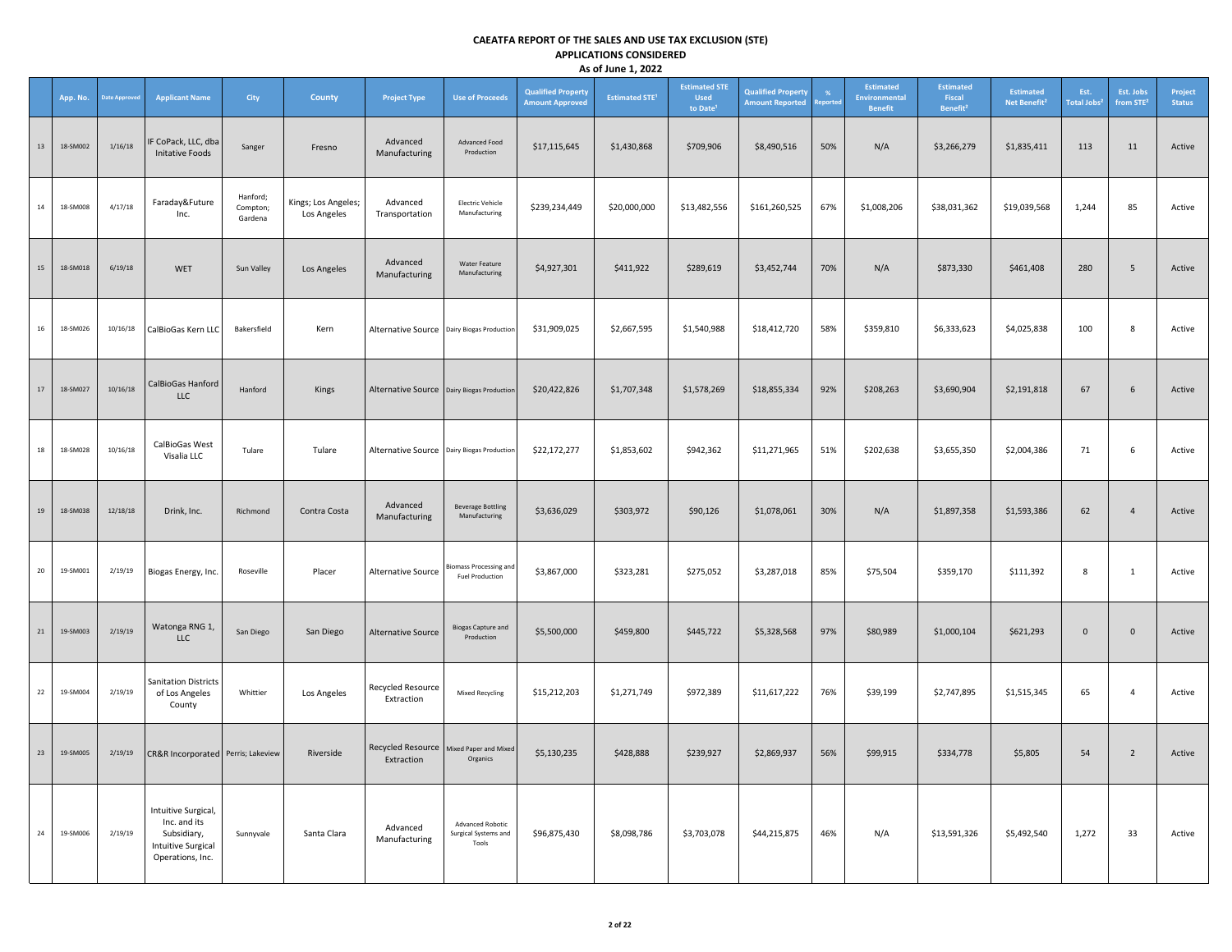|        | App. No. | ate Approve | <b>Applicant Name</b>                                                                        | City                            | County                             | <b>Project Type</b>                                     | <b>Use of Proceeds</b>                                   | <b>Qualified Property</b><br><b>Amount Approved</b> | <b>Estimated STE<sup>1</sup></b> | <b>Estimated STE</b><br><b>Used</b><br>to Date <sup>1</sup> | <b>Qualified Property</b><br><b>Amount Reported</b> | eporte | Estimated<br><b>Environmental</b><br><b>Benefit</b> | <b>Estimated</b><br>Fiscal<br>Benefit <sup>2</sup> | <b>Estimated</b><br>Net Benefit <sup>2</sup> | Est.<br><b>Total Jobs<sup>2</sup></b> | Est. Jobs<br>from STE <sup>2</sup> | Project<br><b>Status</b> |
|--------|----------|-------------|----------------------------------------------------------------------------------------------|---------------------------------|------------------------------------|---------------------------------------------------------|----------------------------------------------------------|-----------------------------------------------------|----------------------------------|-------------------------------------------------------------|-----------------------------------------------------|--------|-----------------------------------------------------|----------------------------------------------------|----------------------------------------------|---------------------------------------|------------------------------------|--------------------------|
| $13\,$ | 18-SM002 | 1/16/18     | IF CoPack, LLC, dba<br>Initative Foods                                                       | Sanger                          | Fresno                             | Advanced<br>Manufacturing                               | Advanced Food<br>Production                              | \$17,115,645                                        | \$1,430,868                      | \$709,906                                                   | \$8,490,516                                         | 50%    | N/A                                                 | \$3,266,279                                        | \$1,835,411                                  | 113                                   | 11                                 | Active                   |
| 14     | 18-SM008 | 4/17/18     | Faraday&Future<br>Inc.                                                                       | Hanford;<br>Compton;<br>Gardena | Kings; Los Angeles;<br>Los Angeles | Advanced<br>Transportation                              | Electric Vehicle<br>Manufacturing                        | \$239,234,449                                       | \$20,000,000                     | \$13,482,556                                                | \$161,260,525                                       | 67%    | \$1,008,206                                         | \$38,031,362                                       | \$19,039,568                                 | 1,244                                 | 85                                 | Active                   |
| 15     | 18-SM018 | 6/19/18     | <b>WET</b>                                                                                   | Sun Valley                      | Los Angeles                        | Advanced<br>Manufacturing                               | <b>Water Feature</b><br>Manufacturing                    | \$4,927,301                                         | \$411,922                        | \$289,619                                                   | \$3,452,744                                         | 70%    | N/A                                                 | \$873,330                                          | \$461,408                                    | 280                                   | 5                                  | Active                   |
| 16     | 18-SM026 | 10/16/18    | CalBioGas Kern LLC                                                                           | Bakersfield                     | Kern                               | Alternative Source Dairy Biogas Production              |                                                          | \$31,909,025                                        | \$2,667,595                      | \$1,540,988                                                 | \$18,412,720                                        | 58%    | \$359,810                                           | \$6,333,623                                        | \$4,025,838                                  | 100                                   | 8                                  | Active                   |
| 17     | 18-SM027 | 10/16/18    | CalBioGas Hanford<br><b>LLC</b>                                                              | Hanford                         | Kings                              | Alternative Source Dairy Biogas Production              |                                                          | \$20,422,826                                        | \$1,707,348                      | \$1,578,269                                                 | \$18,855,334                                        | 92%    | \$208,263                                           | \$3,690,904                                        | \$2,191,818                                  | 67                                    | $6\overline{6}$                    | Active                   |
| 18     | 18-SM028 | 10/16/18    | CalBioGas West<br>Visalia LLC                                                                | Tulare                          | Tulare                             | Alternative Source Dairy Biogas Production              |                                                          | \$22,172,277                                        | \$1,853,602                      | \$942,362                                                   | \$11,271,965                                        | 51%    | \$202,638                                           | \$3,655,350                                        | \$2,004,386                                  | 71                                    | 6                                  | Active                   |
| 19     | 18-SM038 | 12/18/18    | Drink, Inc.                                                                                  | Richmond                        | Contra Costa                       | Advanced<br>Manufacturing                               | <b>Beverage Bottling</b><br>Manufacturing                | \$3,636,029                                         | \$303,972                        | \$90,126                                                    | \$1,078,061                                         | 30%    | N/A                                                 | \$1,897,358                                        | \$1,593,386                                  | 62                                    | $\overline{4}$                     | Active                   |
| 20     | 19-SM001 | 2/19/19     | Biogas Energy, Inc.                                                                          | Roseville                       | Placer                             | Alternative Source                                      | <b>Biomass Processing and</b><br><b>Fuel Production</b>  | \$3,867,000                                         | \$323,281                        | \$275,052                                                   | \$3,287,018                                         | 85%    | \$75,504                                            | \$359,170                                          | \$111,392                                    | 8                                     | $\mathbf{1}$                       | Active                   |
| 21     | 19-SM003 | 2/19/19     | Watonga RNG 1,<br><b>LLC</b>                                                                 | San Diego                       | San Diego                          | Alternative Source                                      | <b>Biogas Capture and</b><br>Production                  | \$5,500,000                                         | \$459,800                        | \$445,722                                                   | \$5,328,568                                         | 97%    | \$80,989                                            | \$1,000,104                                        | \$621,293                                    | $\mathsf{O}\xspace$                   | $\mathsf{O}\xspace$                | Active                   |
| 22     | 19-SM004 | 2/19/19     | <b>Sanitation Districts</b><br>of Los Angeles<br>County                                      | Whittier                        | Los Angeles                        | Recycled Resource<br>Extraction                         | <b>Mixed Recycling</b>                                   | \$15,212,203                                        | \$1,271,749                      | \$972,389                                                   | \$11,617,222                                        | 76%    | \$39,199                                            | \$2,747,895                                        | \$1,515,345                                  | 65                                    | $\overline{4}$                     | Active                   |
| 23     | 19-SM005 | 2/19/19     | CR&R Incorporated Perris; Lakeview                                                           |                                 | Riverside                          | Recycled Resource   Mixed Paper and Mixed<br>Extraction | Organics                                                 | \$5,130,235                                         | \$428,888                        | \$239,927                                                   | \$2,869,937                                         | 56%    | \$99,915                                            | \$334,778                                          | \$5,805                                      | 54                                    | $\overline{2}$                     | Active                   |
| 24     | 19-SM006 | 2/19/19     | Intuitive Surgical,<br>Inc. and its<br>Subsidiary,<br>Intuitive Surgical<br>Operations, Inc. | Sunnyvale                       | Santa Clara                        | Advanced<br>Manufacturing                               | <b>Advanced Robotic</b><br>Surgical Systems and<br>Tools | \$96,875,430                                        | \$8,098,786                      | \$3,703,078                                                 | \$44,215,875                                        | 46%    | N/A                                                 | \$13,591,326                                       | \$5,492,540                                  | 1,272                                 | 33                                 | Active                   |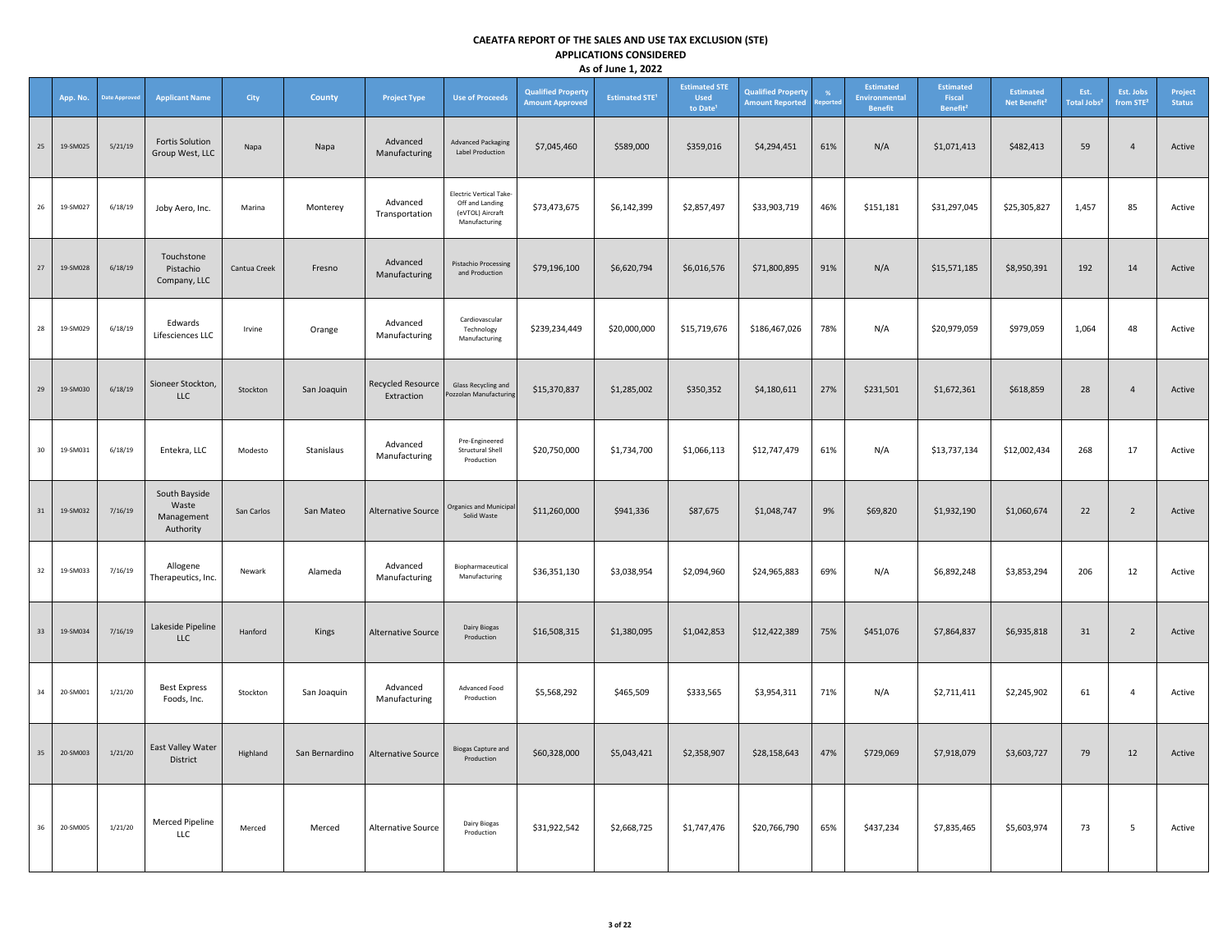|    | App. No. | Date Approve | <b>Applicant Name</b>                             | <b>City</b>  | <b>County</b>  | <b>Project Type</b>                    | <b>Use of Proceeds</b>                                                          | <b>Qualified Property</b><br><b>Amount Approved</b> | <b>Estimated STE<sup>1</sup></b> | <b>Estimated STE</b><br><b>Used</b><br>to Date <sup>1</sup> | <b>Qualified Property</b><br><b>Amount Reported</b> | %<br>eporte | Estimated<br><b>Environmental</b><br><b>Benefit</b> | <b>Estimated</b><br>Fiscal<br>Benefit <sup>2</sup> | <b>Estimated</b><br>Net Benefit <sup>2</sup> | Est.<br><b>Total Jobs<sup>2</sup></b> | Est. Jobs<br>from STE <sup>2</sup> | Project<br><b>Status</b> |
|----|----------|--------------|---------------------------------------------------|--------------|----------------|----------------------------------------|---------------------------------------------------------------------------------|-----------------------------------------------------|----------------------------------|-------------------------------------------------------------|-----------------------------------------------------|-------------|-----------------------------------------------------|----------------------------------------------------|----------------------------------------------|---------------------------------------|------------------------------------|--------------------------|
| 25 | 19-SM025 | 5/21/19      | <b>Fortis Solution</b><br>Group West, LLC         | Napa         | Napa           | Advanced<br>Manufacturing              | <b>Advanced Packaging</b><br><b>Label Production</b>                            | \$7,045,460                                         | \$589,000                        | \$359,016                                                   | \$4,294,451                                         | 61%         | N/A                                                 | \$1,071,413                                        | \$482,413                                    | 59                                    | $\overline{4}$                     | Active                   |
| 26 | 19-SM027 | 6/18/19      | Joby Aero, Inc.                                   | Marina       | Monterey       | Advanced<br>Transportation             | Electric Vertical Take-<br>Off and Landing<br>(eVTOL) Aircraft<br>Manufacturing | \$73,473,675                                        | \$6,142,399                      | \$2,857,497                                                 | \$33,903,719                                        | 46%         | \$151,181                                           | \$31,297,045                                       | \$25,305,827                                 | 1,457                                 | 85                                 | Active                   |
| 27 | 19-SM028 | 6/18/19      | Touchstone<br>Pistachio<br>Company, LLC           | Cantua Creek | Fresno         | Advanced<br>Manufacturing              | <b>Pistachio Processing</b><br>and Production                                   | \$79,196,100                                        | \$6,620,794                      | \$6,016,576                                                 | \$71,800,895                                        | 91%         | N/A                                                 | \$15,571,185                                       | \$8.950.391                                  | 192                                   | 14                                 | Active                   |
| 28 | 19-SM029 | 6/18/19      | Edwards<br>Lifesciences LLC                       | Irvine       | Orange         | Advanced<br>Manufacturing              | Cardiovascular<br>Technology<br>Manufacturing                                   | \$239,234,449                                       | \$20,000,000                     | \$15,719,676                                                | \$186,467,026                                       | 78%         | N/A                                                 | \$20,979,059                                       | \$979,059                                    | 1,064                                 | 48                                 | Active                   |
| 29 | 19-SM030 | 6/18/19      | Sioneer Stockton,<br><b>LLC</b>                   | Stockton     | San Joaquin    | <b>Recycled Resource</b><br>Extraction | Glass Recycling and<br>Pozzolan Manufacturing                                   | \$15,370,837                                        | \$1,285,002                      | \$350,352                                                   | \$4,180,611                                         | 27%         | \$231,501                                           | \$1,672,361                                        | \$618,859                                    | 28                                    | $\overline{4}$                     | Active                   |
| 30 | 19-SM031 | 6/18/19      | Entekra, LLC                                      | Modesto      | Stanislaus     | Advanced<br>Manufacturing              | Pre-Engineered<br><b>Structural Shell</b><br>Production                         | \$20,750,000                                        | \$1,734,700                      | \$1,066,113                                                 | \$12,747,479                                        | 61%         | N/A                                                 | \$13,737,134                                       | \$12,002,434                                 | 268                                   | 17                                 | Active                   |
| 31 | 19-SM032 | 7/16/19      | South Bayside<br>Waste<br>Management<br>Authority | San Carlos   | San Mateo      | <b>Alternative Source</b>              | <b>Organics and Municipal</b><br>Solid Waste                                    | \$11,260,000                                        | \$941,336                        | \$87,675                                                    | \$1,048,747                                         | 9%          | \$69,820                                            | \$1,932,190                                        | \$1,060,674                                  | 22                                    | $\overline{2}$                     | Active                   |
| 32 | 19-SM033 | 7/16/19      | Allogene<br>Therapeutics, Inc.                    | Newark       | Alameda        | Advanced<br>Manufacturing              | Biopharmaceutical<br>Manufacturing                                              | \$36,351,130                                        | \$3,038,954                      | \$2,094,960                                                 | \$24,965,883                                        | 69%         | N/A                                                 | \$6,892,248                                        | \$3,853,294                                  | 206                                   | 12                                 | Active                   |
| 33 | 19-SM034 | 7/16/19      | Lakeside Pipeline<br><b>LLC</b>                   | Hanford      | Kings          | <b>Alternative Source</b>              | Dairy Biogas<br>Production                                                      | \$16,508,315                                        | \$1,380,095                      | \$1,042,853                                                 | \$12,422,389                                        | 75%         | \$451,076                                           | \$7,864,837                                        | \$6,935,818                                  | 31                                    | $\overline{2}$                     | Active                   |
| 34 | 20-SM001 | 1/21/20      | <b>Best Express</b><br>Foods, Inc.                | Stockton     | San Joaquin    | Advanced<br>Manufacturing              | Advanced Food<br>Production                                                     | \$5,568,292                                         | \$465,509                        | \$333,565                                                   | \$3,954,311                                         | 71%         | N/A                                                 | \$2,711,411                                        | \$2,245,902                                  | 61                                    | $\overline{4}$                     | Active                   |
| 35 | 20-SM003 | 1/21/20      | East Valley Water<br>District                     | Highland     | San Bernardino | <b>Alternative Source</b>              | <b>Biogas Capture and</b><br>Production                                         | \$60,328,000                                        | \$5,043,421                      | \$2,358,907                                                 | \$28,158,643                                        | 47%         | \$729,069                                           | \$7,918,079                                        | \$3,603,727                                  | 79                                    | 12                                 | Active                   |
| 36 | 20-SM005 | 1/21/20      | Merced Pipeline<br>LLC                            | Merced       | Merced         | Alternative Source                     | Dairy Biogas<br>Production                                                      | \$31,922,542                                        | \$2,668,725                      | \$1,747,476                                                 | \$20,766,790                                        | 65%         | \$437,234                                           | \$7,835,465                                        | \$5,603,974                                  | 73                                    | 5                                  | Active                   |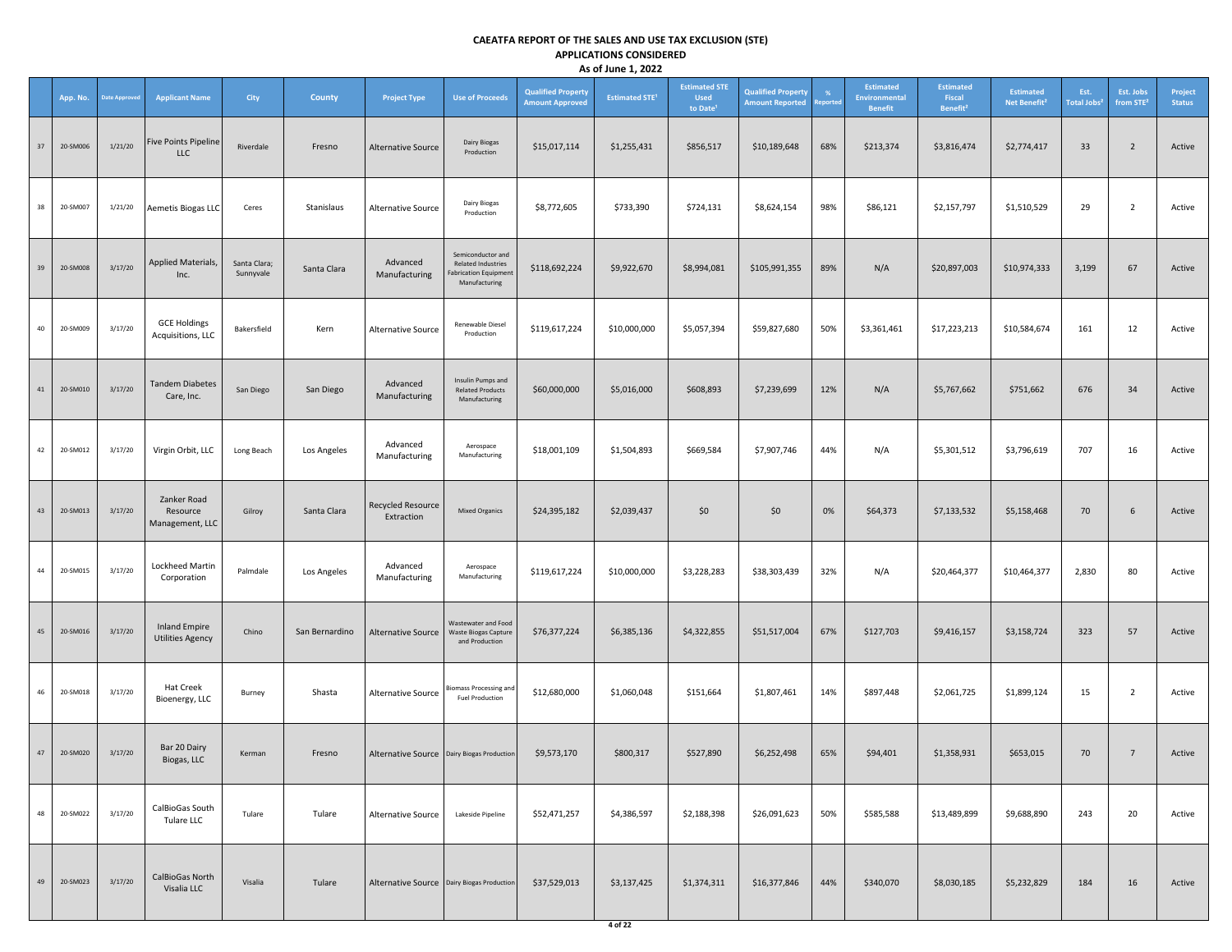|    | App. No. | <b>Date Approved</b> | <b>Applicant Name</b>                           | <b>City</b>               | County         | <b>Project Type</b>                          | <b>Use of Proceeds</b>                                                                          | <b>Qualified Property</b><br><b>Amount Approved</b> | <b>Estimated STE<sup>1</sup></b> | <b>Estimated STE</b><br><b>Used</b><br>to Date | <b>Qualified Property</b><br><b>Amount Reported</b> | -%<br>eported | <b>Estimated</b><br>Environmental<br><b>Benefit</b> | <b>Estimated</b><br>Fiscal<br>Benefit <sup>2</sup> | <b>Estimated</b><br>Net Benefit <sup>2</sup> | Est.<br>Total Jobs <sup>2</sup> | Est. Jobs<br>from STE <sup>2</sup> | Project<br><b>Status</b> |
|----|----------|----------------------|-------------------------------------------------|---------------------------|----------------|----------------------------------------------|-------------------------------------------------------------------------------------------------|-----------------------------------------------------|----------------------------------|------------------------------------------------|-----------------------------------------------------|---------------|-----------------------------------------------------|----------------------------------------------------|----------------------------------------------|---------------------------------|------------------------------------|--------------------------|
| 37 | 20-SM006 | 1/21/20              | <b>Five Points Pipeline</b><br>LLC              | Riverdale                 | Fresno         | Alternative Source                           | Dairy Biogas<br>Production                                                                      | \$15,017,114                                        | \$1,255,431                      | \$856,517                                      | \$10,189,648                                        | 68%           | \$213,374                                           | \$3,816,474                                        | \$2,774,417                                  | 33                              | $\overline{2}$                     | Active                   |
| 38 | 20-SM007 | 1/21/20              | Aemetis Biogas LLC                              | Ceres                     | Stanislaus     | Alternative Source                           | Dairy Biogas<br>Production                                                                      | \$8,772,605                                         | \$733,390                        | \$724,131                                      | \$8,624,154                                         | 98%           | \$86,121                                            | \$2,157,797                                        | \$1,510,529                                  | 29                              | $\overline{2}$                     | Active                   |
| 39 | 20-SM008 | 3/17/20              | Applied Materials,<br>Inc.                      | Santa Clara;<br>Sunnyvale | Santa Clara    | Advanced<br>Manufacturing                    | Semiconductor and<br><b>Related Industries</b><br><b>Fabrication Equipment</b><br>Manufacturing | \$118,692,224                                       | \$9,922,670                      | \$8,994,081                                    | \$105,991,355                                       | 89%           | N/A                                                 | \$20,897,003                                       | \$10,974,333                                 | 3,199                           | 67                                 | Active                   |
| 40 | 20-SM009 | 3/17/20              | <b>GCE Holdings</b><br>Acquisitions, LLC        | Bakersfield               | Kern           | Alternative Source                           | Renewable Diesel<br>Production                                                                  | \$119,617,224                                       | \$10,000,000                     | \$5,057,394                                    | \$59,827,680                                        | 50%           | \$3,361,461                                         | \$17,223,213                                       | \$10,584,674                                 | 161                             | 12                                 | Active                   |
| 41 | 20-SM010 | 3/17/20              | <b>Tandem Diabetes</b><br>Care, Inc.            | San Diego                 | San Diego      | Advanced<br>Manufacturing                    | Insulin Pumps and<br><b>Related Products</b><br>Manufacturing                                   | \$60,000,000                                        | \$5,016,000                      | \$608,893                                      | \$7,239,699                                         | 12%           | N/A                                                 | \$5,767,662                                        | \$751,662                                    | 676                             | 34                                 | Active                   |
| 42 | 20-SM012 | 3/17/20              | Virgin Orbit, LLC                               | Long Beach                | Los Angeles    | Advanced<br>Manufacturing                    | Aerospace<br>Manufacturing                                                                      | \$18,001,109                                        | \$1,504,893                      | \$669,584                                      | \$7,907,746                                         | 44%           | N/A                                                 | \$5,301,512                                        | \$3,796,619                                  | 707                             | 16                                 | Active                   |
| 43 | 20-SM013 | 3/17/20              | Zanker Road<br>Resource<br>Management, LLC      | Gilroy                    | Santa Clara    | <b>Recycled Resource</b><br>Extraction       | <b>Mixed Organics</b>                                                                           | \$24,395,182                                        | \$2,039,437                      | \$0                                            | \$0                                                 | 0%            | \$64,373                                            | \$7,133,532                                        | \$5,158,468                                  | 70                              | 6                                  | Active                   |
| 44 | 20-SM015 | 3/17/20              | Lockheed Martin<br>Corporation                  | Palmdale                  | Los Angeles    | Advanced<br>Manufacturing                    | Aerospace<br>Manufacturing                                                                      | \$119,617,224                                       | \$10,000,000                     | \$3,228,283                                    | \$38,303,439                                        | 32%           | N/A                                                 | \$20,464,377                                       | \$10,464,377                                 | 2,830                           | 80                                 | Active                   |
| 45 | 20-SM016 | 3/17/20              | <b>Inland Empire</b><br><b>Utilities Agency</b> | Chino                     | San Bernardino | <b>Alternative Source</b>                    | Wastewater and Food<br>Waste Biogas Capture<br>and Production                                   | \$76,377,224                                        | \$6,385,136                      | \$4,322,855                                    | \$51,517,004                                        | 67%           | \$127,703                                           | \$9,416,157                                        | \$3,158,724                                  | 323                             | 57                                 | Active                   |
| 46 | 20-SM018 | 3/17/20              | <b>Hat Creek</b><br>Bioenergy, LLC              | Burney                    | Shasta         | Alternative Source                           | <b>Biomass Processing and</b><br><b>Fuel Production</b>                                         | \$12,680,000                                        | \$1,060,048                      | \$151,664                                      | \$1,807,461                                         | 14%           | \$897,448                                           | \$2,061,725                                        | \$1,899,124                                  | 15                              | $\overline{2}$                     | Active                   |
| 47 | 20-SM020 | 3/17/20              | Bar 20 Dairy<br>Biogas, LLC                     | Kerman                    | Fresno         | Alternative Source Dairy Biogas Production   |                                                                                                 | \$9,573,170                                         | \$800,317                        | \$527,890                                      | \$6,252,498                                         | 65%           | \$94,401                                            | \$1,358,931                                        | \$653,015                                    | 70                              | $7\overline{ }$                    | Active                   |
| 48 | 20-SM022 | 3/17/20              | CalBioGas South<br>Tulare LLC                   | Tulare                    | Tulare         | Alternative Source                           | Lakeside Pipeline                                                                               | \$52,471,257                                        | \$4,386,597                      | \$2,188,398                                    | \$26,091,623                                        | 50%           | \$585,588                                           | \$13,489,899                                       | \$9,688,890                                  | 243                             | 20                                 | Active                   |
| 49 | 20-SM023 | 3/17/20              | CalBioGas North<br>Visalia LLC                  | Visalia                   | Tulare         | Alternative Source   Dairy Biogas Production |                                                                                                 | \$37,529,013                                        | \$3,137,425                      | \$1,374,311                                    | \$16,377,846                                        | 44%           | \$340,070                                           | \$8,030,185                                        | \$5,232,829                                  | 184                             | 16                                 | Active                   |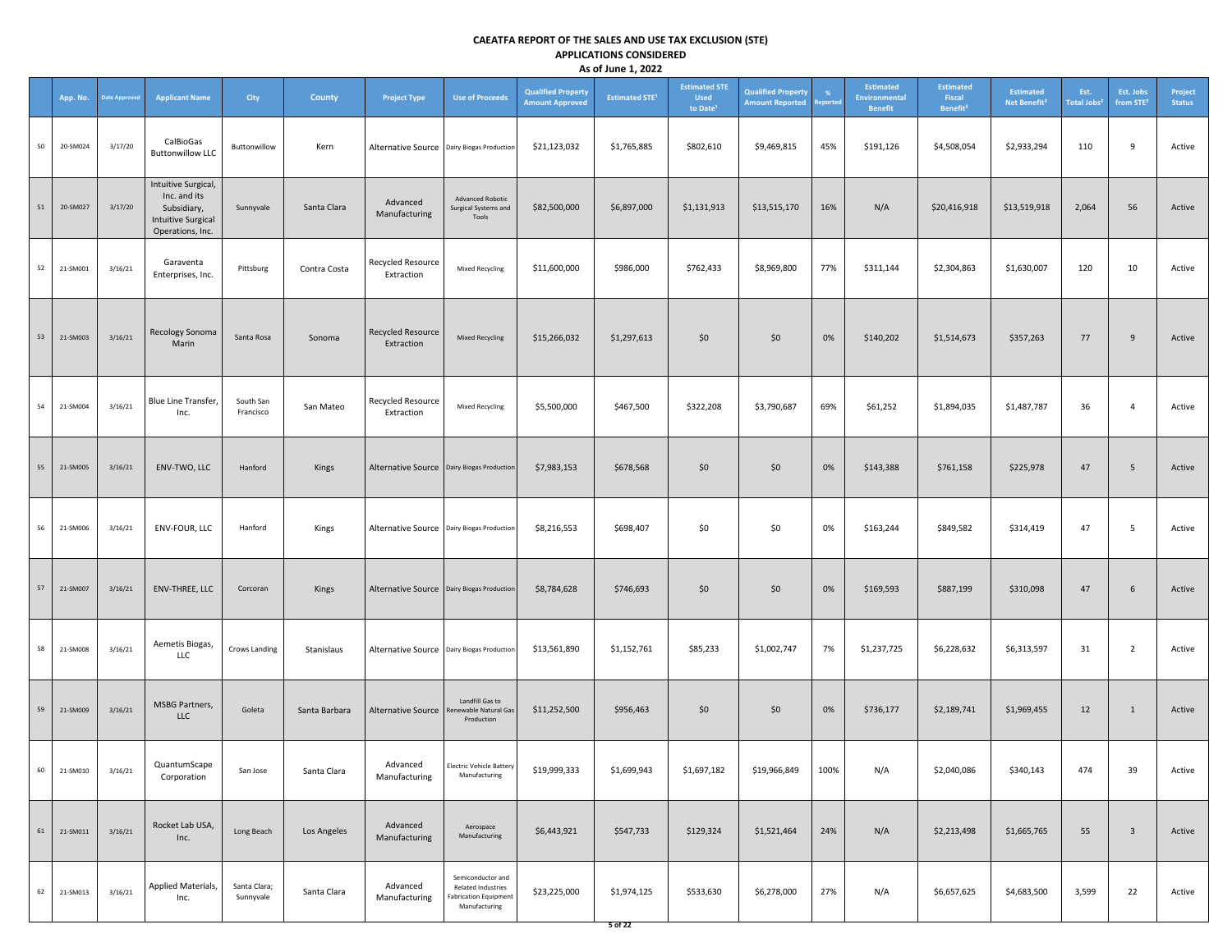|    | App. No.            | <b>Date Approved</b> | <b>Applicant Name</b>                                                                               | City                      | <b>County</b> | <b>Project Type</b>                          | <b>Use of Proceeds</b>                                                                   | <b>Qualified Property</b><br><b>Amount Approved</b> | <b>Estimated STE<sup>1</sup></b> | <b>Estimated STE</b><br><b>Used</b><br>to Date <sup>1</sup> | <b>Qualified Property</b><br><b>Amount Reported</b> | $\frac{9}{6}$<br>eported | <b>Estimated</b><br>Environmental<br><b>Benefit</b> | <b>Estimated</b><br>Fiscal<br>Benefit <sup>2</sup> | <b>Estimated</b><br>Net Benefit <sup>2</sup> | Est.<br>Total Jobs <sup>2</sup> | Est. Jobs<br>from STE <sup>2</sup> | Project<br><b>Status</b> |
|----|---------------------|----------------------|-----------------------------------------------------------------------------------------------------|---------------------------|---------------|----------------------------------------------|------------------------------------------------------------------------------------------|-----------------------------------------------------|----------------------------------|-------------------------------------------------------------|-----------------------------------------------------|--------------------------|-----------------------------------------------------|----------------------------------------------------|----------------------------------------------|---------------------------------|------------------------------------|--------------------------|
| 50 | 20-SM024            | 3/17/20              | CalBioGas<br><b>Buttonwillow LLC</b>                                                                | Buttonwillow              | Kern          | Alternative Source   Dairy Biogas Production |                                                                                          | \$21,123,032                                        | \$1,765,885                      | \$802,610                                                   | \$9,469,815                                         | 45%                      | \$191,126                                           | \$4,508,054                                        | \$2,933,294                                  | 110                             | 9                                  | Active                   |
| 51 | 20-SM027            | 3/17/20              | Intuitive Surgical,<br>Inc. and its<br>Subsidiary,<br><b>Intuitive Surgical</b><br>Operations, Inc. | Sunnyvale                 | Santa Clara   | Advanced<br>Manufacturing                    | Advanced Robotic<br>Surgical Systems and<br>Tools                                        | \$82,500,000                                        | \$6,897,000                      | \$1,131,913                                                 | \$13,515,170                                        | 16%                      | N/A                                                 | \$20,416,918                                       | \$13,519,918                                 | 2,064                           | 56                                 | Active                   |
| 52 | 21-SM001            | 3/16/21              | Garaventa<br>Enterprises, Inc.                                                                      | Pittsburg                 | Contra Costa  | Recycled Resource<br>Extraction              | <b>Mixed Recycling</b>                                                                   | \$11,600,000                                        | \$986,000                        | \$762,433                                                   | \$8,969,800                                         | 77%                      | \$311,144                                           | \$2,304,863                                        | \$1,630,007                                  | 120                             | 10                                 | Active                   |
| 53 | 21-SM003            | 3/16/21              | Recology Sonoma<br>Marin                                                                            | Santa Rosa                | Sonoma        | Recycled Resource<br>Extraction              | <b>Mixed Recycling</b>                                                                   | \$15,266,032                                        | \$1,297,613                      | \$0                                                         | \$0                                                 | 0%                       | \$140,202                                           | \$1,514,673                                        | \$357,263                                    | 77                              | 9                                  | Active                   |
| 54 | 21-SM004            | 3/16/21              | Blue Line Transfer,<br>Inc.                                                                         | South San<br>Francisco    | San Mateo     | Recycled Resource<br>Extraction              | Mixed Recycling                                                                          | \$5,500,000                                         | \$467,500                        | \$322,208                                                   | \$3,790,687                                         | 69%                      | \$61,252                                            | \$1,894,035                                        | \$1,487,787                                  | 36                              | $\overline{4}$                     | Active                   |
| 55 | 21-SM005            | 3/16/21              | ENV-TWO, LLC                                                                                        | Hanford                   | Kings         | Alternative Source   Dairy Biogas Production |                                                                                          | \$7,983,153                                         | \$678,568                        | \$0                                                         | \$0                                                 | 0%                       | \$143,388                                           | \$761,158                                          | \$225,978                                    | 47                              | 5                                  | Active                   |
| 56 | 21-SM006            | 3/16/21              | ENV-FOUR, LLC                                                                                       | Hanford                   | Kings         | Alternative Source Dairy Biogas Production   |                                                                                          | \$8,216,553                                         | \$698,407                        | \$0                                                         | \$0                                                 | 0%                       | \$163,244                                           | \$849,582                                          | \$314,419                                    | 47                              | 5                                  | Active                   |
| 57 | 21-SM007            | 3/16/21              | ENV-THREE, LLC                                                                                      | Corcoran                  | Kings         | Alternative Source   Dairy Biogas Production |                                                                                          | \$8,784,628                                         | \$746,693                        | \$0                                                         | \$0                                                 | 0%                       | \$169,593                                           | \$887,199                                          | \$310,098                                    | 47                              | $6\overline{6}$                    | Active                   |
| 58 | 21-SM008            | 3/16/21              | Aemetis Biogas,<br>LLC                                                                              | Crows Landing             | Stanislaus    | Alternative Source Dairy Biogas Production   |                                                                                          | \$13,561,890                                        | \$1,152,761                      | \$85,233                                                    | \$1,002,747                                         | 7%                       | \$1,237,725                                         | \$6,228,632                                        | \$6,313,597                                  | 31                              | $\overline{2}$                     | Active                   |
| 59 | 21-SM009            | 3/16/21              | <b>MSBG Partners,</b><br><b>LLC</b>                                                                 | Goleta                    | Santa Barbara | Alternative Source                           | Landfill Gas to<br>Renewable Natural Gas<br>Production                                   | \$11,252,500                                        | \$956,463                        | \$0                                                         | \$0                                                 | 0%                       | \$736,177                                           | \$2,189,741                                        | \$1,969,455                                  | 12                              | $\mathbf{1}$                       | Active                   |
|    | 60 21-SM010 3/16/21 |                      | QuantumScape<br>Corporation                                                                         | San Jose                  | Santa Clara   | Advanced<br>Manufacturing                    | <b>Electric Vehicle Battery</b><br>Manufacturing                                         | \$19,999,333                                        | \$1,699,943                      | \$1,697,182                                                 | \$19,966,849 100%                                   |                          | N/A                                                 | \$2,040,086                                        | \$340,143                                    | 474                             | 39                                 | Active                   |
| 61 | 21-SM011            | 3/16/21              | Rocket Lab USA,<br>Inc.                                                                             | Long Beach                | Los Angeles   | Advanced<br>Manufacturing                    | Aerospace<br>Manufacturing                                                               | \$6,443,921                                         | \$547,733                        | \$129,324                                                   | \$1,521,464                                         | 24%                      | N/A                                                 | \$2,213,498                                        | \$1,665,765                                  | 55                              | $\overline{3}$                     | Active                   |
| 62 | 21-SM013            | 3/16/21              | Applied Materials,<br>Inc.                                                                          | Santa Clara;<br>Sunnyvale | Santa Clara   | Advanced<br>Manufacturing                    | Semiconductor and<br>Related Industries<br><b>Fabrication Equipment</b><br>Manufacturing | \$23,225,000                                        | \$1,974,125                      | \$533,630                                                   | \$6,278,000                                         | 27%                      | N/A                                                 | \$6,657,625                                        | \$4,683,500                                  | 3,599                           | 22                                 | Active                   |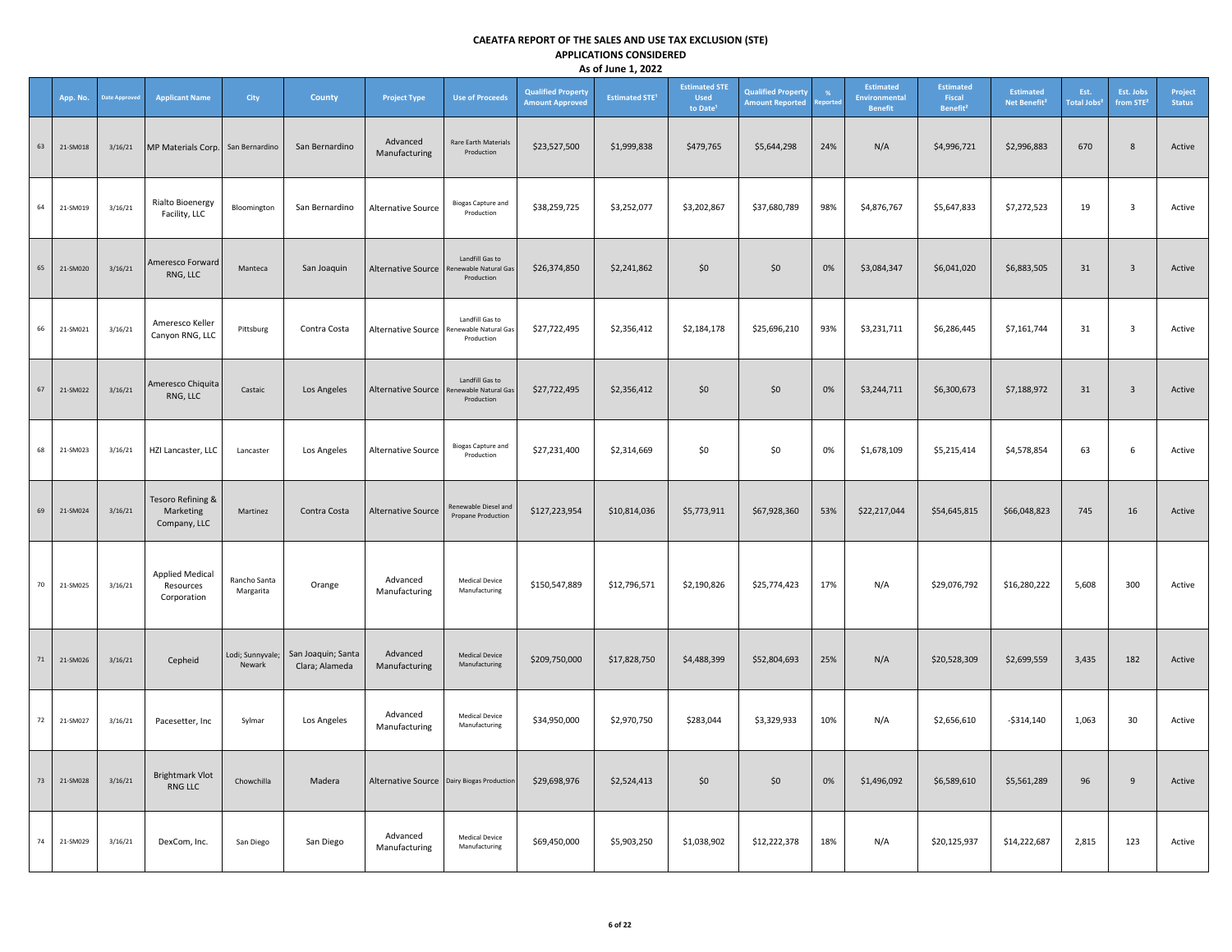|    | App. No. | Date Approve | <b>Applicant Name</b>                              | City                       | <b>County</b>                        | <b>Project Type</b>                          | <b>Use of Proceeds</b>                                 | <b>Qualified Property</b><br><b>Amount Approved</b> | <b>Estimated STE<sup>1</sup></b> | <b>Estimated STE</b><br><b>Used</b><br>to Date <sup>1</sup> | <b>Qualified Property</b><br><b>Amount Reported</b> | porte | Estimated<br><b>Environmental</b><br><b>Benefit</b> | <b>Estimated</b><br>Fiscal<br>Benefit <sup>2</sup> | <b>Estimated</b><br>Net Benefit <sup>2</sup> | Est.<br><b>Total Jobs<sup>2</sup></b> | Est. Jobs<br>from STE <sup>2</sup> | Project<br><b>Status</b> |
|----|----------|--------------|----------------------------------------------------|----------------------------|--------------------------------------|----------------------------------------------|--------------------------------------------------------|-----------------------------------------------------|----------------------------------|-------------------------------------------------------------|-----------------------------------------------------|-------|-----------------------------------------------------|----------------------------------------------------|----------------------------------------------|---------------------------------------|------------------------------------|--------------------------|
| 63 | 21-SM018 | 3/16/21      | MP Materials Corp.                                 | San Bernardino             | San Bernardino                       | Advanced<br>Manufacturing                    | Rare Earth Materials<br>Production                     | \$23,527,500                                        | \$1,999,838                      | \$479,765                                                   | \$5,644,298                                         | 24%   | N/A                                                 | \$4,996,721                                        | \$2,996,883                                  | 670                                   | $\bf 8$                            | Active                   |
| 64 | 21-SM019 | 3/16/21      | <b>Rialto Bioenergy</b><br>Facility, LLC           | Bloomington                | San Bernardino                       | Alternative Source                           | <b>Biogas Capture and</b><br>Production                | \$38,259,725                                        | \$3,252,077                      | \$3,202,867                                                 | \$37,680,789                                        | 98%   | \$4,876,767                                         | \$5,647,833                                        | \$7,272,523                                  | 19                                    | $\overline{\mathbf{3}}$            | Active                   |
| 65 | 21-SM020 | 3/16/21      | Ameresco Forward<br>RNG, LLC                       | Manteca                    | San Joaquin                          | <b>Alternative Source</b>                    | Landfill Gas to<br>enewable Natural Gas<br>Production  | \$26,374,850                                        | \$2,241,862                      | \$0                                                         | \$0                                                 | 0%    | \$3,084,347                                         | \$6,041,020                                        | \$6,883,505                                  | 31                                    | $\overline{\mathbf{3}}$            | Active                   |
| 66 | 21-SM021 | 3/16/21      | Ameresco Keller<br>Canyon RNG, LLC                 | Pittsburg                  | Contra Costa                         | Alternative Source                           | Landfill Gas to<br>enewable Natural Gas<br>Production  | \$27,722,495                                        | \$2,356,412                      | \$2,184,178                                                 | \$25,696,210                                        | 93%   | \$3,231,711                                         | \$6,286,445                                        | \$7,161,744                                  | 31                                    | $\overline{\mathbf{3}}$            | Active                   |
| 67 | 21-SM022 | 3/16/21      | Ameresco Chiquita<br>RNG, LLC                      | Castaic                    | Los Angeles                          | Alternative Source                           | Landfill Gas to<br>Renewable Natural Gas<br>Production | \$27,722,495                                        | \$2,356,412                      | \$0\$                                                       | \$0                                                 | 0%    | \$3,244,711                                         | \$6,300,673                                        | \$7,188,972                                  | 31                                    | $\overline{\mathbf{3}}$            | Active                   |
| 68 | 21-SM023 | 3/16/21      | HZI Lancaster, LLC                                 | Lancaster                  | Los Angeles                          | Alternative Source                           | <b>Biogas Capture and</b><br>Production                | \$27,231,400                                        | \$2,314,669                      | \$0                                                         | \$0                                                 | 0%    | \$1,678,109                                         | \$5,215,414                                        | \$4,578,854                                  | 63                                    | 6                                  | Active                   |
| 69 | 21-SM024 | 3/16/21      | Tesoro Refining &<br>Marketing<br>Company, LLC     | Martinez                   | Contra Costa                         | <b>Alternative Source</b>                    | Renewable Diesel and<br>Propane Production             | \$127,223,954                                       | \$10,814,036                     | \$5,773,911                                                 | \$67,928,360                                        | 53%   | \$22,217,044                                        | \$54,645,815                                       | \$66,048,823                                 | 745                                   | 16                                 | Active                   |
| 70 | 21-SM025 | 3/16/21      | <b>Applied Medical</b><br>Resources<br>Corporation | Rancho Santa<br>Margarita  | Orange                               | Advanced<br>Manufacturing                    | <b>Medical Device</b><br>Manufacturing                 | \$150,547,889                                       | \$12,796,571                     | \$2,190,826                                                 | \$25,774,423                                        | 17%   | N/A                                                 | \$29,076,792                                       | \$16,280,222                                 | 5,608                                 | 300                                | Active                   |
| 71 | 21-SM026 | 3/16/21      | Cepheid                                            | Lodi; Sunnyvale;<br>Newark | San Joaquin; Santa<br>Clara; Alameda | Advanced<br>Manufacturing                    | <b>Medical Device</b><br>Manufacturing                 | \$209,750,000                                       | \$17,828,750                     | \$4,488,399                                                 | \$52,804,693                                        | 25%   | N/A                                                 | \$20,528,309                                       | \$2,699,559                                  | 3,435                                 | 182                                | Active                   |
| 72 | 21-SM027 | 3/16/21      | Pacesetter, Inc                                    | Sylmar                     | Los Angeles                          | Advanced<br>Manufacturing                    | Medical Device<br>Manufacturing                        | \$34,950,000                                        | \$2,970,750                      | \$283,044                                                   | \$3,329,933                                         | 10%   | N/A                                                 | \$2,656,610                                        | $-$ \$314,140                                | 1,063                                 | 30                                 | Active                   |
| 73 | 21-SM028 | 3/16/21      | <b>Brightmark Vlot</b><br>RNG LLC                  | Chowchilla                 | Madera                               | Alternative Source   Dairy Biogas Production |                                                        | \$29,698,976                                        | \$2,524,413                      | \$0                                                         | \$0                                                 | 0%    | \$1,496,092                                         | \$6,589,610                                        | \$5,561,289                                  | 96                                    | 9                                  | Active                   |
| 74 | 21-SM029 | 3/16/21      | DexCom, Inc.                                       | San Diego                  | San Diego                            | Advanced<br>Manufacturing                    | <b>Medical Device</b><br>Manufacturing                 | \$69,450,000                                        | \$5,903,250                      | \$1,038,902                                                 | \$12,222,378                                        | 18%   | N/A                                                 | \$20,125,937                                       | \$14,222,687                                 | 2,815                                 | 123                                | Active                   |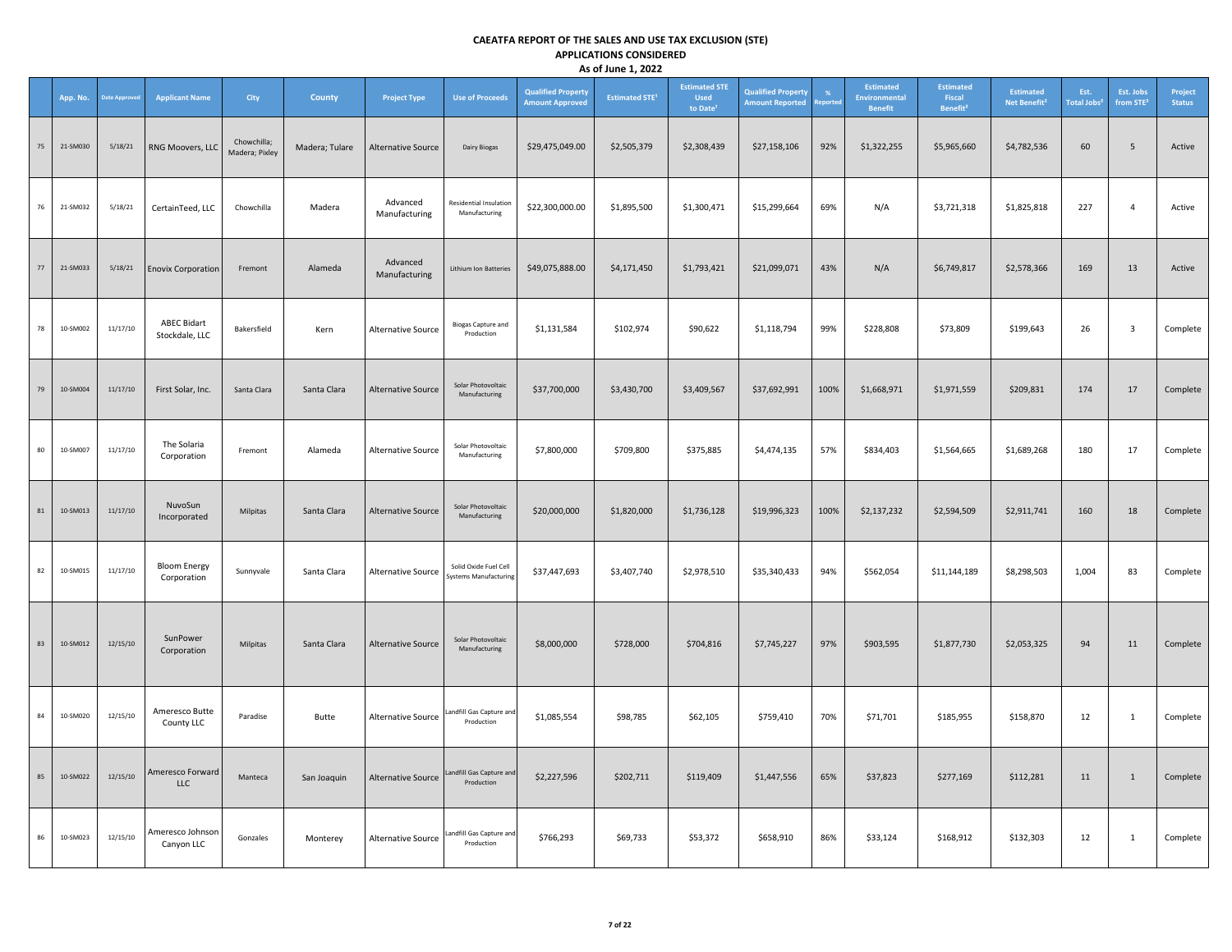|        | App. No. | <b>Date Approve</b> | <b>Applicant Name</b>                | <b>City</b>                   | County         | <b>Project Type</b>       | <b>Use of Proceeds</b>                                | <b>Qualified Property</b><br><b>Amount Approved</b> | <b>Estimated STE<sup>1</sup></b> | <b>Estimated STE</b><br><b>Used</b><br>to Date <sup>1</sup> | <b>Qualified Property</b><br><b>Amount Reported</b> | %<br>eporte | Estimated<br><b>Environmental</b><br><b>Benefit</b> | <b>Estimated</b><br>Fiscal<br>Benefit <sup>2</sup> | <b>Estimated</b><br>Net Benefit <sup>2</sup> | Est.<br>Total Jobs <sup>2</sup> | Est. Jobs<br>from STE <sup>2</sup> | Project<br><b>Status</b> |
|--------|----------|---------------------|--------------------------------------|-------------------------------|----------------|---------------------------|-------------------------------------------------------|-----------------------------------------------------|----------------------------------|-------------------------------------------------------------|-----------------------------------------------------|-------------|-----------------------------------------------------|----------------------------------------------------|----------------------------------------------|---------------------------------|------------------------------------|--------------------------|
| 75     | 21-SM030 | 5/18/21             | RNG Moovers, LLC                     | Chowchilla;<br>Madera; Pixley | Madera; Tulare | Alternative Source        | Dairy Biogas                                          | \$29,475,049.00                                     | \$2,505,379                      | \$2,308,439                                                 | \$27,158,106                                        | 92%         | \$1,322,255                                         | \$5,965,660                                        | \$4,782,536                                  | 60                              | $5\phantom{.0}$                    | Active                   |
| 76     | 21-SM032 | 5/18/21             | CertainTeed, LLC                     | Chowchilla                    | Madera         | Advanced<br>Manufacturing | Residential Insulation<br>Manufacturing               | \$22,300,000.00                                     | \$1,895,500                      | \$1,300,471                                                 | \$15,299,664                                        | 69%         | N/A                                                 | \$3,721,318                                        | \$1,825,818                                  | 227                             | $\overline{4}$                     | Active                   |
| 77     | 21-SM033 | 5/18/21             | <b>Enovix Corporation</b>            | Fremont                       | Alameda        | Advanced<br>Manufacturing | <b>Lithium Ion Batteries</b>                          | \$49,075,888.00                                     | \$4,171,450                      | \$1,793,421                                                 | \$21,099,071                                        | 43%         | N/A                                                 | \$6,749,817                                        | \$2,578,366                                  | 169                             | 13                                 | Active                   |
| 78     | 10-SM002 | 11/17/10            | <b>ABEC Bidart</b><br>Stockdale, LLC | Bakersfield                   | Kern           | Alternative Source        | <b>Biogas Capture and</b><br>Production               | \$1,131,584                                         | \$102,974                        | \$90,622                                                    | \$1,118,794                                         | 99%         | \$228,808                                           | \$73,809                                           | \$199,643                                    | 26                              | $\mathbf{3}$                       | Complete                 |
| 79     | 10-SM004 | 11/17/10            | First Solar, Inc.                    | Santa Clara                   | Santa Clara    | <b>Alternative Source</b> | Solar Photovoltaic<br>Manufacturing                   | \$37,700,000                                        | \$3,430,700                      | \$3,409,567                                                 | \$37,692,991                                        | 100%        | \$1,668,971                                         | \$1,971,559                                        | \$209,831                                    | 174                             | 17                                 | Complete                 |
| $80\,$ | 10-SM007 | 11/17/10            | The Solaria<br>Corporation           | Fremont                       | Alameda        | Alternative Source        | Solar Photovoltaic<br>Manufacturing                   | \$7,800,000                                         | \$709,800                        | \$375,885                                                   | \$4,474,135                                         | 57%         | \$834,403                                           | \$1,564,665                                        | \$1,689,268                                  | 180                             | 17                                 | Complete                 |
| 81     | 10-SM013 | 11/17/10            | NuvoSun<br>Incorporated              | Milpitas                      | Santa Clara    | Alternative Source        | Solar Photovoltaic<br>Manufacturing                   | \$20,000,000                                        | \$1,820,000                      | \$1,736,128                                                 | \$19,996,323                                        | 100%        | \$2,137,232                                         | \$2,594,509                                        | \$2,911,741                                  | 160                             | 18                                 | Complete                 |
| 82     | 10-SM015 | 11/17/10            | <b>Bloom Energy</b><br>Corporation   | Sunnyvale                     | Santa Clara    | Alternative Source        | Solid Oxide Fuel Cell<br><b>Systems Manufacturing</b> | \$37,447,693                                        | \$3,407,740                      | \$2,978,510                                                 | \$35,340,433                                        | 94%         | \$562,054                                           | \$11,144,189                                       | \$8,298,503                                  | 1,004                           | 83                                 | Complete                 |
| 83     | 10-SM012 | 12/15/10            | SunPower<br>Corporation              | Milpitas                      | Santa Clara    | <b>Alternative Source</b> | Solar Photovoltaic<br>Manufacturing                   | \$8,000,000                                         | \$728,000                        | \$704,816                                                   | \$7,745,227                                         | 97%         | \$903,595                                           | \$1,877,730                                        | \$2,053,325                                  | 94                              | 11                                 | Complete                 |
| 84     | 10-SM020 | 12/15/10            | Ameresco Butte<br>County LLC         | Paradise                      | Butte          | <b>Alternative Source</b> | Landfill Gas Capture and<br>Production                | \$1,085,554                                         | \$98,785                         | \$62,105                                                    | \$759,410                                           | 70%         | \$71,701                                            | \$185,955                                          | \$158,870                                    | 12                              | $\mathbf{1}$                       | Complete                 |
| 85     | 10-SM022 | 12/15/10            | Ameresco Forward<br><b>LLC</b>       | Manteca                       | San Joaquin    | <b>Alternative Source</b> | andfill Gas Capture and<br>Production                 | \$2,227,596                                         | \$202,711                        | \$119,409                                                   | \$1,447,556                                         | 65%         | \$37,823                                            | \$277,169                                          | \$112,281                                    | 11                              | $\mathbf{1}$                       | Complete                 |
| 86     | 10-SM023 | 12/15/10            | Ameresco Johnson<br>Canyon LLC       | Gonzales                      | Monterey       | Alternative Source        | andfill Gas Capture and<br>Production                 | \$766,293                                           | \$69,733                         | \$53,372                                                    | \$658,910                                           | 86%         | \$33,124                                            | \$168,912                                          | \$132,303                                    | 12                              | $\mathbf{1}$                       | Complete                 |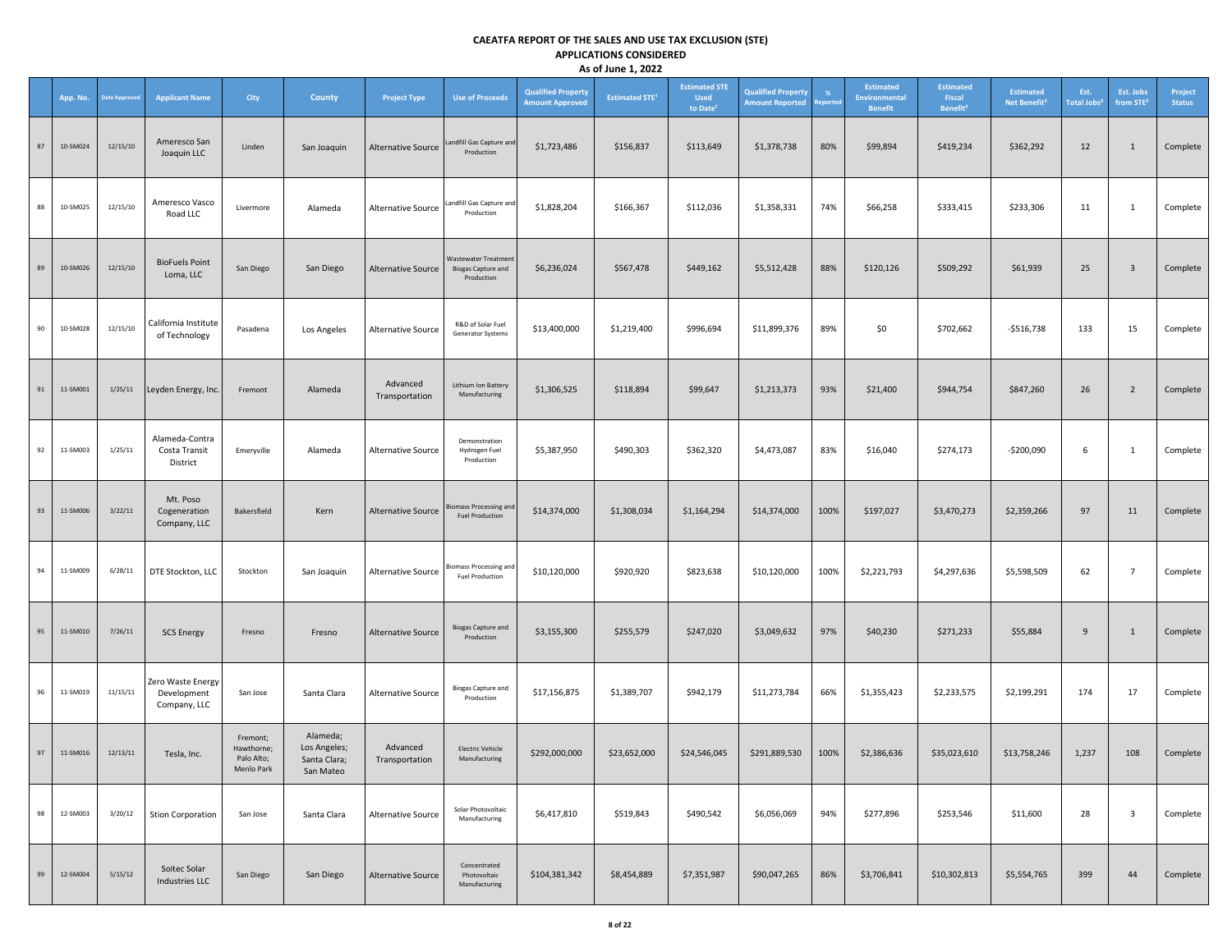|    | App. No. | <b>Date Approved</b> | <b>Applicant Name</b>                            | City                                               | <b>County</b>                                         | <b>Project Type</b>        | <b>Use of Proceeds</b>                                          | <b>Qualified Property</b><br><b>Amount Approved</b> | <b>Estimated STE<sup>1</sup></b> | <b>Estimated STE</b><br><b>Used</b><br>to Date <sup>1</sup> | <b>Qualified Property</b><br><b>Amount Reported</b> | <b>eported</b> | <b>Estimated</b><br>Environmental<br><b>Benefit</b> | <b>Estimated</b><br>Fiscal<br>Benefit <sup>2</sup> | <b>Estimated</b><br>Net Benefit <sup>2</sup> | Est.<br><b>Total Jobs</b> | Est. Jobs<br>from STE <sup>2</sup> | Project<br><b>Status</b> |
|----|----------|----------------------|--------------------------------------------------|----------------------------------------------------|-------------------------------------------------------|----------------------------|-----------------------------------------------------------------|-----------------------------------------------------|----------------------------------|-------------------------------------------------------------|-----------------------------------------------------|----------------|-----------------------------------------------------|----------------------------------------------------|----------------------------------------------|---------------------------|------------------------------------|--------------------------|
| 87 | 10-SM024 | 12/15/10             | Ameresco San<br>Joaquin LLC                      | Linden                                             | San Joaquin                                           | <b>Alternative Source</b>  | andfill Gas Capture and<br>Production                           | \$1,723,486                                         | \$156,837                        | \$113,649                                                   | \$1,378,738                                         | 80%            | \$99,894                                            | \$419,234                                          | \$362,292                                    | 12                        | $\mathbf{1}$                       | Complete                 |
| 88 | 10-SM025 | 12/15/10             | Ameresco Vasco<br>Road LLC                       | Livermore                                          | Alameda                                               | Alternative Source         | Landfill Gas Capture and<br>Production                          | \$1,828,204                                         | \$166,367                        | \$112,036                                                   | \$1,358,331                                         | 74%            | \$66,258                                            | \$333,415                                          | \$233,306                                    | 11                        | $\mathbf{1}$                       | Complete                 |
| 89 | 10-SM026 | 12/15/10             | <b>BioFuels Point</b><br>Loma, LLC               | San Diego                                          | San Diego                                             | Alternative Source         | Wastewater Treatment<br><b>Biogas Capture and</b><br>Production | \$6,236,024                                         | \$567,478                        | \$449,162                                                   | \$5,512,428                                         | 88%            | \$120,126                                           | \$509,292                                          | \$61,939                                     | 25                        | $\overline{\mathbf{3}}$            | Complete                 |
| 90 | 10-SM028 | 12/15/10             | California Institute<br>of Technology            | Pasadena                                           | Los Angeles                                           | Alternative Source         | R&D of Solar Fuel<br>Generator Systems                          | \$13,400,000                                        | \$1,219,400                      | \$996,694                                                   | \$11,899,376                                        | 89%            | \$0                                                 | \$702,662                                          | $-$516,738$                                  | 133                       | 15                                 | Complete                 |
| 91 | 11-SM001 | 1/25/11              | Leyden Energy, Inc.                              | Fremont                                            | Alameda                                               | Advanced<br>Transportation | Lithium Ion Battery<br>Manufacturing                            | \$1,306,525                                         | \$118,894                        | \$99,647                                                    | \$1,213,373                                         | 93%            | \$21,400                                            | \$944,754                                          | \$847,260                                    | 26                        | $\overline{2}$                     | Complete                 |
| 92 | 11-SM003 | 1/25/11              | Alameda-Contra<br>Costa Transit<br>District      | Emeryville                                         | Alameda                                               | Alternative Source         | Demonstration<br>Hydrogen Fuel<br>Production                    | \$5,387,950                                         | \$490,303                        | \$362,320                                                   | \$4,473,087                                         | 83%            | \$16,040                                            | \$274,173                                          | $-$200,090$                                  | 6                         | 1                                  | Complete                 |
| 93 | 11-SM006 | 3/22/11              | Mt. Poso<br>Cogeneration<br>Company, LLC         | Bakersfield                                        | Kern                                                  | Alternative Source         | <b>Biomass Processing and</b><br><b>Fuel Production</b>         | \$14,374,000                                        | \$1,308,034                      | \$1,164,294                                                 | \$14,374,000                                        | 100%           | \$197,027                                           | \$3,470,273                                        | \$2,359,266                                  | 97                        | 11                                 | Complete                 |
| 94 | 11-SM009 | 6/28/11              | DTE Stockton, LLC                                | Stockton                                           | San Joaquin                                           | Alternative Source         | <b>Biomass Processing and</b><br><b>Fuel Production</b>         | \$10,120,000                                        | \$920,920                        | \$823,638                                                   | \$10,120,000                                        | 100%           | \$2,221,793                                         | \$4,297,636                                        | \$5,598,509                                  | 62                        | $\overline{7}$                     | Complete                 |
| 95 | 11-SM010 | 7/26/11              | <b>SCS Energy</b>                                | Fresno                                             | Fresno                                                | Alternative Source         | <b>Biogas Capture and</b><br>Production                         | \$3,155,300                                         | \$255,579                        | \$247,020                                                   | \$3,049,632                                         | 97%            | \$40,230                                            | \$271,233                                          | \$55,884                                     | 9                         | 1                                  | Complete                 |
| 96 | 11-SM019 | 11/15/11             | Zero Waste Energy<br>Development<br>Company, LLC | San Jose                                           | Santa Clara                                           | <b>Alternative Source</b>  | <b>Biogas Capture and</b><br>Production                         | \$17,156,875                                        | \$1,389,707                      | \$942,179                                                   | \$11,273,784                                        | 66%            | \$1,355,423                                         | \$2,233,575                                        | \$2,199,291                                  | 174                       | 17                                 | Complete                 |
| 97 | 11-SM016 | 12/13/11             | Tesla, Inc.                                      | Fremont;<br>Hawthorne;<br>Palo Alto;<br>Menlo Park | Alameda;<br>Los Angeles;<br>Santa Clara;<br>San Mateo | Advanced<br>Transportation | <b>Electric Vehicle</b><br>Manufacturing                        | \$292,000,000                                       | \$23,652,000                     | \$24,546,045                                                | \$291,889,530                                       | 100%           | \$2,386,636                                         | \$35,023,610                                       | \$13,758,246                                 | 1,237                     | 108                                | Complete                 |
| 98 | 12-SM003 | 3/20/12              | <b>Stion Corporation</b>                         | San Jose                                           | Santa Clara                                           | Alternative Source         | Solar Photovoltaic<br>Manufacturing                             | \$6,417,810                                         | \$519,843                        | \$490,542                                                   | \$6,056,069                                         | 94%            | \$277,896                                           | \$253,546                                          | \$11,600                                     | 28                        | $\overline{\mathbf{3}}$            | Complete                 |
| 99 | 12-SM004 | 5/15/12              | Soitec Solar<br>Industries LLC                   | San Diego                                          | San Diego                                             | Alternative Source         | Concentrated<br>Photovoltaic<br>Manufacturing                   | \$104,381,342                                       | \$8,454,889                      | \$7,351,987                                                 | \$90,047,265                                        | 86%            | \$3,706,841                                         | \$10,302,813                                       | \$5,554,765                                  | 399                       | 44                                 | Complete                 |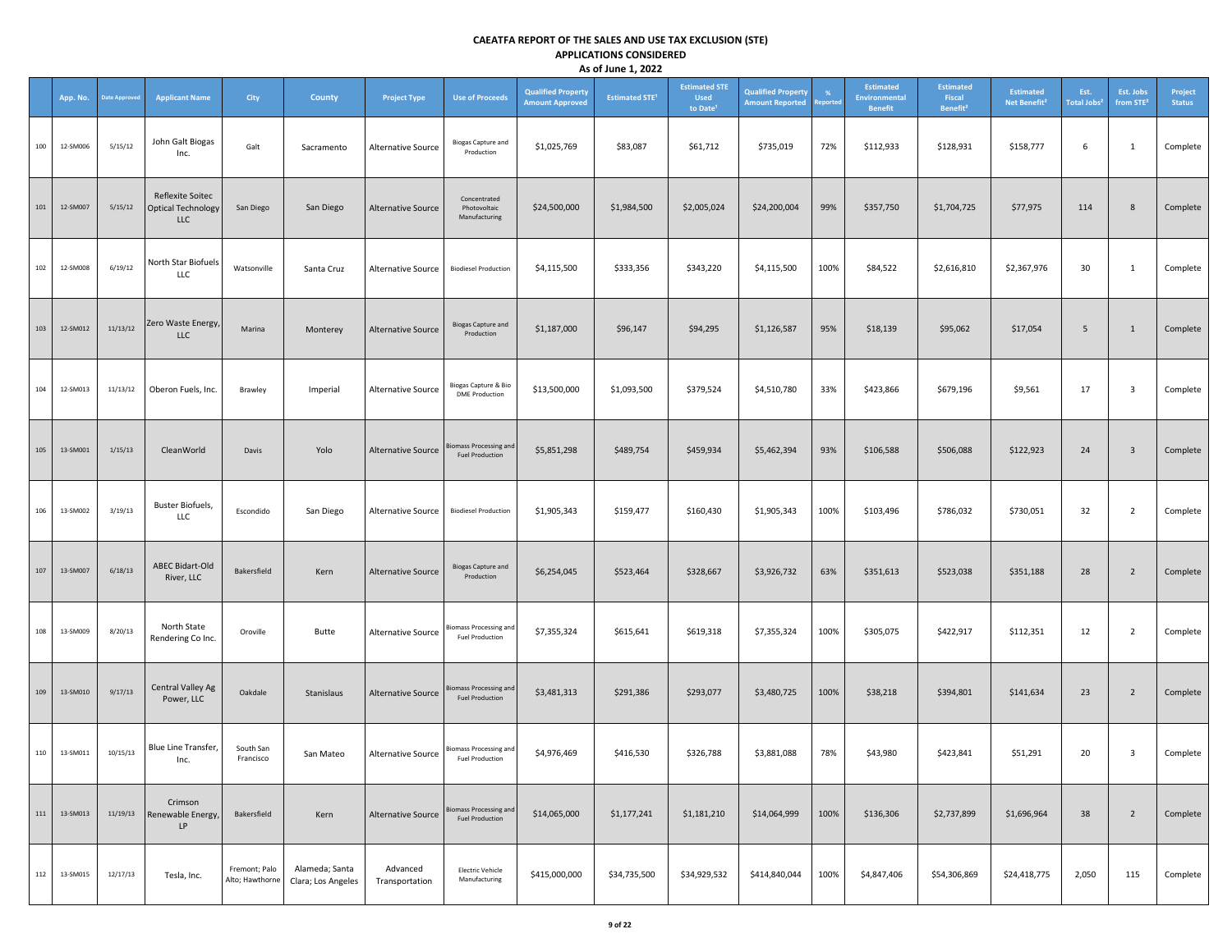|     | App. No. | <b>Date Approved</b> | <b>Applicant Name</b>                                       | City                             | <b>County</b>                        | <b>Project Type</b>        | <b>Use of Proceeds</b>                                  | <b>Qualified Property</b><br><b>Amount Approved</b> | <b>Estimated STE<sup>1</sup></b> | <b>Estimated STE</b><br><b>Used</b><br>to Date <sup>1</sup> | <b>Qualified Property</b><br><b>Amount Reported</b> | %<br><b>eported</b> | <b>Estimated</b><br>Environmental<br><b>Benefit</b> | <b>Estimated</b><br>Fiscal<br>Benefit <sup>2</sup> | <b>Estimated</b><br>Net Benefit <sup>2</sup> | Est.<br><b>Total Jobs</b> | Est. Jobs<br>from STE <sup>2</sup> | Project<br><b>Status</b> |
|-----|----------|----------------------|-------------------------------------------------------------|----------------------------------|--------------------------------------|----------------------------|---------------------------------------------------------|-----------------------------------------------------|----------------------------------|-------------------------------------------------------------|-----------------------------------------------------|---------------------|-----------------------------------------------------|----------------------------------------------------|----------------------------------------------|---------------------------|------------------------------------|--------------------------|
| 100 | 12-SM006 | 5/15/12              | John Galt Biogas<br>Inc.                                    | Galt                             | Sacramento                           | Alternative Source         | <b>Biogas Capture and</b><br>Production                 | \$1,025,769                                         | \$83,087                         | \$61,712                                                    | \$735,019                                           | 72%                 | \$112,933                                           | \$128,931                                          | \$158,777                                    | 6                         | 1                                  | Complete                 |
| 101 | 12-SM007 | 5/15/12              | Reflexite Soitec<br><b>Optical Technology</b><br><b>LLC</b> | San Diego                        | San Diego                            | <b>Alternative Source</b>  | Concentrated<br>Photovoltaic<br>Manufacturing           | \$24,500,000                                        | \$1,984,500                      | \$2,005,024                                                 | \$24,200,004                                        | 99%                 | \$357,750                                           | \$1,704,725                                        | \$77,975                                     | 114                       | 8                                  | Complete                 |
| 102 | 12-SM008 | 6/19/12              | North Star Biofuels<br><b>LLC</b>                           | Watsonville                      | Santa Cruz                           | Alternative Source         | <b>Biodiesel Production</b>                             | \$4,115,500                                         | \$333,356                        | \$343,220                                                   | \$4,115,500                                         | 100%                | \$84,522                                            | \$2,616,810                                        | \$2,367,976                                  | 30                        | 1                                  | Complete                 |
| 103 | 12-SM012 | 11/13/12             | Zero Waste Energy,<br><b>LLC</b>                            | Marina                           | Monterey                             | Alternative Source         | <b>Biogas Capture and</b><br>Production                 | \$1,187,000                                         | \$96,147                         | \$94,295                                                    | \$1,126,587                                         | 95%                 | \$18,139                                            | \$95,062                                           | \$17,054                                     | $5\overline{5}$           | 1                                  | Complete                 |
| 104 | 12-SM013 | 11/13/12             | Oberon Fuels, Inc.                                          | Brawley                          | Imperial                             | Alternative Source         | Biogas Capture & Bio<br><b>DME Production</b>           | \$13,500,000                                        | \$1,093,500                      | \$379,524                                                   | \$4,510,780                                         | 33%                 | \$423,866                                           | \$679,196                                          | \$9,561                                      | 17                        | $\overline{\mathbf{3}}$            | Complete                 |
| 105 | 13-SM001 | 1/15/13              | CleanWorld                                                  | Davis                            | Yolo                                 | <b>Alternative Source</b>  | iomass Processing and<br><b>Fuel Production</b>         | \$5,851,298                                         | \$489,754                        | \$459,934                                                   | \$5,462,394                                         | 93%                 | \$106,588                                           | \$506,088                                          | \$122,923                                    | 24                        | $\overline{\mathbf{3}}$            | Complete                 |
| 106 | 13-SM002 | 3/19/13              | Buster Biofuels,<br>LLC                                     | Escondido                        | San Diego                            | Alternative Source         | <b>Biodiesel Production</b>                             | \$1,905,343                                         | \$159,477                        | \$160,430                                                   | \$1,905,343                                         | 100%                | \$103,496                                           | \$786,032                                          | \$730,051                                    | 32                        | $\overline{2}$                     | Complete                 |
| 107 | 13-SM007 | 6/18/13              | ABEC Bidart-Old<br>River, LLC                               | Bakersfield                      | Kern                                 | Alternative Source         | <b>Biogas Capture and</b><br>Production                 | \$6,254,045                                         | \$523,464                        | \$328,667                                                   | \$3,926,732                                         | 63%                 | \$351,613                                           | \$523,038                                          | \$351,188                                    | 28                        | $\overline{2}$                     | Complete                 |
| 108 | 13-SM009 | 8/20/13              | North State<br>Rendering Co Inc.                            | Oroville                         | Butte                                | Alternative Source         | <b>Biomass Processing and</b><br><b>Fuel Production</b> | \$7,355,324                                         | \$615,641                        | \$619,318                                                   | \$7,355,324                                         | 100%                | \$305,075                                           | \$422,917                                          | \$112,351                                    | 12                        | $\overline{2}$                     | Complete                 |
| 109 | 13-SM010 | 9/17/13              | Central Valley Ag<br>Power, LLC                             | Oakdale                          | Stanislaus                           | Alternative Source         | iomass Processing and<br><b>Fuel Production</b>         | \$3,481,313                                         | \$291,386                        | \$293,077                                                   | \$3,480,725                                         | 100%                | \$38,218                                            | \$394,801                                          | \$141,634                                    | 23                        | $\overline{2}$                     | Complete                 |
| 110 | 13-SM011 | 10/15/13             | Blue Line Transfer,<br>Inc.                                 | South San<br>Francisco           | San Mateo                            | Alternative Source         | <b>Biomass Processing and</b><br><b>Fuel Production</b> | \$4,976,469                                         | \$416,530                        | \$326,788                                                   | \$3,881,088                                         | 78%                 | \$43,980                                            | \$423,841                                          | \$51,291                                     | 20                        | $\overline{\mathbf{3}}$            | Complete                 |
| 111 | 13-SM013 | 11/19/13             | Crimson<br>Renewable Energy,<br>LP                          | Bakersfield                      | Kern                                 | Alternative Source         | iomass Processing and<br><b>Fuel Production</b>         | \$14,065,000                                        | \$1,177,241                      | \$1,181,210                                                 | \$14,064,999                                        | 100%                | \$136,306                                           | \$2,737,899                                        | \$1,696,964                                  | 38                        | $\overline{2}$                     | Complete                 |
| 112 | 13-SM015 | 12/17/13             | Tesla, Inc.                                                 | Fremont; Palo<br>Alto; Hawthorne | Alameda; Santa<br>Clara; Los Angeles | Advanced<br>Transportation | <b>Electric Vehicle</b><br>Manufacturing                | \$415,000,000                                       | \$34,735,500                     | \$34,929,532                                                | \$414,840,044                                       | 100%                | \$4,847,406                                         | \$54,306,869                                       | \$24,418,775                                 | 2,050                     | 115                                | Complete                 |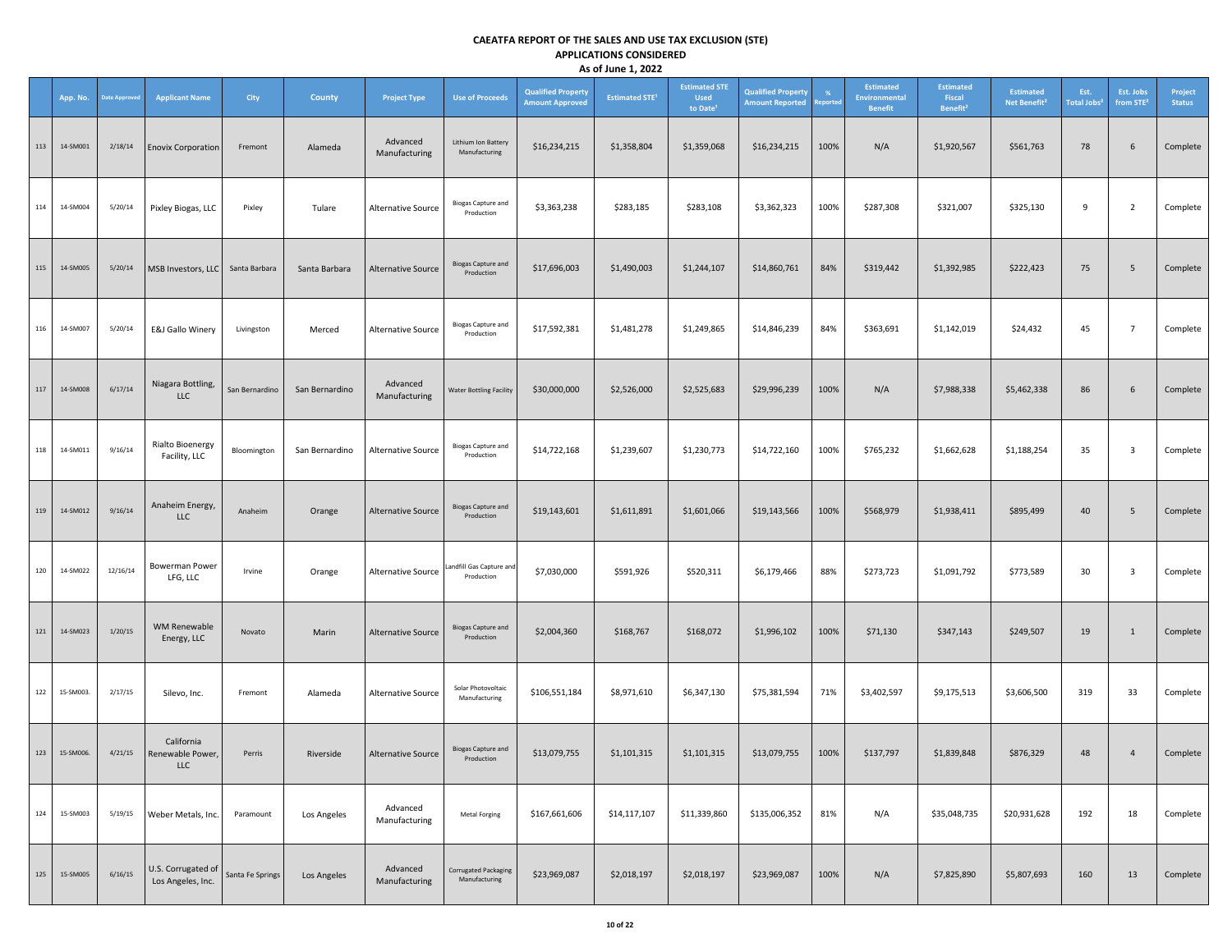|     | App. No.  | <b>Date Approver</b> | <b>Applicant Name</b>                    | <b>City</b>      | <b>County</b>  | <b>Project Type</b>       | <b>Use of Proceeds</b>                       | <b>Qualified Property</b><br><b>Amount Approved</b> | <b>Estimated STE<sup>1</sup></b> | <b>Estimated STE</b><br><b>Used</b><br>to Date <sup>1</sup> | <b>Qualified Property</b><br><b>Amount Reported</b> | Reporter | <b>Estimated</b><br><b>Environmental</b><br><b>Benefit</b> | <b>Estimated</b><br>Fiscal<br>Benefit <sup>2</sup> | <b>Estimated</b><br>Net Benefit <sup>2</sup> | Est.<br><b>Total Jobs<sup>2</sup></b> | Est. Jobs<br>from STE <sup>2</sup> | Project<br><b>Status</b> |
|-----|-----------|----------------------|------------------------------------------|------------------|----------------|---------------------------|----------------------------------------------|-----------------------------------------------------|----------------------------------|-------------------------------------------------------------|-----------------------------------------------------|----------|------------------------------------------------------------|----------------------------------------------------|----------------------------------------------|---------------------------------------|------------------------------------|--------------------------|
| 113 | 14-SM001  | 2/18/14              | <b>Enovix Corporation</b>                | Fremont          | Alameda        | Advanced<br>Manufacturing | Lithium Ion Battery<br>Manufacturing         | \$16,234,215                                        | \$1,358,804                      | \$1,359,068                                                 | \$16,234,215                                        | 100%     | N/A                                                        | \$1,920,567                                        | \$561,763                                    | 78                                    | 6                                  | Complete                 |
| 114 | 14-SM004  | 5/20/14              | Pixley Biogas, LLC                       | Pixley           | Tulare         | Alternative Source        | <b>Biogas Capture and</b><br>Production      | \$3,363,238                                         | \$283,185                        | \$283,108                                                   | \$3,362,323                                         | 100%     | \$287,308                                                  | \$321,007                                          | \$325,130                                    | 9                                     | $\overline{2}$                     | Complete                 |
| 115 | 14-SM005  | 5/20/14              | MSB Investors, LLC                       | Santa Barbara    | Santa Barbara  | Alternative Source        | <b>Biogas Capture and</b><br>Production      | \$17,696,003                                        | \$1,490,003                      | \$1,244,107                                                 | \$14,860,761                                        | 84%      | \$319,442                                                  | \$1,392,985                                        | \$222,423                                    | 75                                    | 5                                  | Complete                 |
| 116 | 14-SM007  | 5/20/14              | E&J Gallo Winery                         | Livingston       | Merced         | Alternative Source        | <b>Biogas Capture and</b><br>Production      | \$17,592,381                                        | \$1,481,278                      | \$1,249,865                                                 | \$14,846,239                                        | 84%      | \$363,691                                                  | \$1,142,019                                        | \$24,432                                     | 45                                    | $\overline{7}$                     | Complete                 |
| 117 | 14-SM008  | 6/17/14              | Niagara Bottling,<br>LLC                 | San Bernardino   | San Bernardino | Advanced<br>Manufacturing | <b>Water Bottling Facility</b>               | \$30,000,000                                        | \$2,526,000                      | \$2,525,683                                                 | \$29,996,239                                        | 100%     | N/A                                                        | \$7,988,338                                        | \$5,462,338                                  | 86                                    | 6                                  | Complete                 |
| 118 | 14-SM011  | 9/16/14              | <b>Rialto Bioenergy</b><br>Facility, LLC | Bloomington      | San Bernardino | Alternative Source        | <b>Biogas Capture and</b><br>Production      | \$14,722,168                                        | \$1,239,607                      | \$1,230,773                                                 | \$14,722,160                                        | 100%     | \$765,232                                                  | \$1,662,628                                        | \$1,188,254                                  | 35                                    | 3                                  | Complete                 |
| 119 | 14-SM012  | 9/16/14              | Anaheim Energy,<br><b>LLC</b>            | Anaheim          | Orange         | <b>Alternative Source</b> | <b>Biogas Capture and</b><br>Production      | \$19,143,601                                        | \$1,611,891                      | \$1,601,066                                                 | \$19,143,566                                        | 100%     | \$568,979                                                  | \$1,938,411                                        | \$895,499                                    | 40                                    | 5                                  | Complete                 |
| 120 | 14-SM022  | 12/16/14             | Bowerman Power<br>LFG, LLC               | Irvine           | Orange         | Alternative Source        | Landfill Gas Capture and<br>Production       | \$7,030,000                                         | \$591,926                        | \$520,311                                                   | \$6,179,466                                         | 88%      | \$273,723                                                  | \$1,091,792                                        | \$773,589                                    | 30                                    | 3                                  | Complete                 |
| 121 | 14-SM023  | 1/20/15              | <b>WM Renewable</b><br>Energy, LLC       | Novato           | Marin          | <b>Alternative Source</b> | <b>Biogas Capture and</b><br>Production      | \$2,004,360                                         | \$168,767                        | \$168,072                                                   | \$1,996,102                                         | 100%     | \$71,130                                                   | \$347,143                                          | \$249,507                                    | 19                                    | $\mathbf{1}$                       | Complete                 |
| 122 | 15-SM003. | 2/17/15              | Silevo, Inc.                             | Fremont          | Alameda        | Alternative Source        | Solar Photovoltaic<br>Manufacturing          | \$106,551,184                                       | \$8,971,610                      | \$6,347,130                                                 | \$75,381,594                                        | 71%      | \$3,402,597                                                | \$9,175,513                                        | \$3,606,500                                  | 319                                   | 33                                 | Complete                 |
| 123 | 15-SM006. | 4/21/15              | California<br>Renewable Power,<br>LLC    | Perris           | Riverside      | <b>Alternative Source</b> | <b>Biogas Capture and</b><br>Production      | \$13,079,755                                        | \$1,101,315                      | \$1,101,315                                                 | \$13,079,755                                        | 100%     | \$137,797                                                  | \$1,839,848                                        | \$876,329                                    | 48                                    | $\overline{4}$                     | Complete                 |
| 124 | 15-SM003  | 5/19/15              | Weber Metals, Inc.                       | Paramount        | Los Angeles    | Advanced<br>Manufacturing | Metal Forging                                | \$167,661,606                                       | \$14,117,107                     | \$11,339,860                                                | \$135,006,352                                       | 81%      | N/A                                                        | \$35,048,735                                       | \$20,931,628                                 | 192                                   | 18                                 | Complete                 |
| 125 | 15-SM005  | 6/16/15              | U.S. Corrugated of<br>Los Angeles, Inc.  | Santa Fe Springs | Los Angeles    | Advanced<br>Manufacturing | <b>Corrugated Packaging</b><br>Manufacturing | \$23,969,087                                        | \$2,018,197                      | \$2,018,197                                                 | \$23,969,087                                        | 100%     | N/A                                                        | \$7,825,890                                        | \$5,807,693                                  | 160                                   | 13                                 | Complete                 |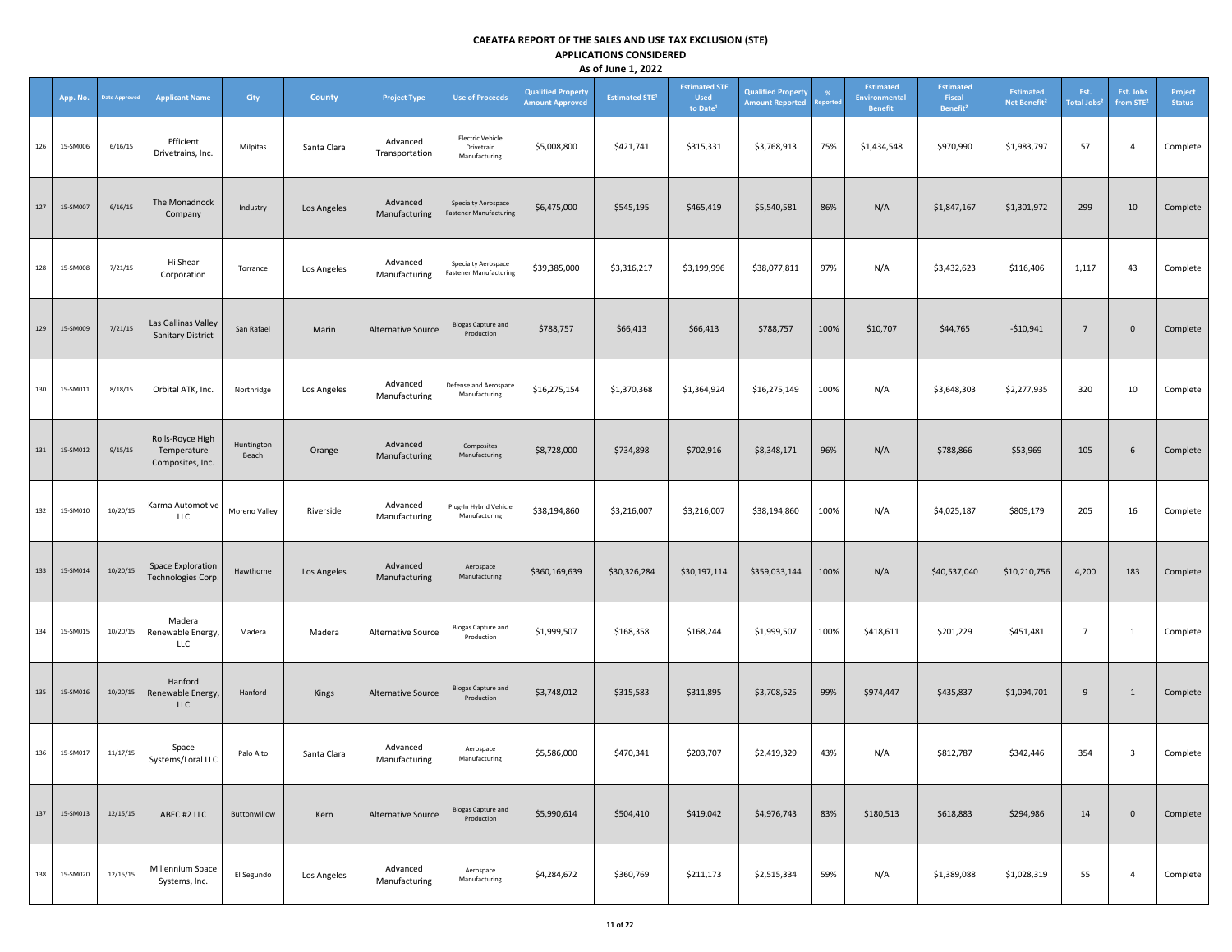|     | App. No. | <b>Date Approved</b> | <b>Applicant Name</b>                               | City                | <b>County</b> | <b>Project Type</b>        | <b>Use of Proceeds</b>                                 | <b>Qualified Property</b><br><b>Amount Approved</b> | <b>Estimated STE<sup>1</sup></b> | <b>Estimated STE</b><br><b>Used</b><br>to Date <sup>1</sup> | <b>Qualified Property</b><br><b>Amount Reported</b> | -%<br><b>eported</b> | <b>Estimated</b><br><b>Environmental</b><br><b>Benefit</b> | <b>Estimated</b><br>Fiscal<br>Benefit <sup>2</sup> | <b>Estimated</b><br>Net Benefit <sup>2</sup> | Est.<br>Total Jobs <sup>:</sup> | Est. Jobs<br>from STE <sup>2</sup> | Project<br><b>Status</b> |
|-----|----------|----------------------|-----------------------------------------------------|---------------------|---------------|----------------------------|--------------------------------------------------------|-----------------------------------------------------|----------------------------------|-------------------------------------------------------------|-----------------------------------------------------|----------------------|------------------------------------------------------------|----------------------------------------------------|----------------------------------------------|---------------------------------|------------------------------------|--------------------------|
| 126 | 15-SM006 | 6/16/15              | Efficient<br>Drivetrains, Inc.                      | Milpitas            | Santa Clara   | Advanced<br>Transportation | <b>Electric Vehicle</b><br>Drivetrain<br>Manufacturing | \$5,008,800                                         | \$421,741                        | \$315,331                                                   | \$3,768,913                                         | 75%                  | \$1,434,548                                                | \$970,990                                          | \$1,983,797                                  | 57                              | 4                                  | Complete                 |
| 127 | 15-SM007 | 6/16/15              | The Monadnock<br>Company                            | Industry            | Los Angeles   | Advanced<br>Manufacturing  | Specialty Aerospace<br>Fastener Manufacturing          | \$6,475,000                                         | \$545,195                        | \$465,419                                                   | \$5,540,581                                         | 86%                  | N/A                                                        | \$1,847,167                                        | \$1,301,972                                  | 299                             | 10                                 | Complete                 |
| 128 | 15-SM008 | 7/21/15              | Hi Shear<br>Corporation                             | Torrance            | Los Angeles   | Advanced<br>Manufacturing  | Specialty Aerospace<br>Fastener Manufacturing          | \$39,385,000                                        | \$3,316,217                      | \$3,199,996                                                 | \$38,077,811                                        | 97%                  | N/A                                                        | \$3,432,623                                        | \$116,406                                    | 1,117                           | 43                                 | Complete                 |
| 129 | 15-SM009 | 7/21/15              | Las Gallinas Valley<br><b>Sanitary District</b>     | San Rafael          | Marin         | <b>Alternative Source</b>  | <b>Biogas Capture and</b><br>Production                | \$788,757                                           | \$66,413                         | \$66,413                                                    | \$788,757                                           | 100%                 | \$10,707                                                   | \$44,765                                           | $-$10,941$                                   | $\overline{7}$                  | $\mathbf 0$                        | Complete                 |
| 130 | 15-SM011 | 8/18/15              | Orbital ATK, Inc.                                   | Northridge          | Los Angeles   | Advanced<br>Manufacturing  | Defense and Aerospace<br>Manufacturing                 | \$16,275,154                                        | \$1,370,368                      | \$1,364,924                                                 | \$16,275,149                                        | 100%                 | N/A                                                        | \$3,648,303                                        | \$2,277,935                                  | 320                             | 10                                 | Complete                 |
| 131 | 15-SM012 | 9/15/15              | Rolls-Royce High<br>Temperature<br>Composites, Inc. | Huntington<br>Beach | Orange        | Advanced<br>Manufacturing  | Composites<br>Manufacturing                            | \$8,728,000                                         | \$734,898                        | \$702,916                                                   | \$8,348,171                                         | 96%                  | N/A                                                        | \$788,866                                          | \$53,969                                     | 105                             | 6                                  | Complete                 |
| 132 | 15-SM010 | 10/20/15             | Karma Automotive<br>LLC                             | Moreno Valley       | Riverside     | Advanced<br>Manufacturing  | Plug-In Hybrid Vehicle<br>Manufacturing                | \$38,194,860                                        | \$3,216,007                      | \$3,216,007                                                 | \$38,194,860                                        | 100%                 | N/A                                                        | \$4,025,187                                        | \$809,179                                    | 205                             | 16                                 | Complete                 |
| 133 | 15-SM014 | 10/20/15             | Space Exploration<br>Technologies Corp.             | Hawthorne           | Los Angeles   | Advanced<br>Manufacturing  | Aerospace<br>Manufacturing                             | \$360,169,639                                       | \$30,326,284                     | \$30,197,114                                                | \$359,033,144                                       | 100%                 | N/A                                                        | \$40,537,040                                       | \$10,210,756                                 | 4,200                           | 183                                | Complete                 |
| 134 | 15-SM015 | 10/20/15             | Madera<br>Renewable Energy,<br>LLC                  | Madera              | Madera        | Alternative Source         | <b>Biogas Capture and</b><br>Production                | \$1,999,507                                         | \$168,358                        | \$168,244                                                   | \$1,999,507                                         | 100%                 | \$418,611                                                  | \$201,229                                          | \$451,481                                    | $\overline{7}$                  | 1                                  | Complete                 |
| 135 | 15-SM016 | 10/20/15             | Hanford<br>Renewable Energy<br><b>LLC</b>           | Hanford             | Kings         | <b>Alternative Source</b>  | <b>Biogas Capture and</b><br>Production                | \$3,748,012                                         | \$315,583                        | \$311,895                                                   | \$3,708,525                                         | 99%                  | \$974,447                                                  | \$435,837                                          | \$1,094,701                                  | 9                               | $\mathbf{1}$                       | Complete                 |
| 136 | 15-SM017 | 11/17/15             | Space<br>Systems/Loral LLC                          | Palo Alto           | Santa Clara   | Advanced<br>Manufacturing  | Aerospace<br>Manufacturing                             | \$5,586,000                                         | \$470,341                        | \$203,707                                                   | \$2,419,329                                         | 43%                  | N/A                                                        | \$812,787                                          | \$342,446                                    | 354                             | $\overline{\mathbf{3}}$            | Complete                 |
| 137 | 15-SM013 | 12/15/15             | ABEC #2 LLC                                         | Buttonwillow        | Kern          | <b>Alternative Source</b>  | <b>Biogas Capture and</b><br>Production                | \$5,990,614                                         | \$504,410                        | \$419,042                                                   | \$4,976,743                                         | 83%                  | \$180,513                                                  | \$618,883                                          | \$294,986                                    | 14                              | $\mathbf 0$                        | Complete                 |
| 138 | 15-SM020 | 12/15/15             | Millennium Space<br>Systems, Inc.                   | El Segundo          | Los Angeles   | Advanced<br>Manufacturing  | Aerospace<br>Manufacturing                             | \$4,284,672                                         | \$360,769                        | \$211,173                                                   | \$2,515,334                                         | 59%                  | N/A                                                        | \$1,389,088                                        | \$1,028,319                                  | 55                              | 4                                  | Complete                 |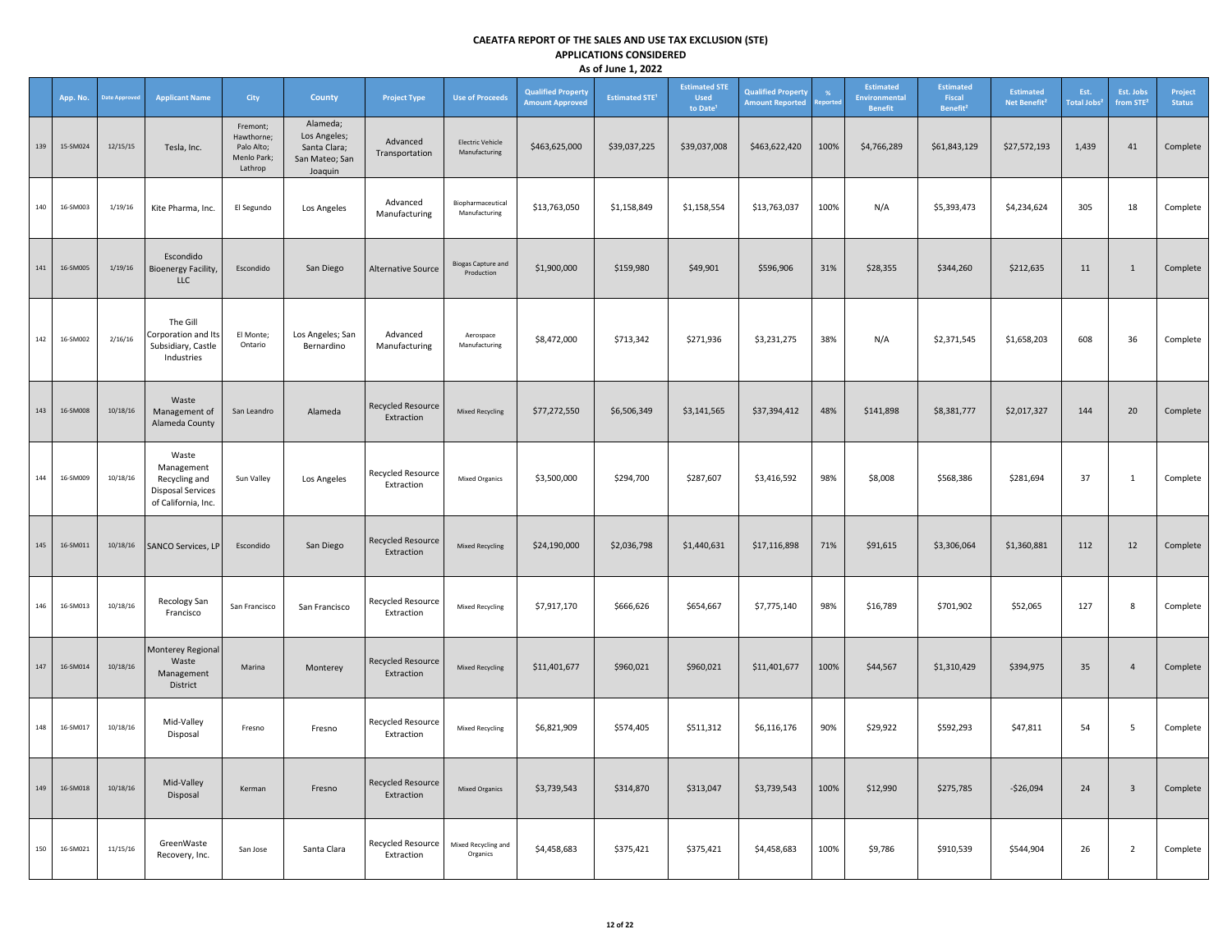|     | App. No. | <b>Date Approve</b> | <b>Applicant Name</b>                                                                   | City                                                           | <b>County</b>                                                         | <b>Project Type</b>                    | <b>Use of Proceeds</b>                   | <b>Qualified Property</b><br><b>Amount Approved</b> | <b>Estimated STE<sup>1</sup></b> | <b>Estimated STE</b><br><b>Used</b><br>to Date <sup>1</sup> | <b>Qualified Property</b><br><b>Amount Reported</b> | %<br>eport | Estimated<br>Environmental<br><b>Benefit</b> | <b>Estimated</b><br>Fiscal<br>Benefit <sup>2</sup> | <b>Estimated</b><br>Net Benefit <sup>2</sup> | Est.<br><b>Total Jobs<sup>2</sup></b> | Est. Jobs<br>from STE <sup>2</sup> | Project<br><b>Status</b> |
|-----|----------|---------------------|-----------------------------------------------------------------------------------------|----------------------------------------------------------------|-----------------------------------------------------------------------|----------------------------------------|------------------------------------------|-----------------------------------------------------|----------------------------------|-------------------------------------------------------------|-----------------------------------------------------|------------|----------------------------------------------|----------------------------------------------------|----------------------------------------------|---------------------------------------|------------------------------------|--------------------------|
| 139 | 15-SM024 | 12/15/15            | Tesla, Inc.                                                                             | Fremont;<br>Hawthorne;<br>Palo Alto;<br>Menlo Park;<br>Lathrop | Alameda;<br>Los Angeles;<br>Santa Clara;<br>San Mateo; San<br>Joaquin | Advanced<br>Transportation             | <b>Electric Vehicle</b><br>Manufacturing | \$463,625,000                                       | \$39,037,225                     | \$39,037,008                                                | \$463,622,420                                       | 100%       | \$4,766,289                                  | \$61,843,129                                       | \$27,572,193                                 | 1,439                                 | 41                                 | Complete                 |
| 140 | 16-SM003 | 1/19/16             | Kite Pharma, Inc.                                                                       | El Segundo                                                     | Los Angeles                                                           | Advanced<br>Manufacturing              | Biopharmaceutical<br>Manufacturing       | \$13,763,050                                        | \$1,158,849                      | \$1,158,554                                                 | \$13,763,037                                        | 100%       | N/A                                          | \$5,393,473                                        | \$4,234,624                                  | 305                                   | 18                                 | Complete                 |
| 141 | 16-SM005 | 1/19/16             | Escondido<br><b>Bioenergy Facility,</b><br><b>LLC</b>                                   | Escondido                                                      | San Diego                                                             | <b>Alternative Source</b>              | <b>Biogas Capture and</b><br>Production  | \$1,900,000                                         | \$159,980                        | \$49,901                                                    | \$596,906                                           | 31%        | \$28,355                                     | \$344,260                                          | \$212,635                                    | 11                                    | $\mathbf{1}$                       | Complete                 |
| 142 | 16-SM002 | 2/16/16             | The Gill<br>Corporation and Its<br>Subsidiary, Castle<br>Industries                     | El Monte;<br>Ontario                                           | Los Angeles; San<br>Bernardino                                        | Advanced<br>Manufacturing              | Aerospace<br>Manufacturing               | \$8,472,000                                         | \$713,342                        | \$271,936                                                   | \$3,231,275                                         | 38%        | N/A                                          | \$2,371,545                                        | \$1,658,203                                  | 608                                   | 36                                 | Complete                 |
| 143 | 16-SM008 | 10/18/16            | Waste<br>Management of<br>Alameda County                                                | San Leandro                                                    | Alameda                                                               | <b>Recycled Resource</b><br>Extraction | <b>Mixed Recycling</b>                   | \$77,272,550                                        | \$6,506,349                      | \$3,141,565                                                 | \$37,394,412                                        | 48%        | \$141,898                                    | \$8,381,777                                        | \$2,017,327                                  | 144                                   | 20                                 | Complete                 |
| 144 | 16-SM009 | 10/18/16            | Waste<br>Management<br>Recycling and<br><b>Disposal Services</b><br>of California, Inc. | Sun Valley                                                     | Los Angeles                                                           | Recycled Resource<br>Extraction        | <b>Mixed Organics</b>                    | \$3,500,000                                         | \$294,700                        | \$287,607                                                   | \$3,416,592                                         | 98%        | \$8,008                                      | \$568,386                                          | \$281,694                                    | 37                                    | $\mathbf{1}$                       | Complete                 |
| 145 | 16-SM011 | 10/18/16            | <b>SANCO Services, LP</b>                                                               | Escondido                                                      | San Diego                                                             | <b>Recycled Resource</b><br>Extraction | <b>Mixed Recycling</b>                   | \$24,190,000                                        | \$2,036,798                      | \$1,440,631                                                 | \$17,116,898                                        | 71%        | \$91,615                                     | \$3,306,064                                        | \$1,360,881                                  | 112                                   | 12                                 | Complete                 |
| 146 | 16-SM013 | 10/18/16            | Recology San<br>Francisco                                                               | San Francisco                                                  | San Francisco                                                         | Recycled Resource<br>Extraction        | <b>Mixed Recycling</b>                   | \$7,917,170                                         | \$666,626                        | \$654,667                                                   | \$7,775,140                                         | 98%        | \$16,789                                     | \$701,902                                          | \$52,065                                     | 127                                   | 8                                  | Complete                 |
| 147 | 16-SM014 | 10/18/16            | Monterey Regional<br>Waste<br>Management<br>District                                    | Marina                                                         | Monterey                                                              | <b>Recycled Resource</b><br>Extraction | <b>Mixed Recycling</b>                   | \$11,401,677                                        | \$960,021                        | \$960,021                                                   | \$11,401,677                                        | 100%       | \$44,567                                     | \$1,310,429                                        | \$394,975                                    | 35                                    | $\overline{4}$                     | Complete                 |
| 148 | 16-SM017 | 10/18/16            | Mid-Valley<br>Disposal                                                                  | Fresno                                                         | Fresno                                                                | Recycled Resource<br>Extraction        | Mixed Recycling                          | \$6,821,909                                         | \$574,405                        | \$511,312                                                   | \$6,116,176                                         | 90%        | \$29,922                                     | \$592,293                                          | \$47,811                                     | 54                                    | 5                                  | Complete                 |
| 149 | 16-SM018 | 10/18/16            | Mid-Valley<br>Disposal                                                                  | Kerman                                                         | Fresno                                                                | <b>Recycled Resource</b><br>Extraction | <b>Mixed Organics</b>                    | \$3,739,543                                         | \$314,870                        | \$313,047                                                   | \$3,739,543                                         | 100%       | \$12,990                                     | \$275,785                                          | $-$26,094$                                   | 24                                    | $\mathbf{3}$                       | Complete                 |
| 150 | 16-SM021 | 11/15/16            | GreenWaste<br>Recovery, Inc.                                                            | San Jose                                                       | Santa Clara                                                           | Recycled Resource<br>Extraction        | Mixed Recycling and<br>Organics          | \$4,458,683                                         | \$375,421                        | \$375,421                                                   | \$4,458,683                                         | 100%       | \$9,786                                      | \$910,539                                          | \$544,904                                    | 26                                    | $\overline{2}$                     | Complete                 |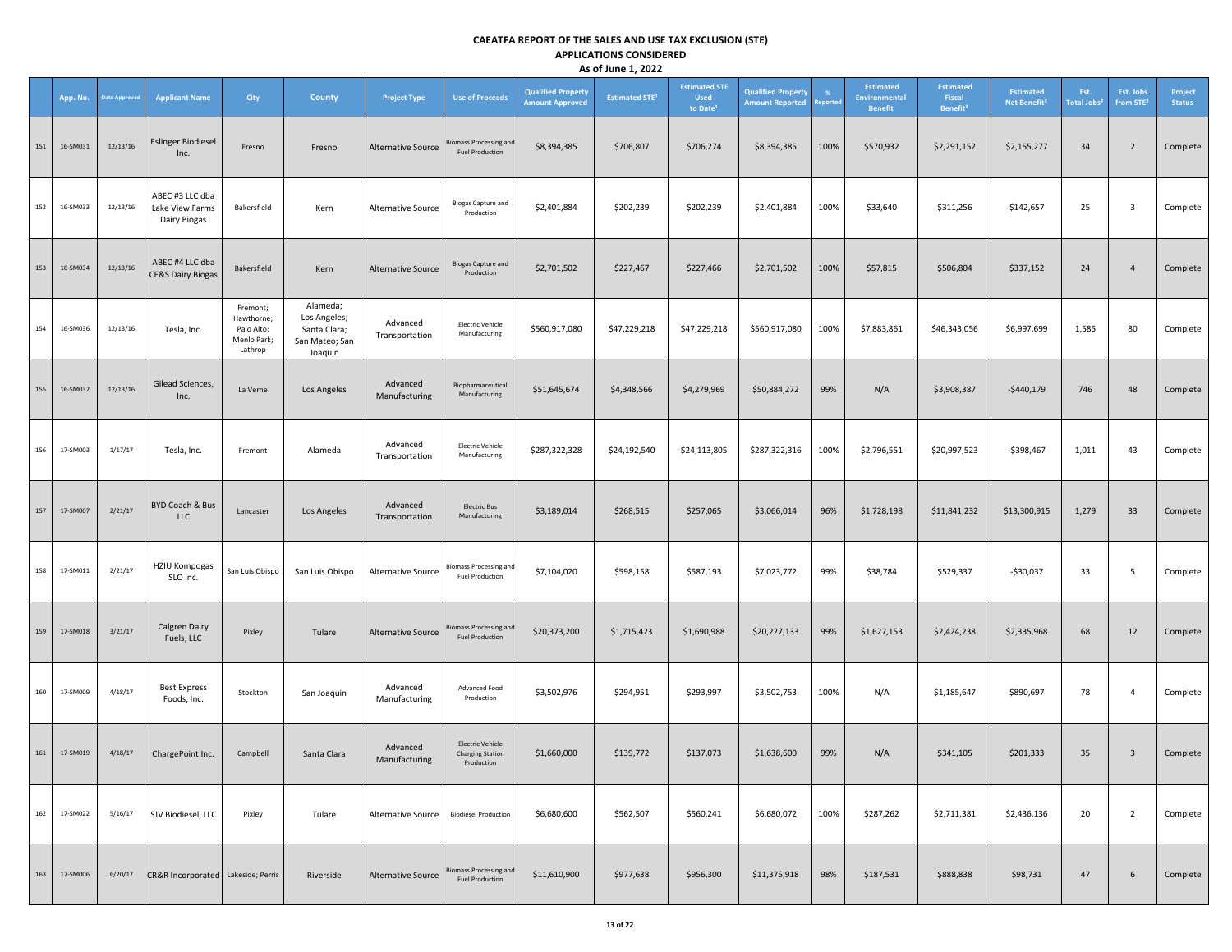|     | App. No. | <b>Date Approved</b> | <b>Applicant Name</b>                              | City                                                           | <b>County</b>                                                         | <b>Project Type</b>        | <b>Use of Proceeds</b>                                           | <b>Qualified Property</b><br><b>Amount Approved</b> | <b>Estimated STE<sup>1</sup></b> | <b>Estimated STE</b><br><b>Used</b><br>to Date | <b>Qualified Property</b><br><b>Amount Reported</b> | %<br><b>eported</b> | <b>Estimated</b><br>Environmental<br><b>Benefit</b> | <b>Estimated</b><br>Fiscal<br>Benefit <sup>2</sup> | <b>Estimated</b><br>Net Benefit <sup>2</sup> | Est.<br>Total Jobs <sup>2</sup> | Est. Jobs<br>from STE <sup>2</sup> | Project<br><b>Status</b> |
|-----|----------|----------------------|----------------------------------------------------|----------------------------------------------------------------|-----------------------------------------------------------------------|----------------------------|------------------------------------------------------------------|-----------------------------------------------------|----------------------------------|------------------------------------------------|-----------------------------------------------------|---------------------|-----------------------------------------------------|----------------------------------------------------|----------------------------------------------|---------------------------------|------------------------------------|--------------------------|
| 151 | 16-SM031 | 12/13/16             | <b>Eslinger Biodiesel</b><br>Inc.                  | Fresno                                                         | Fresno                                                                | <b>Alternative Source</b>  | <b>Biomass Processing and</b><br><b>Fuel Production</b>          | \$8,394,385                                         | \$706,807                        | \$706,274                                      | \$8,394,385                                         | 100%                | \$570,932                                           | \$2,291,152                                        | \$2,155,277                                  | 34                              | $\overline{2}$                     | Complete                 |
| 152 | 16-SM033 | 12/13/16             | ABEC #3 LLC dba<br>Lake View Farms<br>Dairy Biogas | Bakersfield                                                    | Kern                                                                  | <b>Alternative Source</b>  | <b>Biogas Capture and</b><br>Production                          | \$2,401,884                                         | \$202,239                        | \$202,239                                      | \$2,401,884                                         | 100%                | \$33,640                                            | \$311,256                                          | \$142,657                                    | 25                              | $\mathbf{3}$                       | Complete                 |
| 153 | 16-SM034 | 12/13/16             | ABEC #4 LLC dba<br><b>CE&amp;S Dairy Biogas</b>    | Bakersfield                                                    | Kern                                                                  | Alternative Source         | <b>Biogas Capture and</b><br>Production                          | \$2,701,502                                         | \$227,467                        | \$227,466                                      | \$2,701,502                                         | 100%                | \$57,815                                            | \$506,804                                          | \$337,152                                    | 24                              | $\overline{4}$                     | Complete                 |
| 154 | 16-SM036 | 12/13/16             | Tesla, Inc.                                        | Fremont;<br>Hawthorne;<br>Palo Alto;<br>Menlo Park;<br>Lathrop | Alameda;<br>Los Angeles;<br>Santa Clara;<br>San Mateo; San<br>Joaquin | Advanced<br>Transportation | <b>Electric Vehicle</b><br>Manufacturing                         | \$560,917,080                                       | \$47,229,218                     | \$47,229,218                                   | \$560,917,080                                       | 100%                | \$7,883,861                                         | \$46,343,056                                       | \$6,997,699                                  | 1,585                           | 80                                 | Complete                 |
| 155 | 16-SM037 | 12/13/16             | Gilead Sciences,<br>Inc.                           | La Verne                                                       | Los Angeles                                                           | Advanced<br>Manufacturing  | Biopharmaceutical<br>Manufacturing                               | \$51,645,674                                        | \$4,348,566                      | \$4,279,969                                    | \$50,884,272                                        | 99%                 | N/A                                                 | \$3,908,387                                        | $-$440,179$                                  | 746                             | 48                                 | Complete                 |
| 156 | 17-SM003 | 1/17/17              | Tesla, Inc.                                        | Fremont                                                        | Alameda                                                               | Advanced<br>Transportation | <b>Electric Vehicle</b><br>Manufacturing                         | \$287,322,328                                       | \$24,192,540                     | \$24,113,805                                   | \$287,322,316                                       | 100%                | \$2,796,551                                         | \$20,997,523                                       | $-$398,467$                                  | 1,011                           | 43                                 | Complete                 |
| 157 | 17-SM007 | 2/21/17              | BYD Coach & Bus<br><b>LLC</b>                      | Lancaster                                                      | Los Angeles                                                           | Advanced<br>Transportation | <b>Electric Bus</b><br>Manufacturing                             | \$3,189,014                                         | \$268,515                        | \$257,065                                      | \$3,066,014                                         | 96%                 | \$1,728,198                                         | \$11,841,232                                       | \$13,300,915                                 | 1,279                           | 33                                 | Complete                 |
| 158 | 17-SM011 | 2/21/17              | <b>HZIU Kompogas</b><br>SLO inc.                   | San Luis Obispo                                                | San Luis Obispo                                                       | Alternative Source         | <b>Biomass Processing and</b><br><b>Fuel Production</b>          | \$7,104,020                                         | \$598,158                        | \$587,193                                      | \$7,023,772                                         | 99%                 | \$38,784                                            | \$529,337                                          | $-$30,037$                                   | 33                              | 5                                  | Complete                 |
| 159 | 17-SM018 | 3/21/17              | Calgren Dairy<br>Fuels, LLC                        | Pixley                                                         | Tulare                                                                | Alternative Source         | <b>Biomass Processing and</b><br><b>Fuel Production</b>          | \$20,373,200                                        | \$1,715,423                      | \$1,690,988                                    | \$20,227,133                                        | 99%                 | \$1,627,153                                         | \$2,424,238                                        | \$2,335,968                                  | 68                              | 12                                 | Complete                 |
| 160 | 17-SM009 | 4/18/17              | <b>Best Express</b><br>Foods, Inc.                 | Stockton                                                       | San Joaquin                                                           | Advanced<br>Manufacturing  | Advanced Food<br>Production                                      | \$3,502,976                                         | \$294,951                        | \$293,997                                      | \$3,502,753                                         | 100%                | N/A                                                 | \$1,185,647                                        | \$890,697                                    | 78                              | $\overline{4}$                     | Complete                 |
| 161 | 17-SM019 | 4/18/17              | ChargePoint Inc.                                   | Campbell                                                       | Santa Clara                                                           | Advanced<br>Manufacturing  | <b>Electric Vehicle</b><br><b>Charging Station</b><br>Production | \$1,660,000                                         | \$139,772                        | \$137,073                                      | \$1,638,600                                         | 99%                 | N/A                                                 | \$341,105                                          | \$201,333                                    | 35                              | $\mathbf{3}$                       | Complete                 |
| 162 | 17-SM022 | 5/16/17              | SJV Biodiesel, LLC                                 | Pixley                                                         | Tulare                                                                | Alternative Source         | <b>Biodiesel Production</b>                                      | \$6,680,600                                         | \$562,507                        | \$560,241                                      | \$6,680,072                                         | 100%                | \$287,262                                           | \$2,711,381                                        | \$2,436,136                                  | 20                              | $\overline{2}$                     | Complete                 |
| 163 | 17-SM006 | 6/20/17              | CR&R Incorporated Lakeside; Perris                 |                                                                | Riverside                                                             | <b>Alternative Source</b>  | <b>Biomass Processing and</b><br><b>Fuel Production</b>          | \$11,610,900                                        | \$977,638                        | \$956,300                                      | \$11,375,918                                        | 98%                 | \$187,531                                           | \$888,838                                          | \$98,731                                     | 47                              | $6\overline{6}$                    | Complete                 |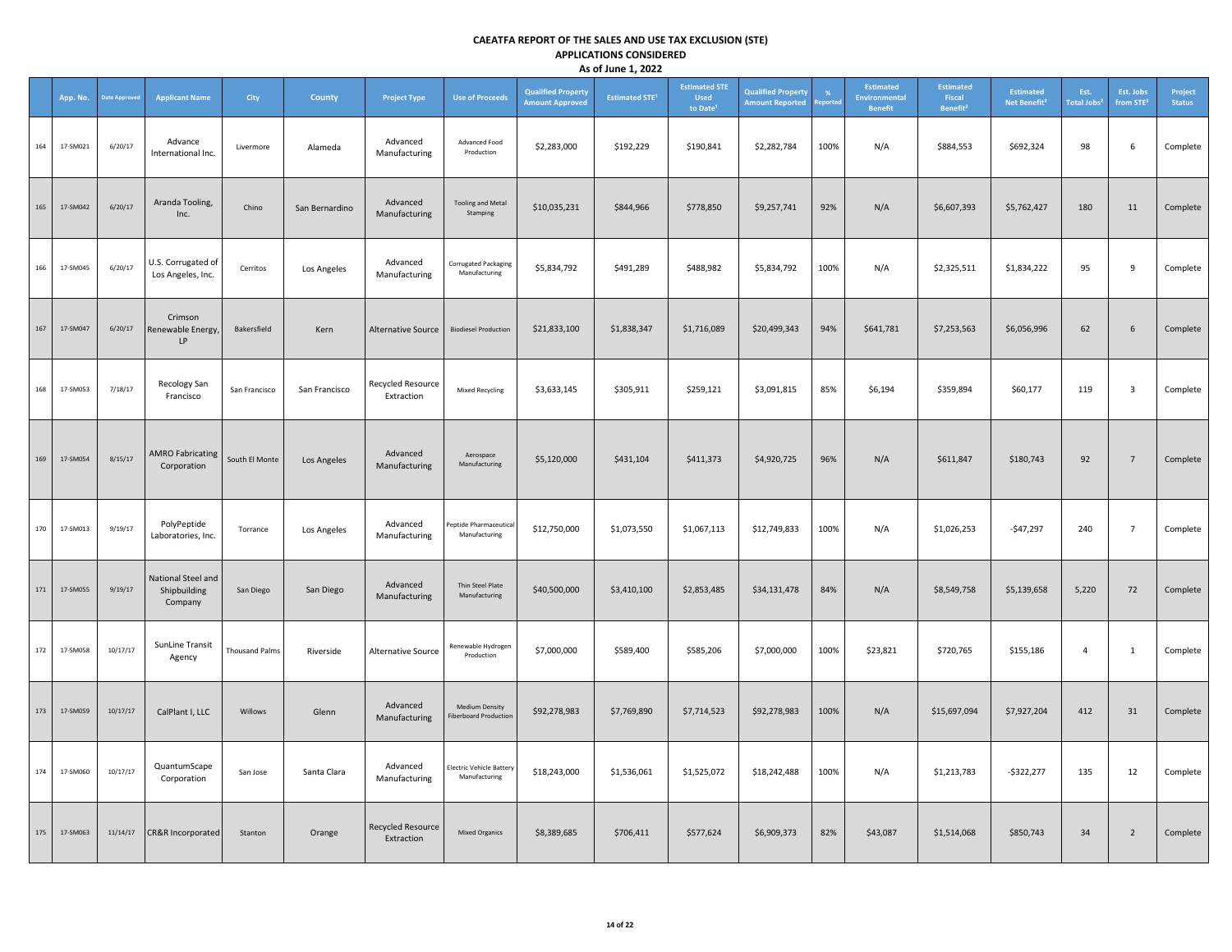|     | App. No. | <b>Jate Approve</b> | <b>Applicant Name</b>                         | City                  | County         | <b>Project Type</b>             | <b>Use of Proceeds</b>                                | <b>Qualified Property</b><br><b>Amount Approved</b> | <b>Estimated STE<sup>1</sup></b> | <b>Estimated STE</b><br><b>Used</b><br>to Date <sup>1</sup> | <b>Qualified Property</b><br><b>Amount Reported</b> | eporte | Estimated<br><b>Environmental</b><br><b>Benefit</b> | <b>Estimated</b><br>Fiscal<br>Benefit <sup>2</sup> | <b>Estimated</b><br>Net Benefit <sup>2</sup> | Est.<br><b>Total Jobs<sup>2</sup></b> | Est. Jobs<br>from STE <sup>2</sup> | Project<br><b>Status</b> |
|-----|----------|---------------------|-----------------------------------------------|-----------------------|----------------|---------------------------------|-------------------------------------------------------|-----------------------------------------------------|----------------------------------|-------------------------------------------------------------|-----------------------------------------------------|--------|-----------------------------------------------------|----------------------------------------------------|----------------------------------------------|---------------------------------------|------------------------------------|--------------------------|
| 164 | 17-SM021 | 6/20/17             | Advance<br>International Inc.                 | Livermore             | Alameda        | Advanced<br>Manufacturing       | Advanced Food<br>Production                           | \$2,283,000                                         | \$192,229                        | \$190,841                                                   | \$2,282,784                                         | 100%   | N/A                                                 | \$884,553                                          | \$692,324                                    | 98                                    | 6                                  | Complete                 |
| 165 | 17-SM042 | 6/20/17             | Aranda Tooling,<br>Inc.                       | Chino                 | San Bernardino | Advanced<br>Manufacturing       | <b>Tooling and Metal</b><br>Stamping                  | \$10,035,231                                        | \$844,966                        | \$778,850                                                   | \$9,257,741                                         | 92%    | N/A                                                 | \$6,607,393                                        | \$5,762,427                                  | 180                                   | 11                                 | Complete                 |
| 166 | 17-SM045 | 6/20/17             | U.S. Corrugated of<br>Los Angeles, Inc.       | Cerritos              | Los Angeles    | Advanced<br>Manufacturing       | Corrugated Packaging<br>Manufacturing                 | \$5,834,792                                         | \$491,289                        | \$488,982                                                   | \$5,834,792                                         | 100%   | N/A                                                 | \$2,325,511                                        | \$1,834,222                                  | 95                                    | 9                                  | Complete                 |
| 167 | 17-SM047 | 6/20/17             | Crimson<br>Renewable Energy,<br>LP            | Bakersfield           | Kern           | <b>Alternative Source</b>       | <b>Biodiesel Production</b>                           | \$21,833,100                                        | \$1,838,347                      | \$1,716,089                                                 | \$20,499,343                                        | 94%    | \$641,781                                           | \$7,253,563                                        | \$6,056,996                                  | 62                                    | 6                                  | Complete                 |
| 168 | 17-SM053 | 7/18/17             | Recology San<br>Francisco                     | San Francisco         | San Francisco  | Recycled Resource<br>Extraction | <b>Mixed Recycling</b>                                | \$3,633,145                                         | \$305,911                        | \$259,121                                                   | \$3,091,815                                         | 85%    | \$6,194                                             | \$359,894                                          | \$60,177                                     | 119                                   | 3                                  | Complete                 |
| 169 | 17-SM054 | 8/15/17             | <b>AMRO Fabricating</b><br>Corporation        | South El Monte        | Los Angeles    | Advanced<br>Manufacturing       | Aerospace<br>Manufacturing                            | \$5,120,000                                         | \$431,104                        | \$411,373                                                   | \$4,920,725                                         | 96%    | N/A                                                 | \$611,847                                          | \$180,743                                    | 92                                    | $7\overline{ }$                    | Complete                 |
| 170 | 17-SM013 | 9/19/17             | PolyPeptide<br>Laboratories, Inc.             | Torrance              | Los Angeles    | Advanced<br>Manufacturing       | Peptide Pharmaceutical<br>Manufacturing               | \$12,750,000                                        | \$1,073,550                      | \$1,067,113                                                 | \$12,749,833                                        | 100%   | N/A                                                 | \$1,026,253                                        | $-$47,297$                                   | 240                                   | $\overline{7}$                     | Complete                 |
| 171 | 17-SM055 | 9/19/17             | National Steel and<br>Shipbuilding<br>Company | San Diego             | San Diego      | Advanced<br>Manufacturing       | Thin Steel Plate<br>Manufacturing                     | \$40,500,000                                        | \$3,410,100                      | \$2,853,485                                                 | \$34,131,478                                        | 84%    | N/A                                                 | \$8,549,758                                        | \$5,139,658                                  | 5,220                                 | 72                                 | Complete                 |
| 172 | 17-SM058 | 10/17/17            | SunLine Transit<br>Agency                     | <b>Thousand Palms</b> | Riverside      | <b>Alternative Source</b>       | Renewable Hydrogen<br>Production                      | \$7,000,000                                         | \$589,400                        | \$585,206                                                   | \$7,000,000                                         | 100%   | \$23,821                                            | \$720,765                                          | \$155,186                                    | $\overline{4}$                        | 1                                  | Complete                 |
| 173 | 17-SM059 | 10/17/17            | CalPlant I, LLC                               | Willows               | Glenn          | Advanced<br>Manufacturing       | <b>Medium Density</b><br><b>Fiberboard Production</b> | \$92,278,983                                        | \$7,769,890                      | \$7,714,523                                                 | \$92,278,983                                        | 100%   | N/A                                                 | \$15,697,094                                       | \$7,927,204                                  | 412                                   | 31                                 | Complete                 |
| 174 | 17-SM060 | 10/17/17            | QuantumScape<br>Corporation                   | San Jose              | Santa Clara    | Advanced<br>Manufacturing       | <b>Electric Vehicle Battery</b><br>Manufacturing      | \$18,243,000                                        | \$1,536,061                      | \$1,525,072                                                 | \$18,242,488                                        | 100%   | N/A                                                 | \$1,213,783                                        | $-$ \$322,277                                | 135                                   | 12                                 | Complete                 |
| 175 | 17-SM063 | 11/14/17            | CR&R Incorporated                             | Stanton               | Orange         | Recycled Resource<br>Extraction | <b>Mixed Organics</b>                                 | \$8,389,685                                         | \$706,411                        | \$577,624                                                   | \$6,909,373                                         | 82%    | \$43,087                                            | \$1,514,068                                        | \$850,743                                    | 34                                    | $\overline{2}$                     | Complete                 |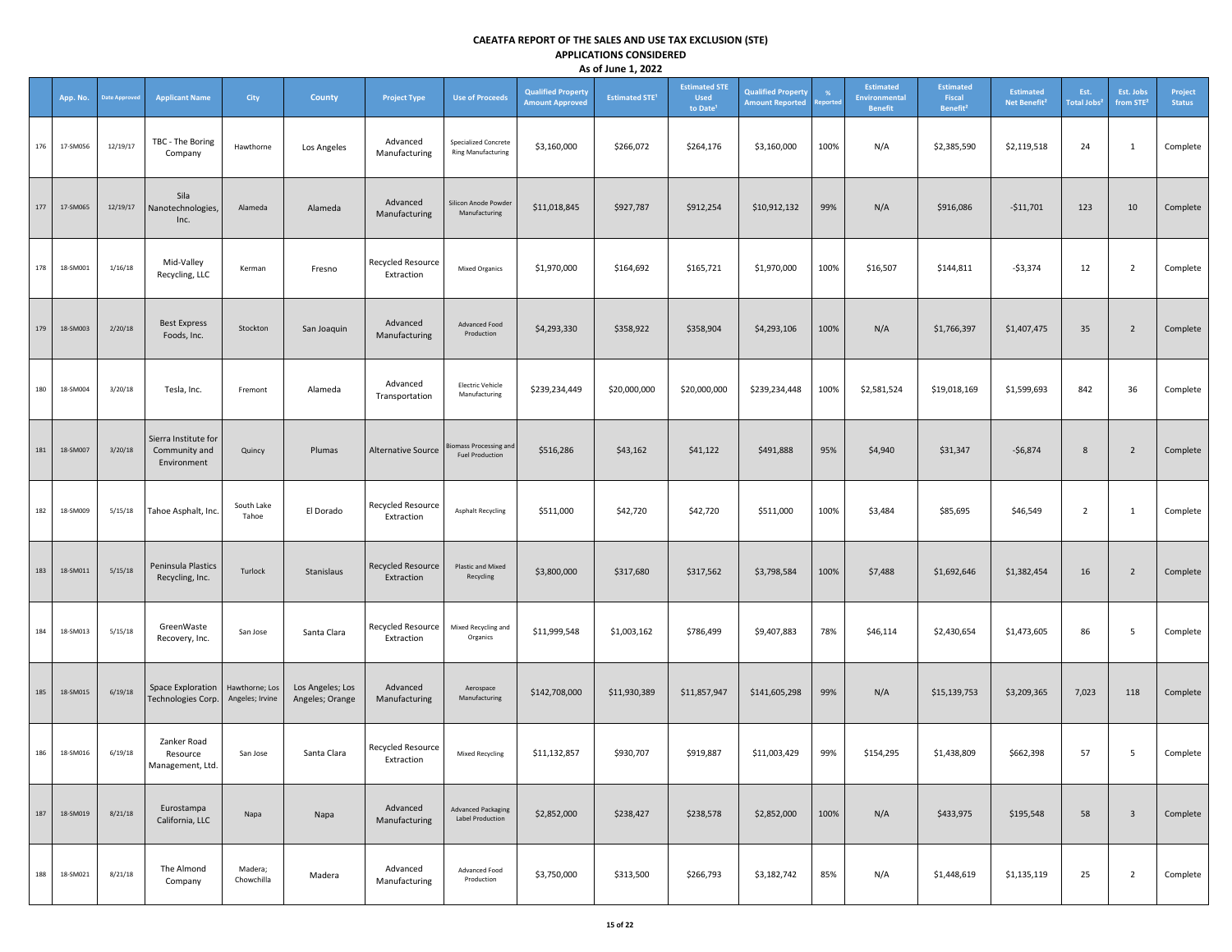|     | App. No. | Date Approved | <b>Applicant Name</b>                                | City                              | <b>County</b>                       | <b>Project Type</b>                    | <b>Use of Proceeds</b>                                   | <b>Qualified Property</b><br><b>Amount Approved</b> | <b>Estimated STE<sup>1</sup></b> | <b>Estimated STE</b><br><b>Used</b><br>to Date <sup>1</sup> | <b>Qualified Property</b><br><b>Amount Reported</b> | -%<br>teportec | <b>Estimated</b><br><b>Environmental</b><br><b>Benefit</b> | <b>Estimated</b><br>Fiscal<br>Benefit <sup>2</sup> | <b>Estimated</b><br>Net Benefit <sup>2</sup> | Est.<br><b>Total Jobs<sup>2</sup></b> | Est. Jobs<br>from STE <sup>2</sup> | Project<br><b>Status</b> |
|-----|----------|---------------|------------------------------------------------------|-----------------------------------|-------------------------------------|----------------------------------------|----------------------------------------------------------|-----------------------------------------------------|----------------------------------|-------------------------------------------------------------|-----------------------------------------------------|----------------|------------------------------------------------------------|----------------------------------------------------|----------------------------------------------|---------------------------------------|------------------------------------|--------------------------|
| 176 | 17-SM056 | 12/19/17      | TBC - The Boring<br>Company                          | Hawthorne                         | Los Angeles                         | Advanced<br>Manufacturing              | <b>Specialized Concrete</b><br><b>Ring Manufacturing</b> | \$3,160,000                                         | \$266,072                        | \$264,176                                                   | \$3,160,000                                         | 100%           | N/A                                                        | \$2,385,590                                        | \$2,119,518                                  | 24                                    | $\mathbf{1}$                       | Complete                 |
| 177 | 17-SM065 | 12/19/17      | Sila<br>Nanotechnologies<br>Inc.                     | Alameda                           | Alameda                             | Advanced<br>Manufacturing              | Silicon Anode Powder<br>Manufacturing                    | \$11,018,845                                        | \$927,787                        | \$912,254                                                   | \$10,912,132                                        | 99%            | N/A                                                        | \$916,086                                          | $-$11,701$                                   | 123                                   | 10                                 | Complete                 |
| 178 | 18-SM001 | 1/16/18       | Mid-Valley<br>Recycling, LLC                         | Kerman                            | Fresno                              | Recycled Resource<br>Extraction        | <b>Mixed Organics</b>                                    | \$1,970,000                                         | \$164,692                        | \$165,721                                                   | \$1,970,000                                         | 100%           | \$16,507                                                   | \$144,811                                          | $-53,374$                                    | 12                                    | $\overline{2}$                     | Complete                 |
| 179 | 18-SM003 | 2/20/18       | <b>Best Express</b><br>Foods, Inc.                   | Stockton                          | San Joaquin                         | Advanced<br>Manufacturing              | Advanced Food<br>Production                              | \$4,293,330                                         | \$358,922                        | \$358,904                                                   | \$4,293,106                                         | 100%           | N/A                                                        | \$1,766,397                                        | \$1,407,475                                  | 35                                    | $\overline{2}$                     | Complete                 |
| 180 | 18-SM004 | 3/20/18       | Tesla, Inc.                                          | Fremont                           | Alameda                             | Advanced<br>Transportation             | <b>Electric Vehicle</b><br>Manufacturing                 | \$239,234,449                                       | \$20,000,000                     | \$20,000,000                                                | \$239,234,448                                       | 100%           | \$2,581,524                                                | \$19,018,169                                       | \$1,599,693                                  | 842                                   | 36                                 | Complete                 |
| 181 | 18-SM007 | 3/20/18       | Sierra Institute for<br>Community and<br>Environment | Quincy                            | Plumas                              | <b>Alternative Source</b>              | <b>Biomass Processing and</b><br><b>Fuel Production</b>  | \$516,286                                           | \$43,162                         | \$41,122                                                    | \$491,888                                           | 95%            | \$4,940                                                    | \$31,347                                           | $-56,874$                                    | 8                                     | $\overline{2}$                     | Complete                 |
| 182 | 18-SM009 | 5/15/18       | Tahoe Asphalt, Inc.                                  | South Lake<br>Tahoe               | El Dorado                           | <b>Recycled Resource</b><br>Extraction | <b>Asphalt Recycling</b>                                 | \$511,000                                           | \$42,720                         | \$42,720                                                    | \$511,000                                           | 100%           | \$3,484                                                    | \$85,695                                           | \$46,549                                     | $\overline{2}$                        | 1                                  | Complete                 |
| 183 | 18-SM011 | 5/15/18       | Peninsula Plastics<br>Recycling, Inc.                | Turlock                           | Stanislaus                          | Recycled Resource<br>Extraction        | Plastic and Mixed<br>Recycling                           | \$3,800,000                                         | \$317,680                        | \$317,562                                                   | \$3,798,584                                         | 100%           | \$7,488                                                    | \$1,692,646                                        | \$1,382,454                                  | 16                                    | $\overline{2}$                     | Complete                 |
| 184 | 18-SM013 | 5/15/18       | GreenWaste<br>Recovery, Inc.                         | San Jose                          | Santa Clara                         | Recycled Resource<br>Extraction        | Mixed Recycling and<br>Organics                          | \$11,999,548                                        | \$1,003,162                      | \$786,499                                                   | \$9,407,883                                         | 78%            | \$46,114                                                   | \$2,430,654                                        | \$1,473,605                                  | 86                                    | 5                                  | Complete                 |
| 185 | 18-SM015 | 6/19/18       | <b>Space Exploration</b><br>Technologies Corp.       | Hawthorne; Los<br>Angeles; Irvine | Los Angeles; Los<br>Angeles; Orange | Advanced<br>Manufacturing              | Aerospace<br>Manufacturing                               | \$142,708,000                                       | \$11,930,389                     | \$11,857,947                                                | \$141,605,298                                       | 99%            | N/A                                                        | \$15,139,753                                       | \$3,209,365                                  | 7,023                                 | 118                                | Complete                 |
| 186 | 18-SM016 | 6/19/18       | Zanker Road<br>Resource<br>Management, Ltd.          | San Jose                          | Santa Clara                         | Recycled Resource<br>Extraction        | <b>Mixed Recycling</b>                                   | \$11,132,857                                        | \$930,707                        | \$919,887                                                   | \$11,003,429                                        | 99%            | \$154,295                                                  | \$1,438,809                                        | \$662,398                                    | 57                                    | 5                                  | Complete                 |
| 187 | 18-SM019 | 8/21/18       | Eurostampa<br>California, LLC                        | Napa                              | Napa                                | Advanced<br>Manufacturing              | <b>Advanced Packaging</b><br><b>Label Production</b>     | \$2,852,000                                         | \$238,427                        | \$238,578                                                   | \$2,852,000                                         | 100%           | N/A                                                        | \$433,975                                          | \$195,548                                    | 58                                    | $\mathbf{3}$                       | Complete                 |
| 188 | 18-SM021 | 8/21/18       | The Almond<br>Company                                | Madera;<br>Chowchilla             | Madera                              | Advanced<br>Manufacturing              | Advanced Food<br>Production                              | \$3,750,000                                         | \$313,500                        | \$266,793                                                   | \$3,182,742                                         | 85%            | N/A                                                        | \$1,448,619                                        | \$1,135,119                                  | 25                                    | $\overline{2}$                     | Complete                 |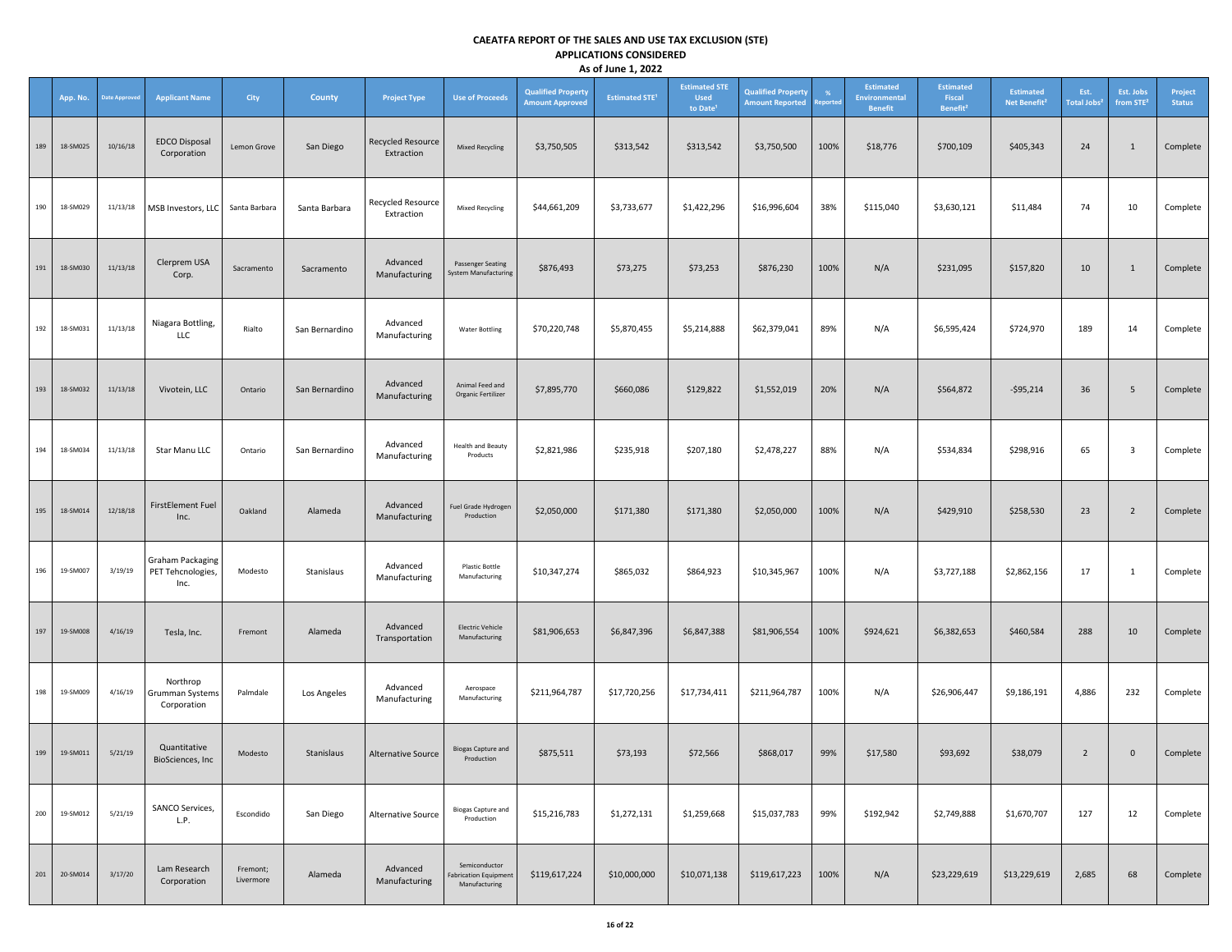|         | App. No. | <b>Date Approver</b> | <b>Applicant Name</b>                                | <b>City</b>           | <b>County</b>  | <b>Project Type</b>             | <b>Use of Proceeds</b>                                         | <b>Qualified Property</b><br><b>Amount Approved</b> | <b>Estimated STE<sup>1</sup></b> | <b>Estimated STE</b><br><b>Used</b><br>to Date <sup>1</sup> | <b>Qualified Property</b><br><b>Amount Reported</b> | %<br>teporte | <b>Estimated</b><br><b>Environmental</b><br><b>Benefit</b> | <b>Estimated</b><br>Fiscal<br>Benefit <sup>2</sup> | <b>Estimated</b><br>Net Benefit <sup>2</sup> | Est.<br>Total Jobs <sup>2</sup> | Est. Jobs<br>from STE <sup>2</sup> | Project<br><b>Status</b> |
|---------|----------|----------------------|------------------------------------------------------|-----------------------|----------------|---------------------------------|----------------------------------------------------------------|-----------------------------------------------------|----------------------------------|-------------------------------------------------------------|-----------------------------------------------------|--------------|------------------------------------------------------------|----------------------------------------------------|----------------------------------------------|---------------------------------|------------------------------------|--------------------------|
| 189     | 18-SM025 | 10/16/18             | <b>EDCO Disposal</b><br>Corporation                  | Lemon Grove           | San Diego      | Recycled Resource<br>Extraction | <b>Mixed Recycling</b>                                         | \$3,750,505                                         | \$313,542                        | \$313,542                                                   | \$3,750,500                                         | 100%         | \$18,776                                                   | \$700,109                                          | \$405,343                                    | 24                              | 1                                  | Complete                 |
| 190     | 18-SM029 | 11/13/18             | MSB Investors, LLC                                   | Santa Barbara         | Santa Barbara  | Recycled Resource<br>Extraction | <b>Mixed Recycling</b>                                         | \$44,661,209                                        | \$3,733,677                      | \$1,422,296                                                 | \$16,996,604                                        | 38%          | \$115,040                                                  | \$3,630,121                                        | \$11,484                                     | 74                              | 10                                 | Complete                 |
| 191     | 18-SM030 | 11/13/18             | Clerprem USA<br>Corp.                                | Sacramento            | Sacramento     | Advanced<br>Manufacturing       | <b>Passenger Seating</b><br><b>System Manufacturing</b>        | \$876,493                                           | \$73,275                         | \$73,253                                                    | \$876,230                                           | 100%         | N/A                                                        | \$231,095                                          | \$157,820                                    | 10                              | $\mathbf{1}$                       | Complete                 |
| 192     | 18-SM031 | 11/13/18             | Niagara Bottling,<br>LLC                             | Rialto                | San Bernardino | Advanced<br>Manufacturing       | <b>Water Bottling</b>                                          | \$70,220,748                                        | \$5,870,455                      | \$5,214,888                                                 | \$62,379,041                                        | 89%          | N/A                                                        | \$6,595,424                                        | \$724,970                                    | 189                             | 14                                 | Complete                 |
| 193     | 18-SM032 | 11/13/18             | Vivotein, LLC                                        | Ontario               | San Bernardino | Advanced<br>Manufacturing       | Animal Feed and<br>Organic Fertilizer                          | \$7,895,770                                         | \$660,086                        | \$129,822                                                   | \$1,552,019                                         | 20%          | N/A                                                        | \$564,872                                          | $-$95,214$                                   | 36                              | 5                                  | Complete                 |
| 194     | 18-SM034 | 11/13/18             | Star Manu LLC                                        | Ontario               | San Bernardino | Advanced<br>Manufacturing       | <b>Health and Beauty</b><br>Products                           | \$2,821,986                                         | \$235,918                        | \$207,180                                                   | \$2,478,227                                         | 88%          | N/A                                                        | \$534,834                                          | \$298,916                                    | 65                              | 3                                  | Complete                 |
| 195     | 18-SM014 | 12/18/18             | <b>FirstElement Fuel</b><br>Inc.                     | Oakland               | Alameda        | Advanced<br>Manufacturing       | Fuel Grade Hydrogen<br>Production                              | \$2,050,000                                         | \$171,380                        | \$171,380                                                   | \$2,050,000                                         | 100%         | N/A                                                        | \$429,910                                          | \$258,530                                    | 23                              | $\overline{2}$                     | Complete                 |
| 196     | 19-SM007 | 3/19/19              | <b>Graham Packaging</b><br>PET Tehcnologies,<br>Inc. | Modesto               | Stanislaus     | Advanced<br>Manufacturing       | <b>Plastic Bottle</b><br>Manufacturing                         | \$10,347,274                                        | \$865,032                        | \$864,923                                                   | \$10,345,967                                        | 100%         | N/A                                                        | \$3,727,188                                        | \$2,862,156                                  | 17                              | 1                                  | Complete                 |
| 197     | 19-SM008 | 4/16/19              | Tesla, Inc.                                          | Fremont               | Alameda        | Advanced<br>Transportation      | <b>Electric Vehicle</b><br>Manufacturing                       | \$81,906,653                                        | \$6,847,396                      | \$6,847,388                                                 | \$81,906,554                                        | 100%         | \$924,621                                                  | \$6,382,653                                        | \$460,584                                    | 288                             | 10                                 | Complete                 |
| 198     | 19-SM009 | 4/16/19              | Northrop<br>Grumman Systems<br>Corporation           | Palmdale              | Los Angeles    | Advanced<br>Manufacturing       | Aerospace<br>Manufacturing                                     | \$211,964,787                                       | \$17,720,256                     | \$17,734,411                                                | \$211,964,787                                       | 100%         | N/A                                                        | \$26,906,447                                       | \$9,186,191                                  | 4,886                           | 232                                | Complete                 |
| 199     | 19-SM011 | 5/21/19              | Quantitative<br>BioSciences, Inc                     | Modesto               | Stanislaus     | Alternative Source              | <b>Biogas Capture and</b><br>Production                        | \$875,511                                           | \$73,193                         | \$72,566                                                    | \$868,017                                           | 99%          | \$17,580                                                   | \$93,692                                           | \$38,079                                     | $\overline{2}$                  | $\mathbf{0}$                       | Complete                 |
| 200     | 19-SM012 | 5/21/19              | SANCO Services,<br>L.P.                              | Escondido             | San Diego      | Alternative Source              | <b>Biogas Capture and</b><br>Production                        | \$15,216,783                                        | \$1,272,131                      | \$1,259,668                                                 | \$15,037,783                                        | 99%          | \$192,942                                                  | \$2,749,888                                        | \$1,670,707                                  | 127                             | 12                                 | Complete                 |
| $201\,$ | 20-SM014 | 3/17/20              | Lam Research<br>Corporation                          | Fremont;<br>Livermore | Alameda        | Advanced<br>Manufacturing       | Semiconductor<br><b>Fabrication Equipment</b><br>Manufacturing | \$119,617,224                                       | \$10,000,000                     | \$10,071,138                                                | \$119,617,223                                       | 100%         | N/A                                                        | \$23,229,619                                       | \$13,229,619                                 | 2,685                           | 68                                 | Complete                 |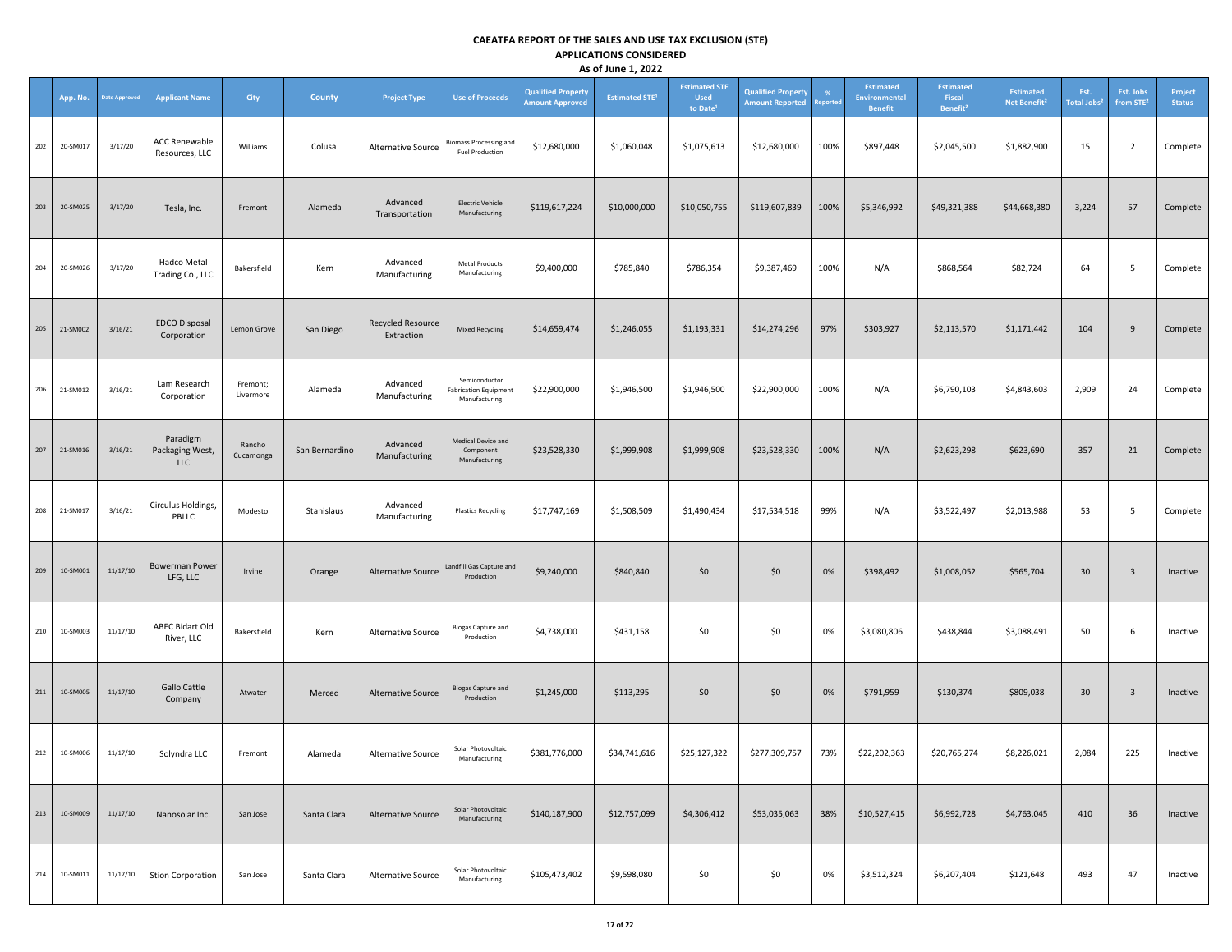|     | App. No. | <b>Date Approved</b> | <b>Applicant Name</b>                  | City                  | <b>County</b>  | <b>Project Type</b>             | <b>Use of Proceeds</b>                                         | <b>Qualified Property</b><br><b>Amount Approved</b> | <b>Estimated STE<sup>1</sup></b> | <b>Estimated STE</b><br><b>Used</b><br>to Date <sup>1</sup> | <b>Qualified Property</b><br><b>Amount Reported</b> | %<br>teporte | <b>Estimated</b><br>Environmental<br><b>Benefit</b> | <b>Estimated</b><br>Fiscal<br>Benefit <sup>2</sup> | <b>Estimated</b><br>Net Benefit <sup>2</sup> | Est.<br>Total Jobs <sup>2</sup> | Est. Jobs<br>from STE <sup>2</sup> | Project<br><b>Status</b> |
|-----|----------|----------------------|----------------------------------------|-----------------------|----------------|---------------------------------|----------------------------------------------------------------|-----------------------------------------------------|----------------------------------|-------------------------------------------------------------|-----------------------------------------------------|--------------|-----------------------------------------------------|----------------------------------------------------|----------------------------------------------|---------------------------------|------------------------------------|--------------------------|
| 202 | 20-SM017 | 3/17/20              | <b>ACC Renewable</b><br>Resources, LLC | Williams              | Colusa         | Alternative Source              | Biomass Processing and<br><b>Fuel Production</b>               | \$12,680,000                                        | \$1,060,048                      | \$1,075,613                                                 | \$12,680,000                                        | 100%         | \$897,448                                           | \$2,045,500                                        | \$1,882,900                                  | 15                              | $\overline{2}$                     | Complete                 |
| 203 | 20-SM025 | 3/17/20              | Tesla, Inc.                            | Fremont               | Alameda        | Advanced<br>Transportation      | <b>Electric Vehicle</b><br>Manufacturing                       | \$119,617,224                                       | \$10,000,000                     | \$10,050,755                                                | \$119,607,839                                       | 100%         | \$5,346,992                                         | \$49,321,388                                       | \$44,668,380                                 | 3,224                           | 57                                 | Complete                 |
| 204 | 20-SM026 | 3/17/20              | Hadco Metal<br>Trading Co., LLC        | Bakersfield           | Kern           | Advanced<br>Manufacturing       | <b>Metal Products</b><br>Manufacturing                         | \$9,400,000                                         | \$785,840                        | \$786,354                                                   | \$9,387,469                                         | 100%         | N/A                                                 | \$868,564                                          | \$82,724                                     | 64                              | 5                                  | Complete                 |
| 205 | 21-SM002 | 3/16/21              | <b>EDCO Disposal</b><br>Corporation    | Lemon Grove           | San Diego      | Recycled Resource<br>Extraction | <b>Mixed Recycling</b>                                         | \$14,659,474                                        | \$1,246,055                      | \$1,193,331                                                 | \$14,274,296                                        | 97%          | \$303,927                                           | \$2,113,570                                        | \$1,171,442                                  | 104                             | 9                                  | Complete                 |
| 206 | 21-SM012 | 3/16/21              | Lam Research<br>Corporation            | Fremont;<br>Livermore | Alameda        | Advanced<br>Manufacturing       | Semiconductor<br><b>Fabrication Equipment</b><br>Manufacturing | \$22,900,000                                        | \$1,946,500                      | \$1,946,500                                                 | \$22,900,000                                        | 100%         | N/A                                                 | \$6,790,103                                        | \$4,843,603                                  | 2,909                           | 24                                 | Complete                 |
| 207 | 21-SM016 | 3/16/21              | Paradigm<br>Packaging West,<br>LLC     | Rancho<br>Cucamonga   | San Bernardino | Advanced<br>Manufacturing       | Medical Device and<br>Component<br>Manufacturing               | \$23,528,330                                        | \$1,999,908                      | \$1,999,908                                                 | \$23,528,330                                        | 100%         | N/A                                                 | \$2,623,298                                        | \$623,690                                    | 357                             | 21                                 | Complete                 |
| 208 | 21-SM017 | 3/16/21              | Circulus Holdings,<br>PBLLC            | Modesto               | Stanislaus     | Advanced<br>Manufacturing       | <b>Plastics Recycling</b>                                      | \$17,747,169                                        | \$1,508,509                      | \$1,490,434                                                 | \$17,534,518                                        | 99%          | N/A                                                 | \$3,522,497                                        | \$2,013,988                                  | 53                              | 5                                  | Complete                 |
| 209 | 10-SM001 | 11/17/10             | <b>Bowerman Power</b><br>LFG, LLC      | Irvine                | Orange         | <b>Alternative Source</b>       | Landfill Gas Capture and<br>Production                         | \$9,240,000                                         | \$840,840                        | \$0                                                         | \$0                                                 | 0%           | \$398,492                                           | \$1,008,052                                        | \$565,704                                    | 30                              | $\mathbf{3}$                       | Inactive                 |
| 210 | 10-SM003 | 11/17/10             | ABEC Bidart Old<br>River, LLC          | Bakersfield           | Kern           | Alternative Source              | <b>Biogas Capture and</b><br>Production                        | \$4,738,000                                         | \$431,158                        | \$0                                                         | \$0                                                 | 0%           | \$3,080,806                                         | \$438,844                                          | \$3,088,491                                  | 50                              | 6                                  | Inactive                 |
| 211 | 10-SM005 | 11/17/10             | Gallo Cattle<br>Company                | Atwater               | Merced         | <b>Alternative Source</b>       | <b>Biogas Capture and</b><br>Production                        | \$1,245,000                                         | \$113,295                        | \$0                                                         | \$0                                                 | 0%           | \$791,959                                           | \$130,374                                          | \$809,038                                    | 30                              | $\mathbf{3}$                       | Inactive                 |
| 212 | 10-SM006 | 11/17/10             | Solyndra LLC                           | Fremont               | Alameda        | Alternative Source              | Solar Photovoltaic<br>Manufacturing                            | \$381,776,000                                       | \$34,741,616                     | \$25,127,322                                                | \$277,309,757                                       | 73%          | \$22,202,363                                        | \$20,765,274                                       | \$8,226,021                                  | 2,084                           | 225                                | Inactive                 |
| 213 | 10-SM009 | 11/17/10             | Nanosolar Inc.                         | San Jose              | Santa Clara    | <b>Alternative Source</b>       | Solar Photovoltaic<br>Manufacturing                            | \$140,187,900                                       | \$12,757,099                     | \$4,306,412                                                 | \$53,035,063                                        | 38%          | \$10,527,415                                        | \$6,992,728                                        | \$4,763,045                                  | 410                             | 36                                 | Inactive                 |
| 214 | 10-SM011 | 11/17/10             | <b>Stion Corporation</b>               | San Jose              | Santa Clara    | Alternative Source              | Solar Photovoltaic<br>Manufacturing                            | \$105,473,402                                       | \$9,598,080                      | \$0                                                         | \$0                                                 | 0%           | \$3,512,324                                         | \$6,207,404                                        | \$121,648                                    | 493                             | 47                                 | Inactive                 |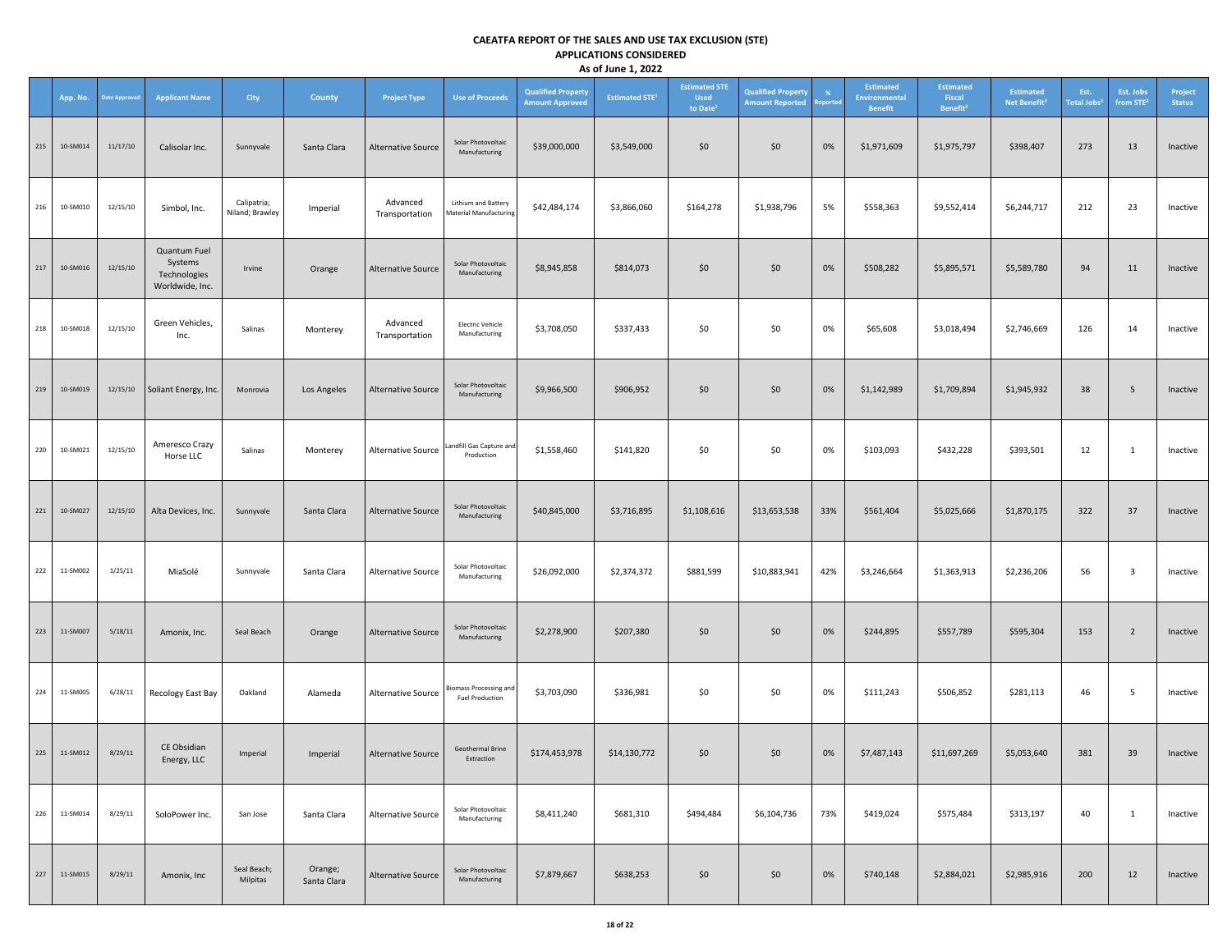|     | App. No. | <b>Date Approved</b> | <b>Applicant Name</b>                                      | City                           | <b>County</b>          | <b>Project Type</b>        | <b>Use of Proceeds</b>                               | <b>Qualified Property</b><br><b>Amount Approved</b> | <b>Estimated STE<sup>1</sup></b> | <b>Estimated STE</b><br><b>Used</b><br>to Date <sup>1</sup> | <b>Qualified Property</b><br><b>Amount Reported</b> | eported | <b>Estimated</b><br><b>Environmental</b><br><b>Benefit</b> | <b>Estimated</b><br>Fiscal<br>Benefit <sup>2</sup> | <b>Estimated</b><br>Net Benefit <sup>2</sup> | Est.<br>Total Jobs <sup>2</sup> | Est. Jobs<br>from STE <sup>2</sup> | Project<br><b>Status</b> |
|-----|----------|----------------------|------------------------------------------------------------|--------------------------------|------------------------|----------------------------|------------------------------------------------------|-----------------------------------------------------|----------------------------------|-------------------------------------------------------------|-----------------------------------------------------|---------|------------------------------------------------------------|----------------------------------------------------|----------------------------------------------|---------------------------------|------------------------------------|--------------------------|
| 215 | 10-SM014 | 11/17/10             | Calisolar Inc.                                             | Sunnyvale                      | Santa Clara            | <b>Alternative Source</b>  | Solar Photovoltaic<br>Manufacturing                  | \$39,000,000                                        | \$3,549,000                      | \$0                                                         | \$0                                                 | 0%      | \$1,971,609                                                | \$1,975,797                                        | \$398,407                                    | 273                             | 13                                 | Inactive                 |
| 216 | 10-SM010 | 12/15/10             | Simbol, Inc.                                               | Calipatria;<br>Niland; Brawley | Imperial               | Advanced<br>Transportation | Lithium and Battery<br><b>Material Manufacturing</b> | \$42,484,174                                        | \$3,866,060                      | \$164,278                                                   | \$1,938,796                                         | 5%      | \$558,363                                                  | \$9,552,414                                        | \$6,244,717                                  | 212                             | 23                                 | Inactive                 |
| 217 | 10-SM016 | 12/15/10             | Quantum Fuel<br>Systems<br>Technologies<br>Worldwide, Inc. | Irvine                         | Orange                 | Alternative Source         | Solar Photovoltaic<br>Manufacturing                  | \$8,945,858                                         | \$814,073                        | \$0                                                         | \$0                                                 | 0%      | \$508,282                                                  | \$5,895,571                                        | \$5,589,780                                  | 94                              | 11                                 | Inactive                 |
| 218 | 10-SM018 | 12/15/10             | Green Vehicles,<br>Inc.                                    | Salinas                        | Monterey               | Advanced<br>Transportation | <b>Electric Vehicle</b><br>Manufacturing             | \$3,708,050                                         | \$337,433                        | \$0                                                         | \$0                                                 | 0%      | \$65,608                                                   | \$3,018,494                                        | \$2,746,669                                  | 126                             | 14                                 | Inactive                 |
| 219 | 10-SM019 | 12/15/10             | Soliant Energy, Inc.                                       | Monrovia                       | Los Angeles            | <b>Alternative Source</b>  | Solar Photovoltaic<br>Manufacturing                  | \$9,966,500                                         | \$906,952                        | \$0                                                         | \$0                                                 | 0%      | \$1,142,989                                                | \$1,709,894                                        | \$1,945,932                                  | 38                              | 5                                  | Inactive                 |
| 220 | 10-SM021 | 12/15/10             | Ameresco Crazy<br>Horse LLC                                | Salinas                        | Monterey               | Alternative Source         | Landfill Gas Capture and<br>Production               | \$1,558,460                                         | \$141,820                        | \$0                                                         | \$0                                                 | 0%      | \$103,093                                                  | \$432,228                                          | \$393,501                                    | 12                              | 1                                  | Inactive                 |
| 221 | 10-SM027 | 12/15/10             | Alta Devices, Inc.                                         | Sunnyvale                      | Santa Clara            | <b>Alternative Source</b>  | Solar Photovoltaic<br>Manufacturing                  | \$40,845,000                                        | \$3,716,895                      | \$1,108,616                                                 | \$13,653,538                                        | 33%     | \$561,404                                                  | \$5,025,666                                        | \$1,870,175                                  | 322                             | 37                                 | Inactive                 |
| 222 | 11-SM002 | 1/25/11              | MiaSolé                                                    | Sunnyvale                      | Santa Clara            | Alternative Source         | Solar Photovoltaic<br>Manufacturing                  | \$26,092,000                                        | \$2,374,372                      | \$881,599                                                   | \$10,883,941                                        | 42%     | \$3,246,664                                                | \$1,363,913                                        | \$2,236,206                                  | 56                              | $\overline{\mathbf{3}}$            | Inactive                 |
| 223 | 11-SM007 | 5/18/11              | Amonix, Inc.                                               | Seal Beach                     | Orange                 | <b>Alternative Source</b>  | Solar Photovoltaic<br>Manufacturing                  | \$2,278,900                                         | \$207,380                        | \$0                                                         | \$0                                                 | 0%      | \$244,895                                                  | \$557,789                                          | \$595,304                                    | 153                             | $\overline{2}$                     | Inactive                 |
| 224 | 11-SM005 | 6/28/11              | Recology East Bay                                          | Oakland                        | Alameda                | Alternative Source         | siomass Processing and<br><b>Fuel Production</b>     | \$3,703,090                                         | \$336,981                        | \$0                                                         | \$0                                                 | 0%      | \$111,243                                                  | \$506,852                                          | \$281,113                                    | 46                              | 5                                  | Inactive                 |
| 225 | 11-SM012 | 8/29/11              | CE Obsidian<br>Energy, LLC                                 | Imperial                       | Imperial               | Alternative Source         | Geothermal Brine<br>Extraction                       | \$174,453,978                                       | \$14,130,772                     | \$0                                                         | \$0                                                 | 0%      | \$7,487,143                                                | \$11,697,269                                       | \$5,053,640                                  | 381                             | 39                                 | Inactive                 |
| 226 | 11-SM014 | 8/29/11              | SoloPower Inc.                                             | San Jose                       | Santa Clara            | Alternative Source         | Solar Photovoltaic<br>Manufacturing                  | \$8,411,240                                         | \$681,310                        | \$494,484                                                   | \$6,104,736                                         | 73%     | \$419,024                                                  | \$575,484                                          | \$313,197                                    | 40                              | 1                                  | Inactive                 |
| 227 | 11-SM015 | 8/29/11              | Amonix, Inc.                                               | Seal Beach;<br>Milpitas        | Orange;<br>Santa Clara | <b>Alternative Source</b>  | Solar Photovoltaic<br>Manufacturing                  | \$7,879,667                                         | \$638,253                        | \$0                                                         | \$0                                                 | 0%      | \$740,148                                                  | \$2,884,021                                        | \$2,985,916                                  | 200                             | 12                                 | Inactive                 |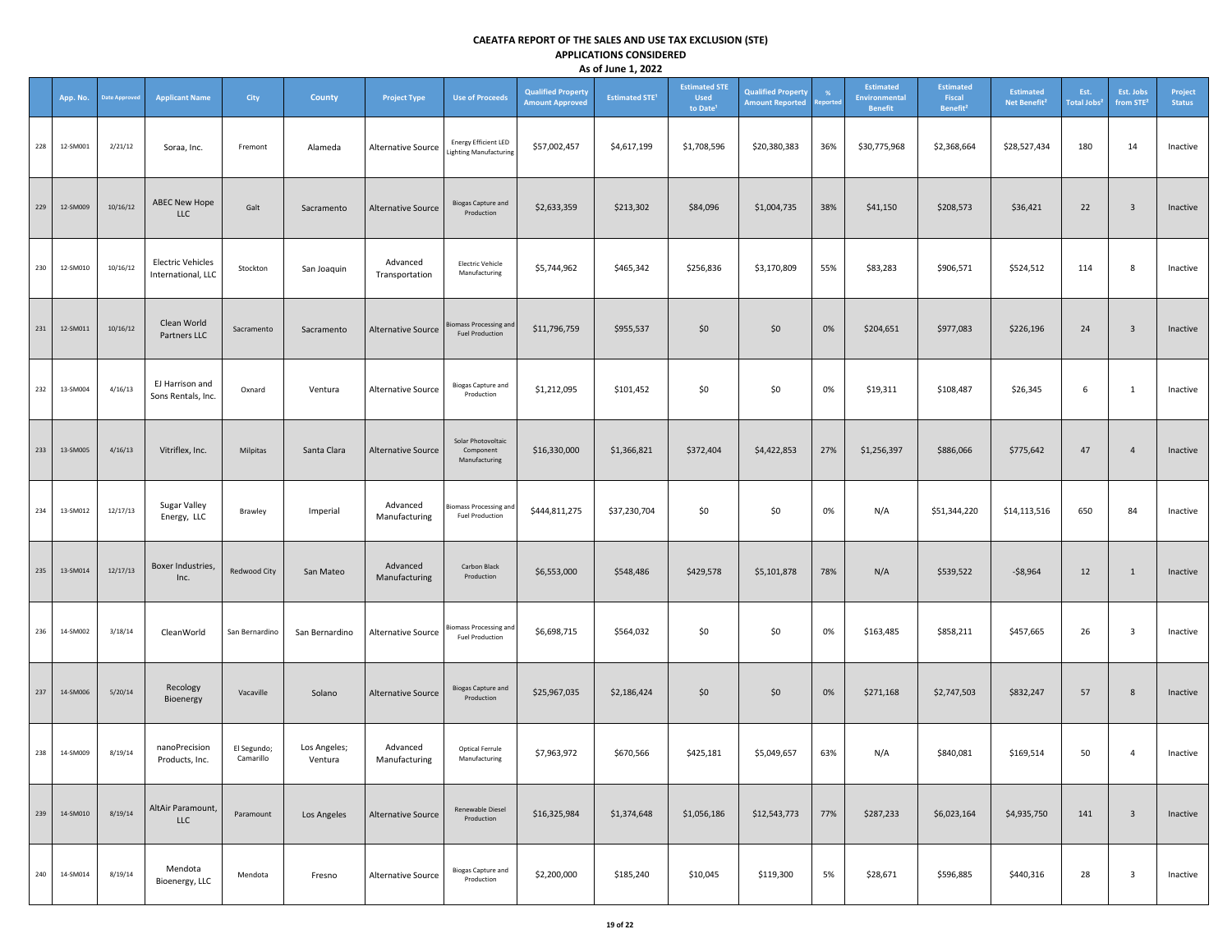|     | App. No. | <b>Date Approved</b> | <b>Applicant Name</b>                          | <b>City</b>              | County                  | <b>Project Type</b>        | <b>Use of Proceeds</b>                                       | <b>Qualified Property</b><br><b>Amount Approved</b> | <b>Estimated STE<sup>1</sup></b> | <b>Estimated STE</b><br><b>Used</b><br>to Date <sup>1</sup> | <b>Qualified Property</b><br><b>Amount Reported</b> | %<br>eported | <b>Estimated</b><br><b>Environmental</b><br><b>Benefit</b> | <b>Estimated</b><br>Fiscal<br>Benefit <sup>2</sup> | <b>Estimated</b><br>Net Benefit <sup>2</sup> | Est.<br><b>Total Jobs<sup>2</sup></b> | Est. Jobs<br>from STE <sup>2</sup> | Project<br><b>Status</b> |
|-----|----------|----------------------|------------------------------------------------|--------------------------|-------------------------|----------------------------|--------------------------------------------------------------|-----------------------------------------------------|----------------------------------|-------------------------------------------------------------|-----------------------------------------------------|--------------|------------------------------------------------------------|----------------------------------------------------|----------------------------------------------|---------------------------------------|------------------------------------|--------------------------|
| 228 | 12-SM001 | 2/21/12              | Soraa, Inc.                                    | Fremont                  | Alameda                 | Alternative Source         | <b>Energy Efficient LED</b><br><b>Lighting Manufacturing</b> | \$57,002,457                                        | \$4,617,199                      | \$1,708,596                                                 | \$20,380,383                                        | 36%          | \$30,775,968                                               | \$2,368,664                                        | \$28,527,434                                 | 180                                   | 14                                 | Inactive                 |
| 229 | 12-SM009 | 10/16/12             | ABEC New Hope<br><b>LLC</b>                    | Galt                     | Sacramento              | <b>Alternative Source</b>  | <b>Biogas Capture and</b><br>Production                      | \$2,633,359                                         | \$213,302                        | \$84,096                                                    | \$1,004,735                                         | 38%          | \$41,150                                                   | \$208,573                                          | \$36,421                                     | 22                                    | $\overline{\mathbf{3}}$            | Inactive                 |
| 230 | 12-SM010 | 10/16/12             | <b>Electric Vehicles</b><br>International, LLC | Stockton                 | San Joaquin             | Advanced<br>Transportation | <b>Electric Vehicle</b><br>Manufacturing                     | \$5,744,962                                         | \$465,342                        | \$256,836                                                   | \$3,170,809                                         | 55%          | \$83,283                                                   | \$906,571                                          | \$524,512                                    | 114                                   | 8                                  | Inactive                 |
| 231 | 12-SM011 | 10/16/12             | Clean World<br>Partners LLC                    | Sacramento               | Sacramento              | <b>Alternative Source</b>  | <b>Biomass Processing and</b><br><b>Fuel Production</b>      | \$11,796,759                                        | \$955,537                        | \$0                                                         | \$0                                                 | 0%           | \$204,651                                                  | \$977,083                                          | \$226,196                                    | 24                                    | $\overline{\mathbf{3}}$            | Inactive                 |
| 232 | 13-SM004 | 4/16/13              | EJ Harrison and<br>Sons Rentals, Inc.          | Oxnard                   | Ventura                 | Alternative Source         | <b>Biogas Capture and</b><br>Production                      | \$1,212,095                                         | \$101,452                        | \$0                                                         | \$0                                                 | 0%           | \$19,311                                                   | \$108,487                                          | \$26,345                                     | 6                                     | 1                                  | Inactive                 |
| 233 | 13-SM005 | 4/16/13              | Vitriflex, Inc.                                | Milpitas                 | Santa Clara             | <b>Alternative Source</b>  | Solar Photovoltaic<br>Component<br>Manufacturing             | \$16,330,000                                        | \$1,366,821                      | \$372,404                                                   | \$4,422,853                                         | 27%          | \$1,256,397                                                | \$886,066                                          | \$775,642                                    | 47                                    | $\overline{4}$                     | Inactive                 |
| 234 | 13-SM012 | 12/17/13             | Sugar Valley<br>Energy, LLC                    | Brawley                  | Imperial                | Advanced<br>Manufacturing  | <b>Biomass Processing and</b><br><b>Fuel Production</b>      | \$444,811,275                                       | \$37,230,704                     | \$0                                                         | \$0                                                 | 0%           | N/A                                                        | \$51,344,220                                       | \$14,113,516                                 | 650                                   | 84                                 | Inactive                 |
| 235 | 13-SM014 | 12/17/13             | Boxer Industries,<br>Inc.                      | Redwood City             | San Mateo               | Advanced<br>Manufacturing  | Carbon Black<br>Production                                   | \$6,553,000                                         | \$548,486                        | \$429,578                                                   | \$5,101,878                                         | 78%          | N/A                                                        | \$539,522                                          | $-58,964$                                    | 12                                    | $\mathbf{1}$                       | Inactive                 |
| 236 | 14-SM002 | 3/18/14              | CleanWorld                                     | San Bernardino           | San Bernardino          | Alternative Source         | <b>Biomass Processing and</b><br><b>Fuel Production</b>      | \$6,698,715                                         | \$564,032                        | \$0                                                         | \$0                                                 | 0%           | \$163,485                                                  | \$858,211                                          | \$457,665                                    | 26                                    | $\overline{\mathbf{3}}$            | Inactive                 |
| 237 | 14-SM006 | 5/20/14              | Recology<br>Bioenergy                          | Vacaville                | Solano                  | <b>Alternative Source</b>  | <b>Biogas Capture and</b><br>Production                      | \$25,967,035                                        | \$2,186,424                      | \$0                                                         | \$0                                                 | 0%           | \$271,168                                                  | \$2,747,503                                        | \$832,247                                    | 57                                    | 8                                  | Inactive                 |
| 238 | 14-SM009 | 8/19/14              | nanoPrecision<br>Products, Inc.                | El Segundo;<br>Camarillo | Los Angeles;<br>Ventura | Advanced<br>Manufacturing  | Optical Ferrule<br>Manufacturing                             | \$7,963,972                                         | \$670,566                        | \$425,181                                                   | \$5,049,657                                         | 63%          | N/A                                                        | \$840,081                                          | \$169,514                                    | 50                                    | $\overline{a}$                     | Inactive                 |
| 239 | 14-SM010 | 8/19/14              | AltAir Paramount,<br><b>LLC</b>                | Paramount                | Los Angeles             | <b>Alternative Source</b>  | Renewable Diesel<br>Production                               | \$16,325,984                                        | \$1,374,648                      | \$1,056,186                                                 | \$12,543,773                                        | 77%          | \$287,233                                                  | \$6,023,164                                        | \$4,935,750                                  | 141                                   | $\overline{\mathbf{3}}$            | Inactive                 |
| 240 | 14-SM014 | 8/19/14              | Mendota<br>Bioenergy, LLC                      | Mendota                  | Fresno                  | <b>Alternative Source</b>  | <b>Biogas Capture and</b><br>Production                      | \$2,200,000                                         | \$185,240                        | \$10,045                                                    | \$119,300                                           | 5%           | \$28,671                                                   | \$596,885                                          | \$440,316                                    | 28                                    | $\overline{\mathbf{3}}$            | Inactive                 |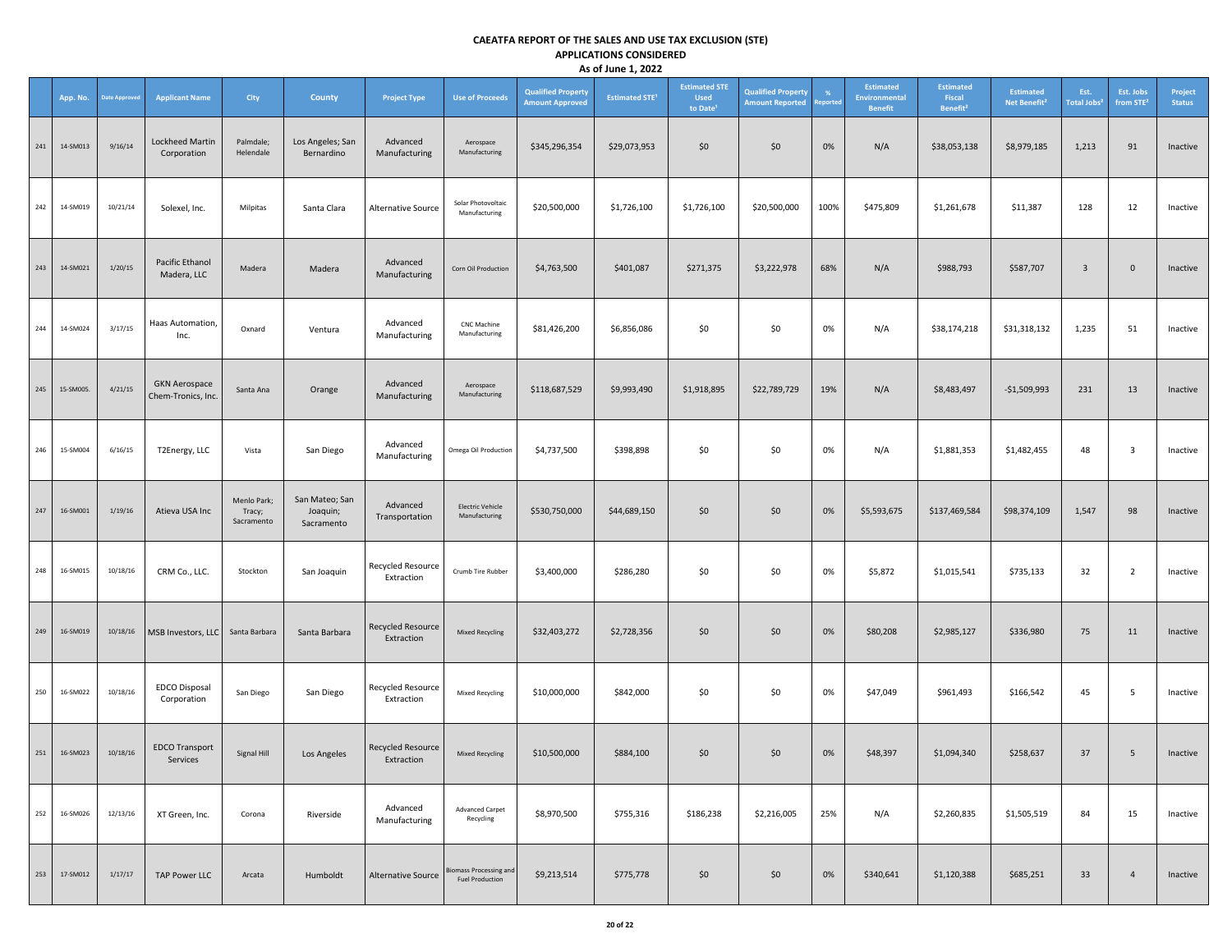|     | App. No.  | <b>Date Approved</b> | <b>Applicant Name</b>                      | City                                | <b>County</b>                            | <b>Project Type</b>             | <b>Use of Proceeds</b>                                  | <b>Qualified Property</b><br><b>Amount Approved</b> | <b>Estimated STE<sup>1</sup></b> | <b>Estimated STE</b><br><b>Used</b><br>to Date <sup>1</sup> | <b>Qualified Property</b><br><b>Amount Reported</b> | -%<br><b>Reported</b> | <b>Estimated</b><br>Environmental<br><b>Benefit</b> | <b>Estimated</b><br>Fiscal<br>Benefit <sup>2</sup> | <b>Estimated</b><br>Net Benefit <sup>2</sup> | Est.<br>Total Jobs <sup>:</sup> | Est. Jobs<br>from STE <sup>2</sup> | Project<br><b>Status</b> |
|-----|-----------|----------------------|--------------------------------------------|-------------------------------------|------------------------------------------|---------------------------------|---------------------------------------------------------|-----------------------------------------------------|----------------------------------|-------------------------------------------------------------|-----------------------------------------------------|-----------------------|-----------------------------------------------------|----------------------------------------------------|----------------------------------------------|---------------------------------|------------------------------------|--------------------------|
| 241 | 14-SM013  | 9/16/14              | Lockheed Martin<br>Corporation             | Palmdale;<br>Helendale              | Los Angeles; San<br>Bernardino           | Advanced<br>Manufacturing       | Aerospace<br>Manufacturing                              | \$345,296,354                                       | \$29,073,953                     | \$0                                                         | \$0                                                 | 0%                    | N/A                                                 | \$38,053,138                                       | \$8,979,185                                  | 1,213                           | 91                                 | Inactive                 |
| 242 | 14-SM019  | 10/21/14             | Solexel, Inc.                              | Milpitas                            | Santa Clara                              | <b>Alternative Source</b>       | Solar Photovoltaic<br>Manufacturing                     | \$20,500,000                                        | \$1,726,100                      | \$1,726,100                                                 | \$20,500,000                                        | 100%                  | \$475,809                                           | \$1,261,678                                        | \$11,387                                     | 128                             | 12                                 | Inactive                 |
| 243 | 14-SM021  | 1/20/15              | Pacific Ethanol<br>Madera, LLC             | Madera                              | Madera                                   | Advanced<br>Manufacturing       | Corn Oil Production                                     | \$4,763,500                                         | \$401,087                        | \$271,375                                                   | \$3,222,978                                         | 68%                   | N/A                                                 | \$988,793                                          | \$587,707                                    | $\overline{\mathbf{3}}$         | $\mathbf{0}$                       | Inactive                 |
| 244 | 14-SM024  | 3/17/15              | Haas Automation,<br>Inc.                   | Oxnard                              | Ventura                                  | Advanced<br>Manufacturing       | <b>CNC Machine</b><br>Manufacturing                     | \$81,426,200                                        | \$6,856,086                      | \$0                                                         | \$0                                                 | 0%                    | N/A                                                 | \$38,174,218                                       | \$31,318,132                                 | 1,235                           | 51                                 | Inactive                 |
| 245 | 15-SM005. | 4/21/15              | <b>GKN Aerospace</b><br>Chem-Tronics, Inc. | Santa Ana                           | Orange                                   | Advanced<br>Manufacturing       | Aerospace<br>Manufacturing                              | \$118,687,529                                       | \$9,993,490                      | \$1,918,895                                                 | \$22,789,729                                        | 19%                   | N/A                                                 | \$8,483,497                                        | $-$1,509,993$                                | 231                             | 13                                 | Inactive                 |
| 246 | 15-SM004  | 6/16/15              | T2Energy, LLC                              | Vista                               | San Diego                                | Advanced<br>Manufacturing       | Omega Oil Production                                    | \$4,737,500                                         | \$398,898                        | \$0                                                         | \$0                                                 | 0%                    | N/A                                                 | \$1,881,353                                        | \$1,482,455                                  | 48                              | 3                                  | Inactive                 |
| 247 | 16-SM001  | 1/19/16              | Atieva USA Inc                             | Menlo Park;<br>Tracy;<br>Sacramento | San Mateo; San<br>Joaquin;<br>Sacramento | Advanced<br>Transportation      | <b>Electric Vehicle</b><br>Manufacturing                | \$530,750,000                                       | \$44,689,150                     | \$0                                                         | \$0                                                 | 0%                    | \$5,593,675                                         | \$137,469,584                                      | \$98,374,109                                 | 1,547                           | 98                                 | Inactive                 |
| 248 | 16-SM015  | 10/18/16             | CRM Co., LLC.                              | Stockton                            | San Joaquin                              | Recycled Resource<br>Extraction | Crumb Tire Rubber                                       | \$3,400,000                                         | \$286,280                        | \$0                                                         | \$0                                                 | 0%                    | \$5,872                                             | \$1,015,541                                        | \$735,133                                    | 32                              | $\overline{2}$                     | Inactive                 |
| 249 | 16-SM019  | 10/18/16             | MSB Investors, LLC                         | Santa Barbara                       | Santa Barbara                            | Recycled Resource<br>Extraction | <b>Mixed Recycling</b>                                  | \$32,403,272                                        | \$2,728,356                      | \$0                                                         | \$0                                                 | $0\%$                 | \$80,208                                            | \$2,985,127                                        | \$336,980                                    | 75                              | 11                                 | Inactive                 |
| 250 | 16-SM022  | 10/18/16             | EDCO Disposal<br>Corporation               | San Diego                           | San Diego                                | Recycled Resource<br>Extraction | Mixed Recycling                                         | \$10,000,000                                        | \$842,000                        | \$0                                                         | \$0                                                 | 0%                    | \$47,049                                            | \$961,493                                          | \$166,542                                    | 45                              | 5                                  | Inactive                 |
| 251 | 16-SM023  | 10/18/16             | <b>EDCO Transport</b><br>Services          | Signal Hill                         | Los Angeles                              | Recycled Resource<br>Extraction | <b>Mixed Recycling</b>                                  | \$10,500,000                                        | \$884,100                        | \$0                                                         | \$0                                                 | 0%                    | \$48,397                                            | \$1,094,340                                        | \$258,637                                    | 37                              | 5                                  | Inactive                 |
| 252 | 16-SM026  | 12/13/16             | XT Green, Inc.                             | Corona                              | Riverside                                | Advanced<br>Manufacturing       | <b>Advanced Carpet</b><br>Recycling                     | \$8,970,500                                         | \$755,316                        | \$186,238                                                   | \$2,216,005                                         | 25%                   | N/A                                                 | \$2,260,835                                        | \$1,505,519                                  | 84                              | 15                                 | Inactive                 |
| 253 | 17-SM012  | 1/17/17              | <b>TAP Power LLC</b>                       | Arcata                              | Humboldt                                 | Alternative Source              | <b>Biomass Processing and</b><br><b>Fuel Production</b> | \$9,213,514                                         | \$775,778                        | \$0                                                         | \$0                                                 | 0%                    | \$340,641                                           | \$1,120,388                                        | \$685,251                                    | 33                              | $\overline{a}$                     | Inactive                 |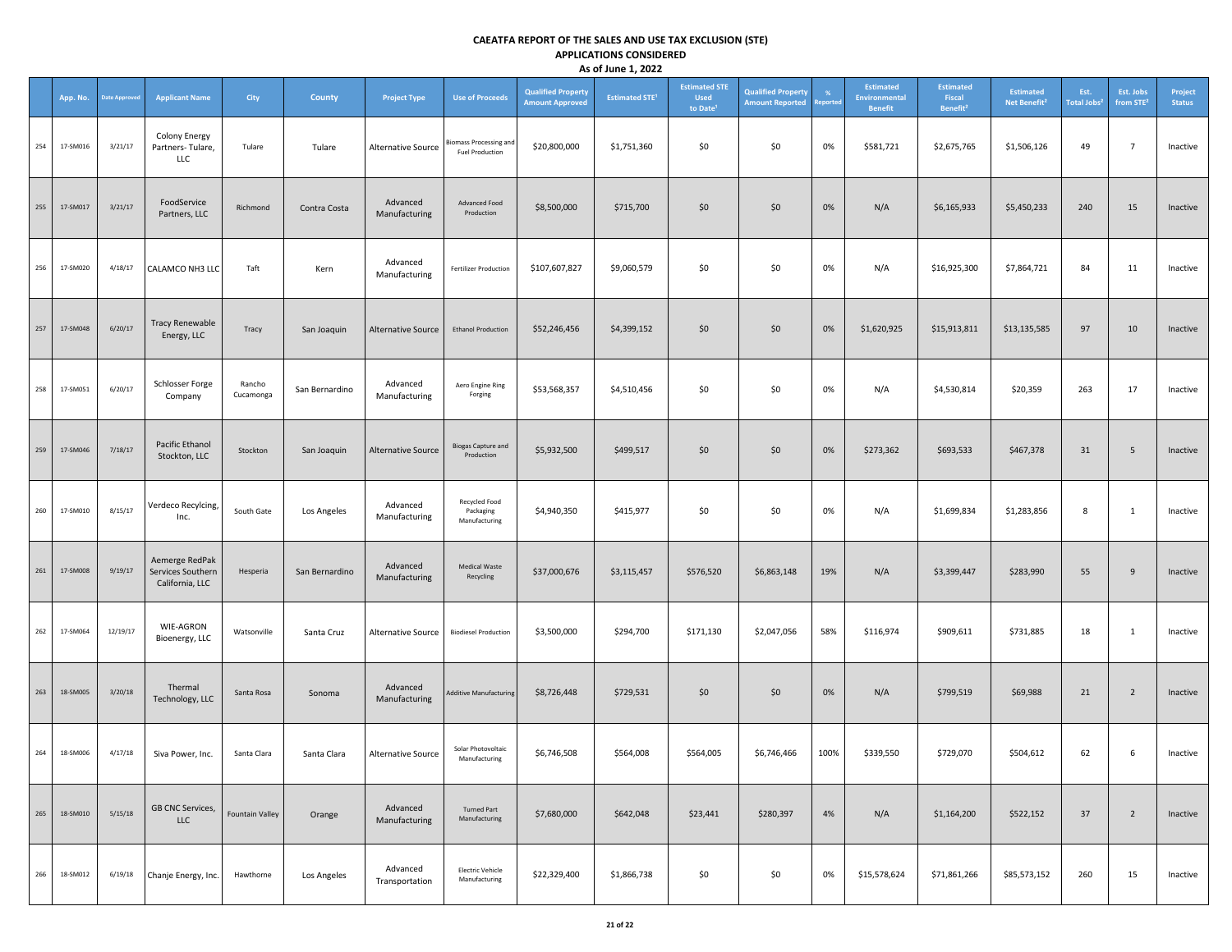|     | App. No. | <b>Date Approved</b> | <b>Applicant Name</b>                                  | <b>City</b>            | <b>County</b>  | <b>Project Type</b>        | <b>Use of Proceeds</b>                           | <b>Qualified Property</b><br><b>Amount Approved</b> | <b>Estimated STE<sup>1</sup></b> | <b>Estimated STE</b><br><b>Used</b><br>to Date <sup>1</sup> | <b>Qualified Property</b><br><b>Amount Reported</b> | $\frac{9}{6}$<br>eportec | <b>Estimated</b><br><b>Environmental</b><br><b>Benefit</b> | <b>Estimated</b><br>Fiscal<br>Benefit <sup>2</sup> | <b>Estimated</b><br>Net Benefit <sup>2</sup> | Est.<br><b>Total Jobs<sup>2</sup></b> | Est. Jobs<br>from STE <sup>2</sup> | Project<br><b>Status</b> |
|-----|----------|----------------------|--------------------------------------------------------|------------------------|----------------|----------------------------|--------------------------------------------------|-----------------------------------------------------|----------------------------------|-------------------------------------------------------------|-----------------------------------------------------|--------------------------|------------------------------------------------------------|----------------------------------------------------|----------------------------------------------|---------------------------------------|------------------------------------|--------------------------|
| 254 | 17-SM016 | 3/21/17              | Colony Energy<br>Partners-Tulare,<br>LLC               | Tulare                 | Tulare         | Alternative Source         | liomass Processing and<br><b>Fuel Production</b> | \$20,800,000                                        | \$1,751,360                      | \$0                                                         | \$0                                                 | 0%                       | \$581,721                                                  | \$2,675,765                                        | \$1,506,126                                  | 49                                    | $\overline{7}$                     | Inactive                 |
| 255 | 17-SM017 | 3/21/17              | FoodService<br>Partners, LLC                           | Richmond               | Contra Costa   | Advanced<br>Manufacturing  | Advanced Food<br>Production                      | \$8,500,000                                         | \$715,700                        | \$0\$                                                       | \$0                                                 | 0%                       | N/A                                                        | \$6,165,933                                        | \$5,450,233                                  | 240                                   | 15                                 | Inactive                 |
| 256 | 17-SM020 | 4/18/17              | CALAMCO NH3 LLC                                        | Taft                   | Kern           | Advanced<br>Manufacturing  | <b>Fertilizer Production</b>                     | \$107,607,827                                       | \$9,060,579                      | \$0                                                         | \$0                                                 | 0%                       | N/A                                                        | \$16,925,300                                       | \$7,864,721                                  | 84                                    | 11                                 | Inactive                 |
| 257 | 17-SM048 | 6/20/17              | <b>Tracy Renewable</b><br>Energy, LLC                  | Tracy                  | San Joaquin    | <b>Alternative Source</b>  | <b>Ethanol Production</b>                        | \$52,246,456                                        | \$4,399,152                      | \$0\$                                                       | \$0                                                 | 0%                       | \$1,620,925                                                | \$15,913,811                                       | \$13,135,585                                 | 97                                    | 10                                 | Inactive                 |
| 258 | 17-SM051 | 6/20/17              | Schlosser Forge<br>Company                             | Rancho<br>Cucamonga    | San Bernardino | Advanced<br>Manufacturing  | Aero Engine Ring<br>Forging                      | \$53,568,357                                        | \$4,510,456                      | \$0                                                         | \$0                                                 | 0%                       | N/A                                                        | \$4,530,814                                        | \$20,359                                     | 263                                   | 17                                 | Inactive                 |
| 259 | 17-SM046 | 7/18/17              | Pacific Ethanol<br>Stockton, LLC                       | Stockton               | San Joaquin    | <b>Alternative Source</b>  | <b>Biogas Capture and</b><br>Production          | \$5,932,500                                         | \$499,517                        | \$0\$                                                       | \$0                                                 | 0%                       | \$273,362                                                  | \$693,533                                          | \$467,378                                    | 31                                    | 5                                  | Inactive                 |
| 260 | 17-SM010 | 8/15/17              | Verdeco Recylcing,<br>Inc.                             | South Gate             | Los Angeles    | Advanced<br>Manufacturing  | Recycled Food<br>Packaging<br>Manufacturing      | \$4,940,350                                         | \$415,977                        | \$0                                                         | \$0                                                 | 0%                       | N/A                                                        | \$1,699,834                                        | \$1,283,856                                  | 8                                     | <sup>1</sup>                       | Inactive                 |
| 261 | 17-SM008 | 9/19/17              | Aemerge RedPak<br>Services Southern<br>California, LLC | Hesperia               | San Bernardino | Advanced<br>Manufacturing  | Medical Waste<br>Recycling                       | \$37,000,676                                        | \$3,115,457                      | \$576,520                                                   | \$6,863,148                                         | 19%                      | N/A                                                        | \$3,399,447                                        | \$283,990                                    | 55                                    | 9                                  | Inactive                 |
| 262 | 17-SM064 | 12/19/17             | WIE-AGRON<br>Bioenergy, LLC                            | Watsonville            | Santa Cruz     | Alternative Source         | <b>Biodiesel Production</b>                      | \$3,500,000                                         | \$294,700                        | \$171,130                                                   | \$2,047,056                                         | 58%                      | \$116,974                                                  | \$909,611                                          | \$731,885                                    | 18                                    | <sup>1</sup>                       | Inactive                 |
| 263 | 18-SM005 | 3/20/18              | Thermal<br>Technology, LLC                             | Santa Rosa             | Sonoma         | Advanced<br>Manufacturing  | <b>Additive Manufacturing</b>                    | \$8,726,448                                         | \$729,531                        | \$0\$                                                       | \$0                                                 | 0%                       | N/A                                                        | \$799,519                                          | \$69,988                                     | 21                                    | $\overline{2}$                     | Inactive                 |
| 264 | 18-SM006 | 4/17/18              | Siva Power, Inc.                                       | Santa Clara            | Santa Clara    | Alternative Source         | Solar Photovoltaic<br>Manufacturing              | \$6,746,508                                         | \$564,008                        | \$564,005                                                   | \$6,746,466                                         | 100%                     | \$339,550                                                  | \$729,070                                          | \$504,612                                    | 62                                    | 6                                  | Inactive                 |
| 265 | 18-SM010 | 5/15/18              | <b>GB CNC Services,</b><br><b>LLC</b>                  | <b>Fountain Valley</b> | Orange         | Advanced<br>Manufacturing  | <b>Turned Part</b><br>Manufacturing              | \$7,680,000                                         | \$642,048                        | \$23,441                                                    | \$280,397                                           | 4%                       | N/A                                                        | \$1,164,200                                        | \$522,152                                    | 37                                    | $\overline{2}$                     | Inactive                 |
| 266 | 18-SM012 | 6/19/18              | Chanje Energy, Inc.                                    | Hawthorne              | Los Angeles    | Advanced<br>Transportation | <b>Electric Vehicle</b><br>Manufacturing         | \$22,329,400                                        | \$1,866,738                      | \$0                                                         | \$0                                                 | 0%                       | \$15,578,624                                               | \$71,861,266                                       | \$85,573,152                                 | 260                                   | 15                                 | Inactive                 |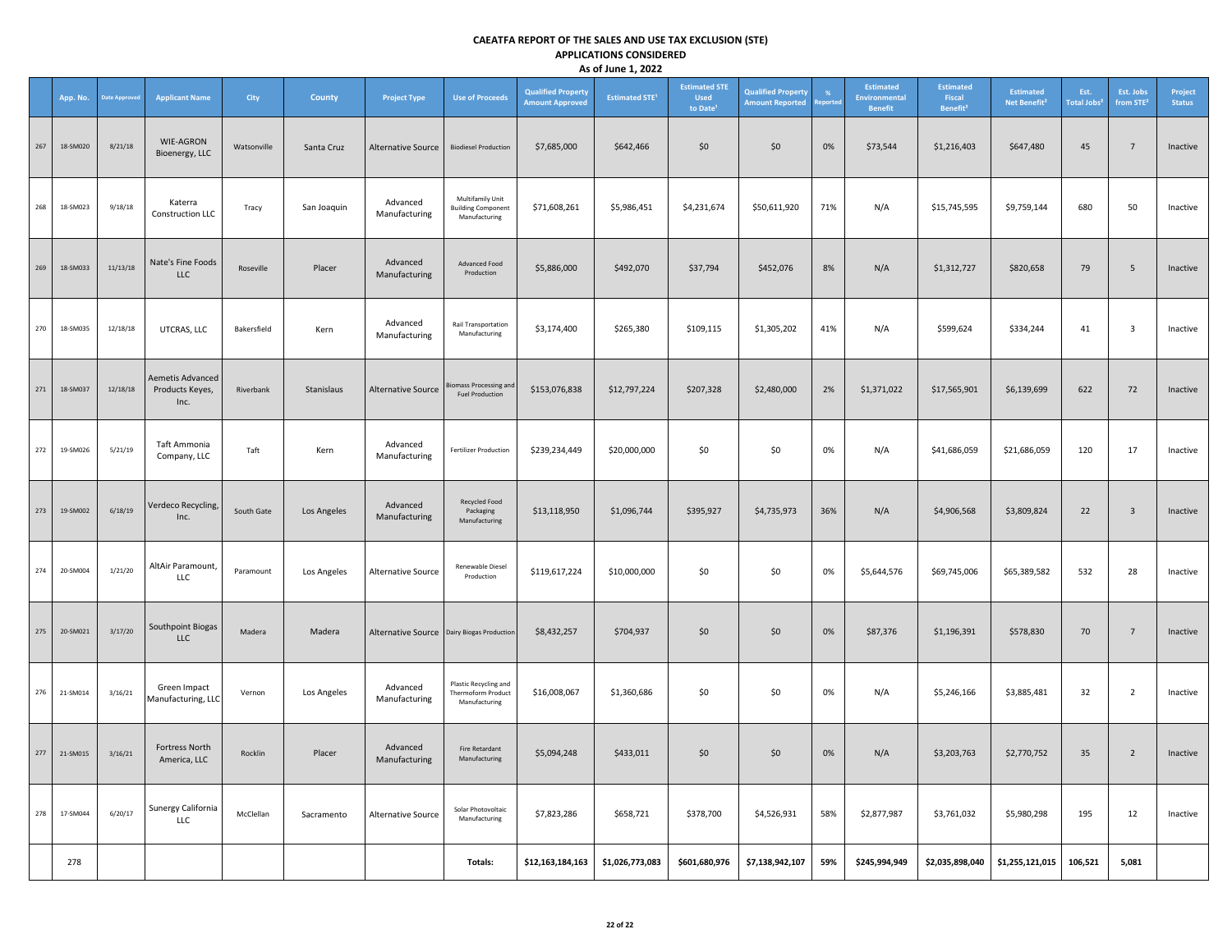|     | App. No. | <b>Date Approve</b> | <b>Applicant Name</b>                       | <b>City</b> | County      | <b>Project Type</b>                          | <b>Use of Proceeds</b>                                         | <b>Qualified Property</b><br><b>Amount Approved</b> | <b>Estimated STE<sup>1</sup></b> | <b>Estimated STE</b><br><b>Used</b><br>to Date | <b>Qualified Property</b><br><b>Amount Reported</b> | port: | Estimated<br><b>Environmental</b><br><b>Benefit</b> | <b>Estimated</b><br>Fiscal<br>Benefit <sup>2</sup> | <b>Estimated</b><br>Net Benefit <sup>2</sup> | Est.<br><b>Total Jobs<sup>2</sup></b> | Est. Jobs<br>from STE <sup>2</sup> | Project<br><b>Status</b> |
|-----|----------|---------------------|---------------------------------------------|-------------|-------------|----------------------------------------------|----------------------------------------------------------------|-----------------------------------------------------|----------------------------------|------------------------------------------------|-----------------------------------------------------|-------|-----------------------------------------------------|----------------------------------------------------|----------------------------------------------|---------------------------------------|------------------------------------|--------------------------|
| 267 | 18-SM020 | 8/21/18             | WIE-AGRON<br>Bioenergy, LLC                 | Watsonville | Santa Cruz  | Alternative Source                           | <b>Biodiesel Production</b>                                    | \$7,685,000                                         | \$642,466                        | \$0                                            | \$0                                                 | $0\%$ | \$73,544                                            | \$1,216,403                                        | \$647,480                                    | 45                                    | $7\overline{ }$                    | Inactive                 |
| 268 | 18-SM023 | 9/18/18             | Katerra<br>Construction LLC                 | Tracy       | San Joaquin | Advanced<br>Manufacturing                    | Multifamily Unit<br><b>Building Component</b><br>Manufacturing | \$71,608,261                                        | \$5,986,451                      | \$4,231,674                                    | \$50,611,920                                        | 71%   | N/A                                                 | \$15,745,595                                       | \$9,759,144                                  | 680                                   | 50                                 | Inactive                 |
| 269 | 18-SM033 | 11/13/18            | Nate's Fine Foods<br><b>LLC</b>             | Roseville   | Placer      | Advanced<br>Manufacturing                    | Advanced Food<br>Production                                    | \$5,886,000                                         | \$492,070                        | \$37,794                                       | \$452,076                                           | 8%    | N/A                                                 | \$1,312,727                                        | \$820,658                                    | 79                                    | $5\phantom{.0}$                    | Inactive                 |
| 270 | 18-SM035 | 12/18/18            | UTCRAS, LLC                                 | Bakersfield | Kern        | Advanced<br>Manufacturing                    | <b>Rail Transportation</b><br>Manufacturing                    | \$3,174,400                                         | \$265,380                        | \$109,115                                      | \$1,305,202                                         | 41%   | N/A                                                 | \$599,624                                          | \$334,244                                    | 41                                    | $\overline{3}$                     | Inactive                 |
| 271 | 18-SM037 | 12/18/18            | Aemetis Advanced<br>Products Keyes,<br>Inc. | Riverbank   | Stanislaus  | <b>Alternative Source</b>                    | iomass Processing and<br><b>Fuel Production</b>                | \$153,076,838                                       | \$12,797,224                     | \$207,328                                      | \$2,480,000                                         | 2%    | \$1,371,022                                         | \$17,565,901                                       | \$6,139,699                                  | 622                                   | 72                                 | Inactive                 |
| 272 | 19-SM026 | 5/21/19             | Taft Ammonia<br>Company, LLC                | Taft        | Kern        | Advanced<br>Manufacturing                    | <b>Fertilizer Production</b>                                   | \$239,234,449                                       | \$20,000,000                     | \$0                                            | \$0                                                 | 0%    | N/A                                                 | \$41,686,059                                       | \$21,686,059                                 | 120                                   | 17                                 | Inactive                 |
| 273 | 19-SM002 | 6/18/19             | Verdeco Recycling<br>Inc.                   | South Gate  | Los Angeles | Advanced<br>Manufacturing                    | Recycled Food<br>Packaging<br>Manufacturing                    | \$13,118,950                                        | \$1,096,744                      | \$395,927                                      | \$4,735,973                                         | 36%   | N/A                                                 | \$4,906,568                                        | \$3,809,824                                  | 22                                    | $\mathbf{3}$                       | Inactive                 |
| 274 | 20-SM004 | 1/21/20             | AltAir Paramount,<br>LLC                    | Paramount   | Los Angeles | <b>Alternative Source</b>                    | <b>Renewable Diesel</b><br>Production                          | \$119,617,224                                       | \$10,000,000                     | \$0                                            | \$0                                                 | 0%    | \$5,644,576                                         | \$69,745,006                                       | \$65,389,582                                 | 532                                   | 28                                 | Inactive                 |
| 275 | 20-SM021 | 3/17/20             | Southpoint Biogas<br>LLC                    | Madera      | Madera      | Alternative Source   Dairy Biogas Production |                                                                | \$8,432,257                                         | \$704,937                        | \$0                                            | \$0                                                 | 0%    | \$87,376                                            | \$1,196,391                                        | \$578,830                                    | 70                                    | $7\overline{ }$                    | Inactive                 |
| 276 | 21-SM014 | 3/16/21             | Green Impact<br>Manufacturing, LLC          | Vernon      | Los Angeles | Advanced<br>Manufacturing                    | Plastic Recycling and<br>Thermoform Product<br>Manufacturing   | \$16,008,067                                        | \$1,360,686                      | \$0                                            | \$0                                                 | 0%    | N/A                                                 | \$5,246,166                                        | \$3,885,481                                  | 32                                    | $\overline{2}$                     | Inactive                 |
| 277 | 21-SM015 | 3/16/21             | Fortress North<br>America, LLC              | Rocklin     | Placer      | Advanced<br>Manufacturing                    | <b>Fire Retardant</b><br>Manufacturing                         | \$5,094,248                                         | \$433,011                        | \$0\$                                          | \$0                                                 | 0%    | N/A                                                 | \$3,203,763                                        | \$2,770,752                                  | 35                                    | $\overline{2}$                     | Inactive                 |
| 278 | 17-SM044 | 6/20/17             | Sunergy California<br>LLC                   | McClellan   | Sacramento  | <b>Alternative Source</b>                    | Solar Photovoltaic<br>Manufacturing                            | \$7,823,286                                         | \$658,721                        | \$378,700                                      | \$4,526,931                                         | 58%   | \$2,877,987                                         | \$3,761,032                                        | \$5,980,298                                  | 195                                   | 12                                 | Inactive                 |
|     | 278      |                     |                                             |             |             |                                              | Totals:                                                        | \$12,163,184,163                                    | \$1,026,773,083                  | \$601,680,976                                  | \$7,138,942,107                                     | 59%   | \$245,994,949                                       | \$2,035,898,040                                    | \$1,255,121,015                              | 106,521                               | 5,081                              |                          |